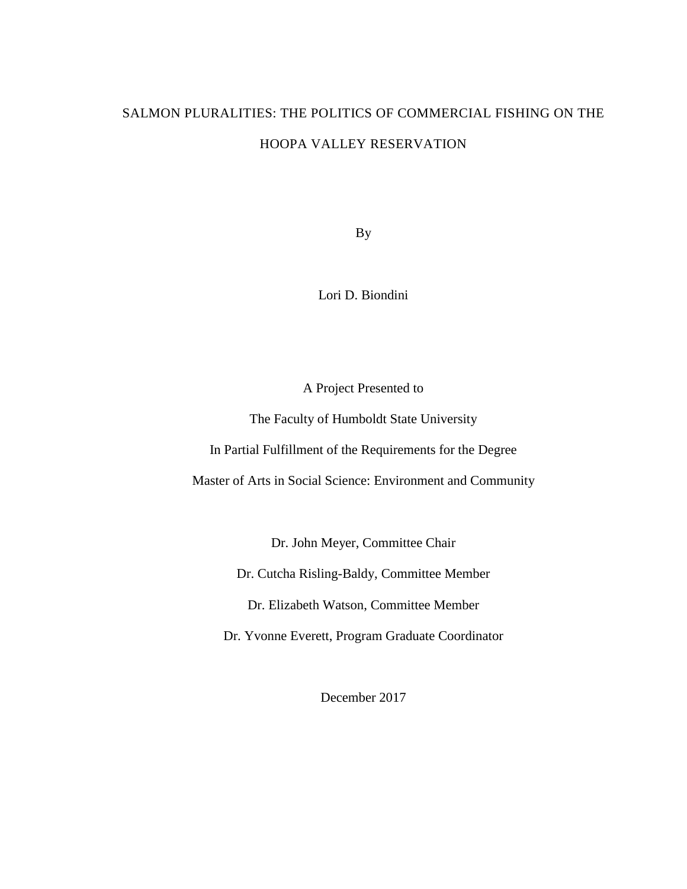# SALMON PLURALITIES: THE POLITICS OF COMMERCIAL FISHING ON THE HOOPA VALLEY RESERVATION

By

Lori D. Biondini

A Project Presented to

The Faculty of Humboldt State University

In Partial Fulfillment of the Requirements for the Degree

Master of Arts in Social Science: Environment and Community

Dr. John Meyer, Committee Chair

Dr. Cutcha Risling-Baldy, Committee Member

Dr. Elizabeth Watson, Committee Member

Dr. Yvonne Everett, Program Graduate Coordinator

December 2017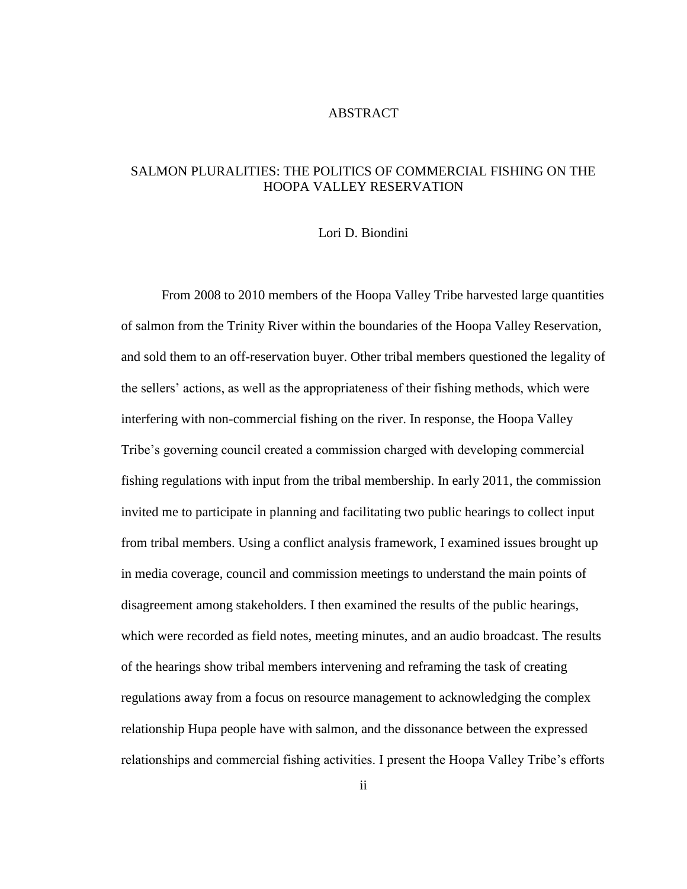#### ABSTRACT

### <span id="page-1-0"></span>SALMON PLURALITIES: THE POLITICS OF COMMERCIAL FISHING ON THE HOOPA VALLEY RESERVATION

#### Lori D. Biondini

From 2008 to 2010 members of the Hoopa Valley Tribe harvested large quantities of salmon from the Trinity River within the boundaries of the Hoopa Valley Reservation, and sold them to an off-reservation buyer. Other tribal members questioned the legality of the sellers' actions, as well as the appropriateness of their fishing methods, which were interfering with non-commercial fishing on the river. In response, the Hoopa Valley Tribe's governing council created a commission charged with developing commercial fishing regulations with input from the tribal membership. In early 2011, the commission invited me to participate in planning and facilitating two public hearings to collect input from tribal members. Using a conflict analysis framework, I examined issues brought up in media coverage, council and commission meetings to understand the main points of disagreement among stakeholders. I then examined the results of the public hearings, which were recorded as field notes, meeting minutes, and an audio broadcast. The results of the hearings show tribal members intervening and reframing the task of creating regulations away from a focus on resource management to acknowledging the complex relationship Hupa people have with salmon, and the dissonance between the expressed relationships and commercial fishing activities. I present the Hoopa Valley Tribe's efforts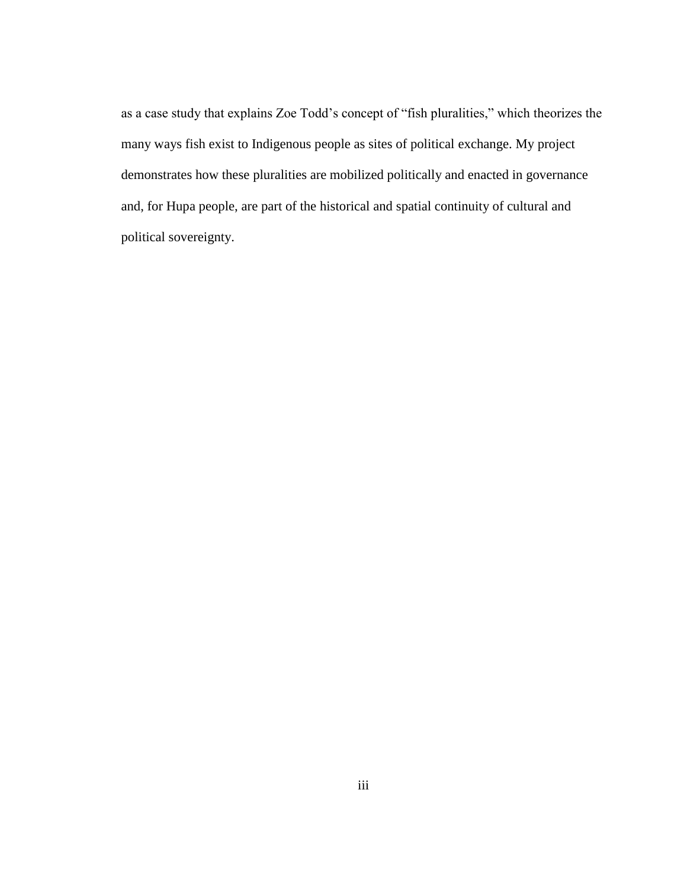as a case study that explains Zoe Todd's concept of "fish pluralities," which theorizes the many ways fish exist to Indigenous people as sites of political exchange. My project demonstrates how these pluralities are mobilized politically and enacted in governance and, for Hupa people, are part of the historical and spatial continuity of cultural and political sovereignty.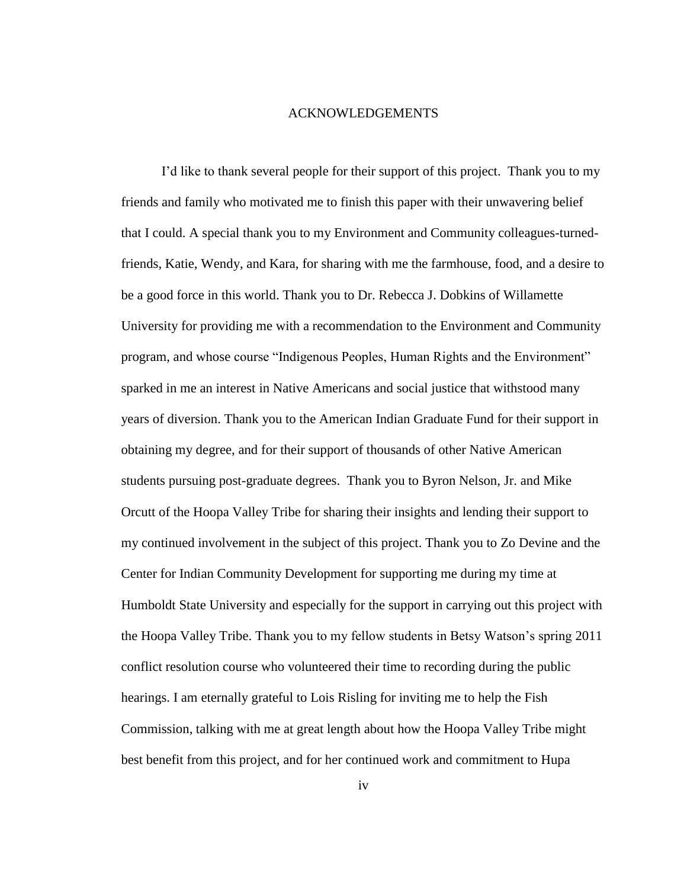#### ACKNOWLEDGEMENTS

<span id="page-3-0"></span>I'd like to thank several people for their support of this project. Thank you to my friends and family who motivated me to finish this paper with their unwavering belief that I could. A special thank you to my Environment and Community colleagues-turnedfriends, Katie, Wendy, and Kara, for sharing with me the farmhouse, food, and a desire to be a good force in this world. Thank you to Dr. Rebecca J. Dobkins of Willamette University for providing me with a recommendation to the Environment and Community program, and whose course "Indigenous Peoples, Human Rights and the Environment" sparked in me an interest in Native Americans and social justice that withstood many years of diversion. Thank you to the American Indian Graduate Fund for their support in obtaining my degree, and for their support of thousands of other Native American students pursuing post-graduate degrees. Thank you to Byron Nelson, Jr. and Mike Orcutt of the Hoopa Valley Tribe for sharing their insights and lending their support to my continued involvement in the subject of this project. Thank you to Zo Devine and the Center for Indian Community Development for supporting me during my time at Humboldt State University and especially for the support in carrying out this project with the Hoopa Valley Tribe. Thank you to my fellow students in Betsy Watson's spring 2011 conflict resolution course who volunteered their time to recording during the public hearings. I am eternally grateful to Lois Risling for inviting me to help the Fish Commission, talking with me at great length about how the Hoopa Valley Tribe might best benefit from this project, and for her continued work and commitment to Hupa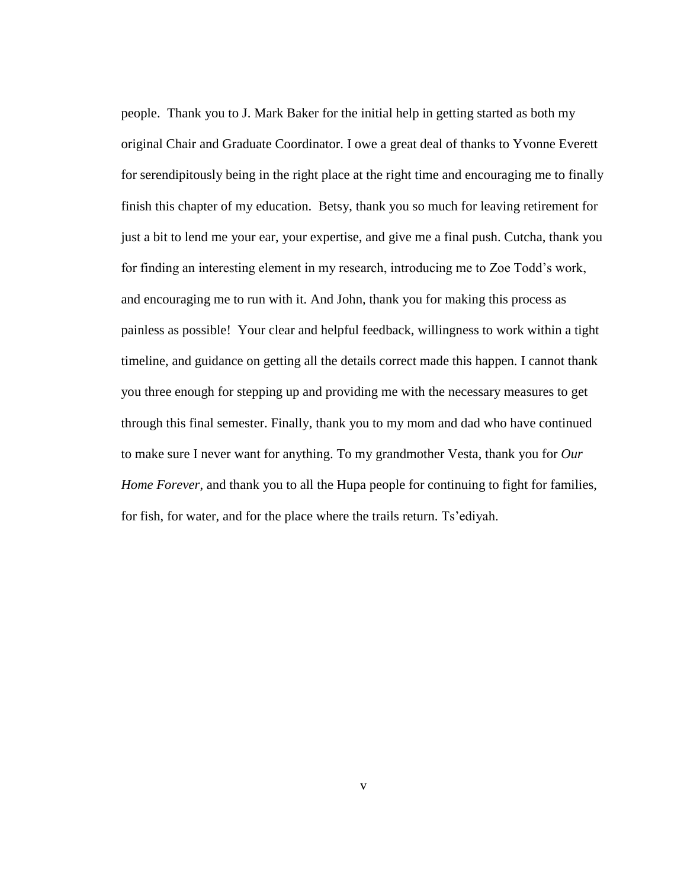people. Thank you to J. Mark Baker for the initial help in getting started as both my original Chair and Graduate Coordinator. I owe a great deal of thanks to Yvonne Everett for serendipitously being in the right place at the right time and encouraging me to finally finish this chapter of my education. Betsy, thank you so much for leaving retirement for just a bit to lend me your ear, your expertise, and give me a final push. Cutcha, thank you for finding an interesting element in my research, introducing me to Zoe Todd's work, and encouraging me to run with it. And John, thank you for making this process as painless as possible! Your clear and helpful feedback, willingness to work within a tight timeline, and guidance on getting all the details correct made this happen. I cannot thank you three enough for stepping up and providing me with the necessary measures to get through this final semester. Finally, thank you to my mom and dad who have continued to make sure I never want for anything. To my grandmother Vesta, thank you for *Our Home Forever*, and thank you to all the Hupa people for continuing to fight for families, for fish, for water, and for the place where the trails return. Ts'ediyah.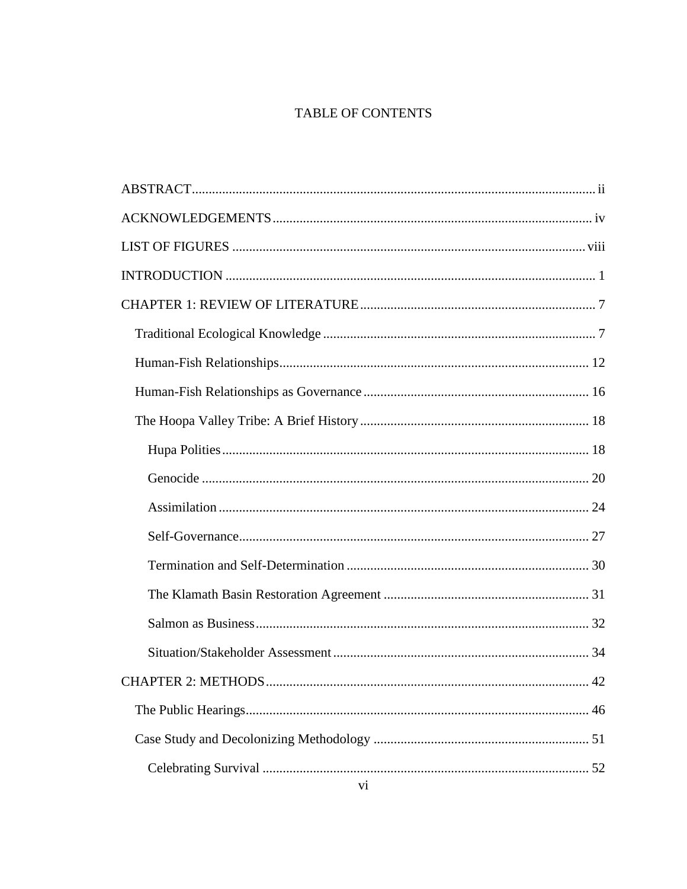## TABLE OF CONTENTS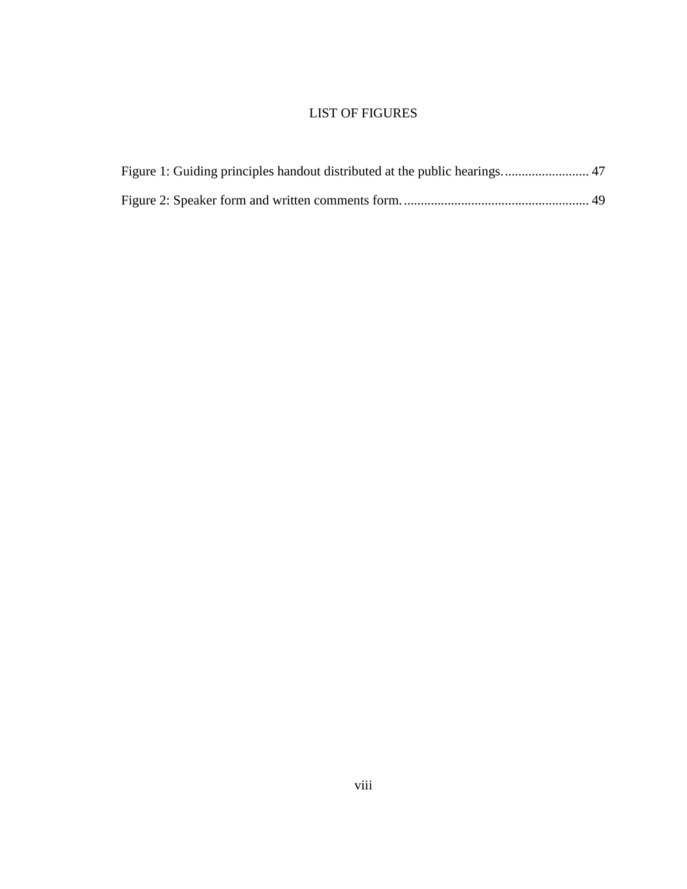## LIST OF FIGURES

<span id="page-7-0"></span>

| Figure 1: Guiding principles handout distributed at the public hearings 47 |  |
|----------------------------------------------------------------------------|--|
|                                                                            |  |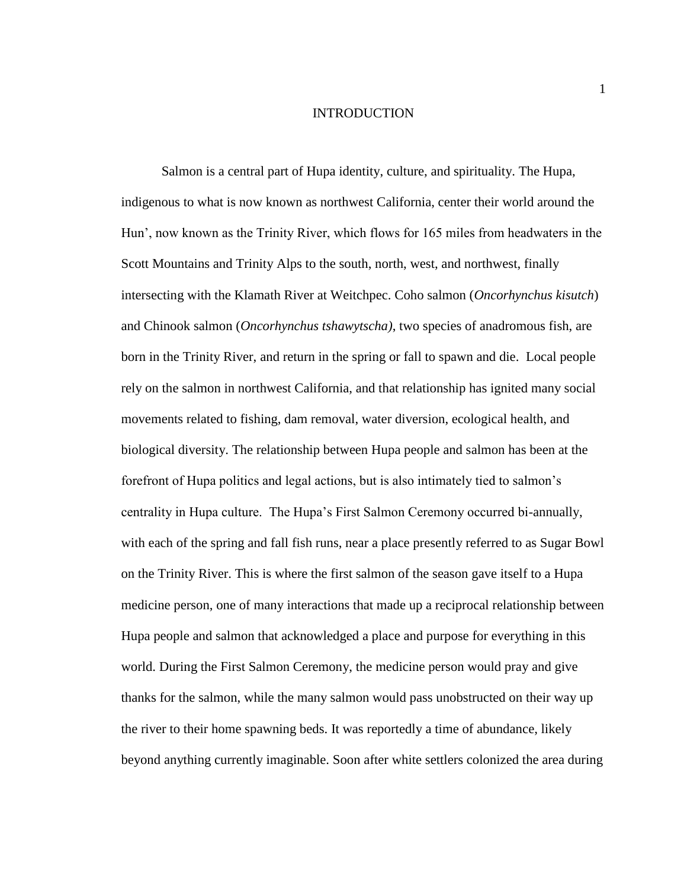#### INTRODUCTION

<span id="page-8-0"></span>Salmon is a central part of Hupa identity, culture, and spirituality. The Hupa, indigenous to what is now known as northwest California, center their world around the Hun', now known as the Trinity River, which flows for 165 miles from headwaters in the Scott Mountains and Trinity Alps to the south, north, west, and northwest, finally intersecting with the Klamath River at Weitchpec. Coho salmon (*Oncorhynchus kisutch*) and Chinook salmon (*Oncorhynchus tshawytscha)*, two species of anadromous fish, are born in the Trinity River, and return in the spring or fall to spawn and die. Local people rely on the salmon in northwest California, and that relationship has ignited many social movements related to fishing, dam removal, water diversion, ecological health, and biological diversity. The relationship between Hupa people and salmon has been at the forefront of Hupa politics and legal actions, but is also intimately tied to salmon's centrality in Hupa culture. The Hupa's First Salmon Ceremony occurred bi-annually, with each of the spring and fall fish runs, near a place presently referred to as Sugar Bowl on the Trinity River. This is where the first salmon of the season gave itself to a Hupa medicine person, one of many interactions that made up a reciprocal relationship between Hupa people and salmon that acknowledged a place and purpose for everything in this world. During the First Salmon Ceremony, the medicine person would pray and give thanks for the salmon, while the many salmon would pass unobstructed on their way up the river to their home spawning beds. It was reportedly a time of abundance, likely beyond anything currently imaginable. Soon after white settlers colonized the area during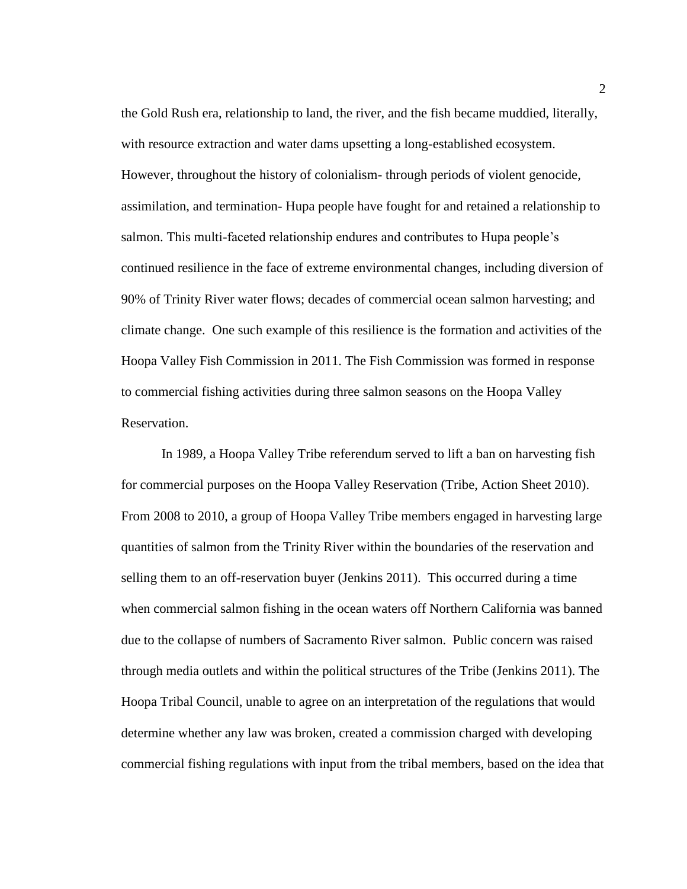the Gold Rush era, relationship to land, the river, and the fish became muddied, literally, with resource extraction and water dams upsetting a long-established ecosystem. However, throughout the history of colonialism- through periods of violent genocide, assimilation, and termination- Hupa people have fought for and retained a relationship to salmon. This multi-faceted relationship endures and contributes to Hupa people's continued resilience in the face of extreme environmental changes, including diversion of 90% of Trinity River water flows; decades of commercial ocean salmon harvesting; and climate change. One such example of this resilience is the formation and activities of the Hoopa Valley Fish Commission in 2011. The Fish Commission was formed in response to commercial fishing activities during three salmon seasons on the Hoopa Valley Reservation.

In 1989, a Hoopa Valley Tribe referendum served to lift a ban on harvesting fish for commercial purposes on the Hoopa Valley Reservation (Tribe, Action Sheet 2010). From 2008 to 2010, a group of Hoopa Valley Tribe members engaged in harvesting large quantities of salmon from the Trinity River within the boundaries of the reservation and selling them to an off-reservation buyer (Jenkins 2011). This occurred during a time when commercial salmon fishing in the ocean waters off Northern California was banned due to the collapse of numbers of Sacramento River salmon. Public concern was raised through media outlets and within the political structures of the Tribe (Jenkins 2011). The Hoopa Tribal Council, unable to agree on an interpretation of the regulations that would determine whether any law was broken, created a commission charged with developing commercial fishing regulations with input from the tribal members, based on the idea that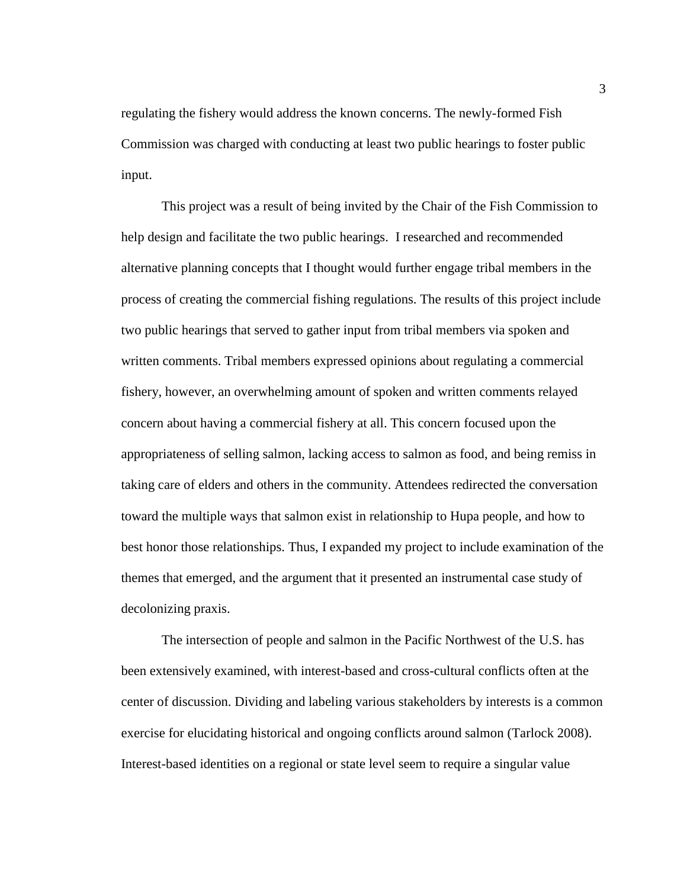regulating the fishery would address the known concerns. The newly-formed Fish Commission was charged with conducting at least two public hearings to foster public input.

This project was a result of being invited by the Chair of the Fish Commission to help design and facilitate the two public hearings. I researched and recommended alternative planning concepts that I thought would further engage tribal members in the process of creating the commercial fishing regulations. The results of this project include two public hearings that served to gather input from tribal members via spoken and written comments. Tribal members expressed opinions about regulating a commercial fishery, however, an overwhelming amount of spoken and written comments relayed concern about having a commercial fishery at all. This concern focused upon the appropriateness of selling salmon, lacking access to salmon as food, and being remiss in taking care of elders and others in the community. Attendees redirected the conversation toward the multiple ways that salmon exist in relationship to Hupa people, and how to best honor those relationships. Thus, I expanded my project to include examination of the themes that emerged, and the argument that it presented an instrumental case study of decolonizing praxis.

The intersection of people and salmon in the Pacific Northwest of the U.S. has been extensively examined, with interest-based and cross-cultural conflicts often at the center of discussion. Dividing and labeling various stakeholders by interests is a common exercise for elucidating historical and ongoing conflicts around salmon (Tarlock 2008). Interest-based identities on a regional or state level seem to require a singular value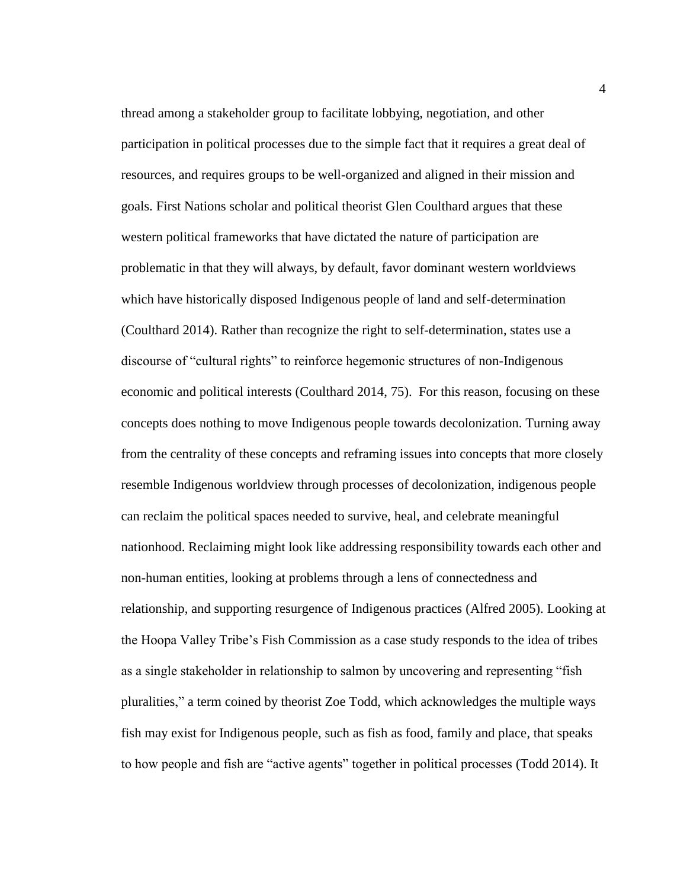thread among a stakeholder group to facilitate lobbying, negotiation, and other participation in political processes due to the simple fact that it requires a great deal of resources, and requires groups to be well-organized and aligned in their mission and goals. First Nations scholar and political theorist Glen Coulthard argues that these western political frameworks that have dictated the nature of participation are problematic in that they will always, by default, favor dominant western worldviews which have historically disposed Indigenous people of land and self-determination (Coulthard 2014). Rather than recognize the right to self-determination, states use a discourse of "cultural rights" to reinforce hegemonic structures of non-Indigenous economic and political interests (Coulthard 2014, 75). For this reason, focusing on these concepts does nothing to move Indigenous people towards decolonization. Turning away from the centrality of these concepts and reframing issues into concepts that more closely resemble Indigenous worldview through processes of decolonization, indigenous people can reclaim the political spaces needed to survive, heal, and celebrate meaningful nationhood. Reclaiming might look like addressing responsibility towards each other and non-human entities, looking at problems through a lens of connectedness and relationship, and supporting resurgence of Indigenous practices (Alfred 2005). Looking at the Hoopa Valley Tribe's Fish Commission as a case study responds to the idea of tribes as a single stakeholder in relationship to salmon by uncovering and representing "fish pluralities," a term coined by theorist Zoe Todd, which acknowledges the multiple ways fish may exist for Indigenous people, such as fish as food, family and place, that speaks to how people and fish are "active agents" together in political processes (Todd 2014). It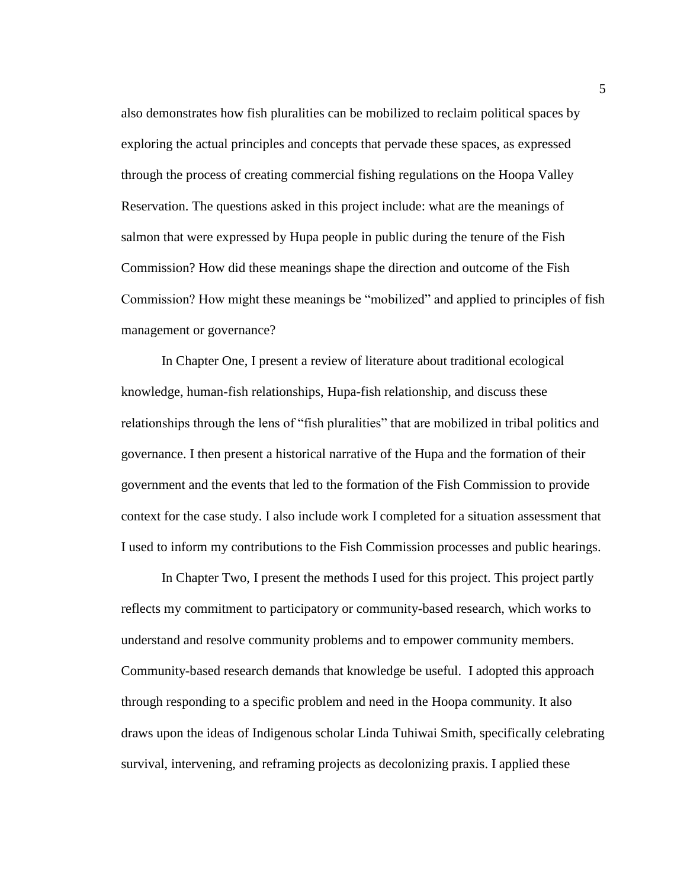also demonstrates how fish pluralities can be mobilized to reclaim political spaces by exploring the actual principles and concepts that pervade these spaces, as expressed through the process of creating commercial fishing regulations on the Hoopa Valley Reservation. The questions asked in this project include: what are the meanings of salmon that were expressed by Hupa people in public during the tenure of the Fish Commission? How did these meanings shape the direction and outcome of the Fish Commission? How might these meanings be "mobilized" and applied to principles of fish management or governance?

In Chapter One, I present a review of literature about traditional ecological knowledge, human-fish relationships, Hupa-fish relationship, and discuss these relationships through the lens of "fish pluralities" that are mobilized in tribal politics and governance. I then present a historical narrative of the Hupa and the formation of their government and the events that led to the formation of the Fish Commission to provide context for the case study. I also include work I completed for a situation assessment that I used to inform my contributions to the Fish Commission processes and public hearings.

In Chapter Two, I present the methods I used for this project. This project partly reflects my commitment to participatory or community-based research, which works to understand and resolve community problems and to empower community members. Community-based research demands that knowledge be useful. I adopted this approach through responding to a specific problem and need in the Hoopa community. It also draws upon the ideas of Indigenous scholar Linda Tuhiwai Smith, specifically celebrating survival, intervening, and reframing projects as decolonizing praxis. I applied these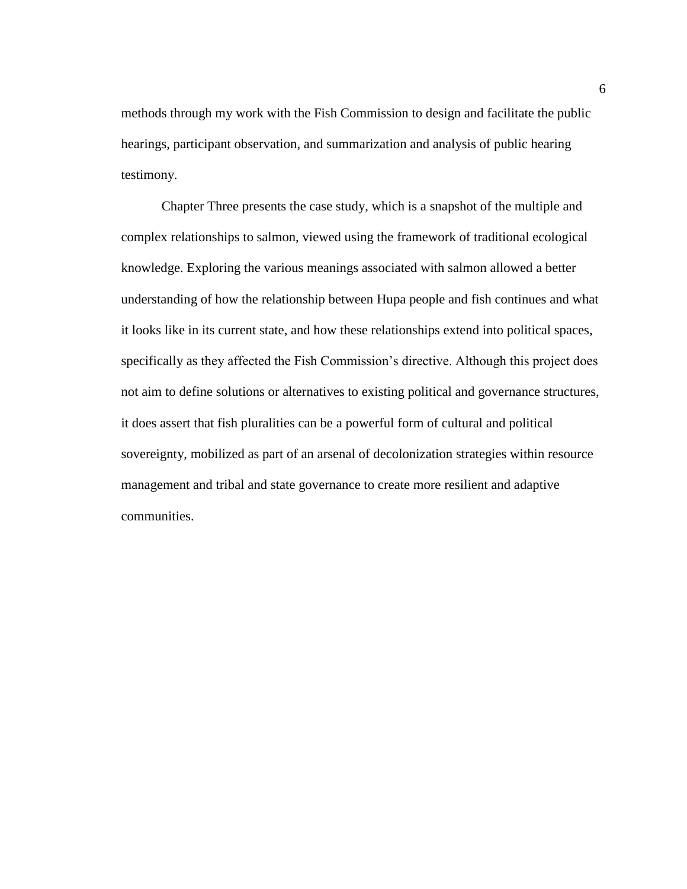methods through my work with the Fish Commission to design and facilitate the public hearings, participant observation, and summarization and analysis of public hearing testimony.

Chapter Three presents the case study, which is a snapshot of the multiple and complex relationships to salmon, viewed using the framework of traditional ecological knowledge. Exploring the various meanings associated with salmon allowed a better understanding of how the relationship between Hupa people and fish continues and what it looks like in its current state, and how these relationships extend into political spaces, specifically as they affected the Fish Commission's directive. Although this project does not aim to define solutions or alternatives to existing political and governance structures, it does assert that fish pluralities can be a powerful form of cultural and political sovereignty, mobilized as part of an arsenal of decolonization strategies within resource management and tribal and state governance to create more resilient and adaptive communities.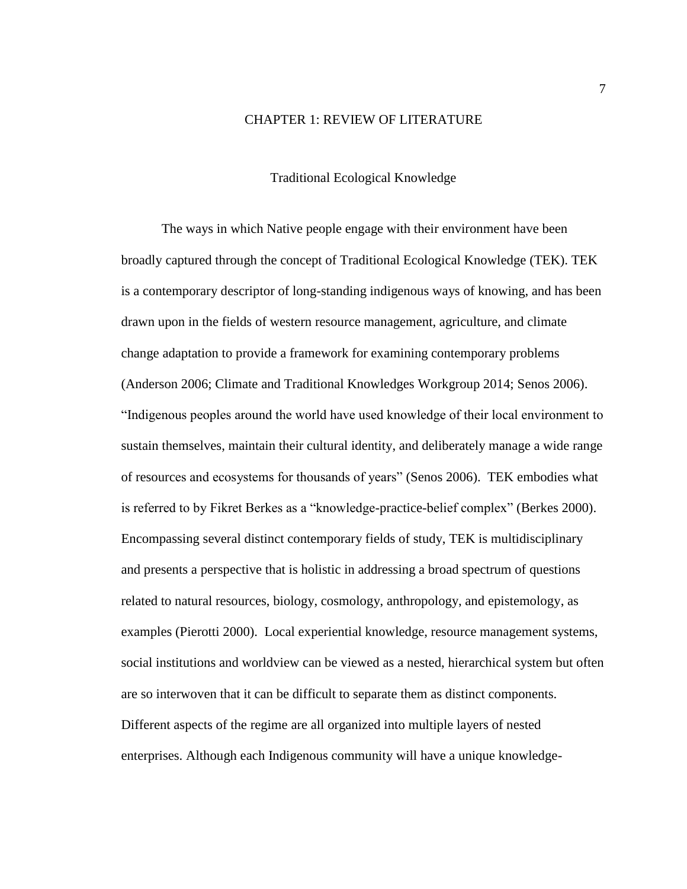#### CHAPTER 1: REVIEW OF LITERATURE

#### Traditional Ecological Knowledge

<span id="page-14-1"></span><span id="page-14-0"></span>The ways in which Native people engage with their environment have been broadly captured through the concept of Traditional Ecological Knowledge (TEK). TEK is a contemporary descriptor of long-standing indigenous ways of knowing, and has been drawn upon in the fields of western resource management, agriculture, and climate change adaptation to provide a framework for examining contemporary problems (Anderson 2006; Climate and Traditional Knowledges Workgroup 2014; Senos 2006). "Indigenous peoples around the world have used knowledge of their local environment to sustain themselves, maintain their cultural identity, and deliberately manage a wide range of resources and ecosystems for thousands of years" (Senos 2006). TEK embodies what is referred to by Fikret Berkes as a "knowledge-practice-belief complex" (Berkes 2000). Encompassing several distinct contemporary fields of study, TEK is multidisciplinary and presents a perspective that is holistic in addressing a broad spectrum of questions related to natural resources, biology, cosmology, anthropology, and epistemology, as examples (Pierotti 2000). Local experiential knowledge, resource management systems, social institutions and worldview can be viewed as a nested, hierarchical system but often are so interwoven that it can be difficult to separate them as distinct components. Different aspects of the regime are all organized into multiple layers of nested enterprises. Although each Indigenous community will have a unique knowledge-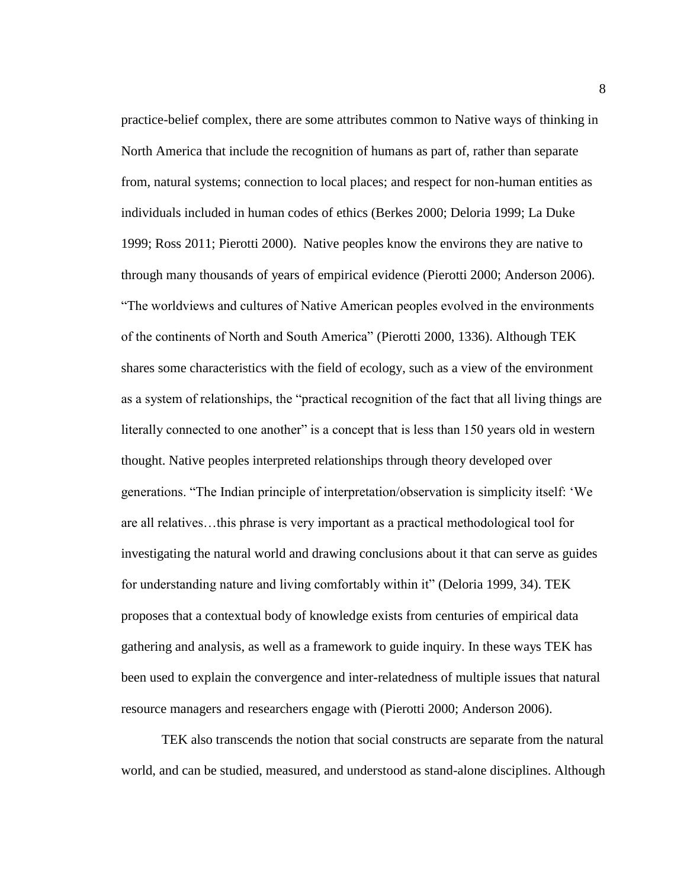practice-belief complex, there are some attributes common to Native ways of thinking in North America that include the recognition of humans as part of, rather than separate from, natural systems; connection to local places; and respect for non-human entities as individuals included in human codes of ethics (Berkes 2000; Deloria 1999; La Duke 1999; Ross 2011; Pierotti 2000). Native peoples know the environs they are native to through many thousands of years of empirical evidence (Pierotti 2000; Anderson 2006). "The worldviews and cultures of Native American peoples evolved in the environments of the continents of North and South America" (Pierotti 2000, 1336). Although TEK shares some characteristics with the field of ecology, such as a view of the environment as a system of relationships, the "practical recognition of the fact that all living things are literally connected to one another" is a concept that is less than 150 years old in western thought. Native peoples interpreted relationships through theory developed over generations. "The Indian principle of interpretation/observation is simplicity itself: 'We are all relatives…this phrase is very important as a practical methodological tool for investigating the natural world and drawing conclusions about it that can serve as guides for understanding nature and living comfortably within it" (Deloria 1999, 34). TEK proposes that a contextual body of knowledge exists from centuries of empirical data gathering and analysis, as well as a framework to guide inquiry. In these ways TEK has been used to explain the convergence and inter-relatedness of multiple issues that natural resource managers and researchers engage with (Pierotti 2000; Anderson 2006).

TEK also transcends the notion that social constructs are separate from the natural world, and can be studied, measured, and understood as stand-alone disciplines. Although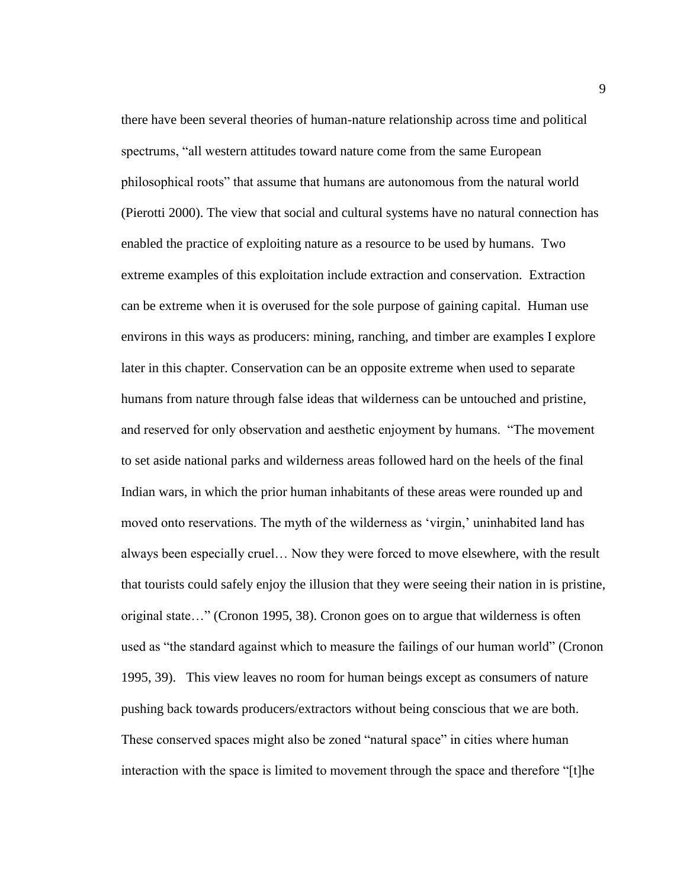there have been several theories of human-nature relationship across time and political spectrums, "all western attitudes toward nature come from the same European philosophical roots" that assume that humans are autonomous from the natural world (Pierotti 2000). The view that social and cultural systems have no natural connection has enabled the practice of exploiting nature as a resource to be used by humans. Two extreme examples of this exploitation include extraction and conservation. Extraction can be extreme when it is overused for the sole purpose of gaining capital. Human use environs in this ways as producers: mining, ranching, and timber are examples I explore later in this chapter. Conservation can be an opposite extreme when used to separate humans from nature through false ideas that wilderness can be untouched and pristine, and reserved for only observation and aesthetic enjoyment by humans. "The movement to set aside national parks and wilderness areas followed hard on the heels of the final Indian wars, in which the prior human inhabitants of these areas were rounded up and moved onto reservations. The myth of the wilderness as 'virgin,' uninhabited land has always been especially cruel… Now they were forced to move elsewhere, with the result that tourists could safely enjoy the illusion that they were seeing their nation in is pristine, original state…" (Cronon 1995, 38). Cronon goes on to argue that wilderness is often used as "the standard against which to measure the failings of our human world" (Cronon 1995, 39). This view leaves no room for human beings except as consumers of nature pushing back towards producers/extractors without being conscious that we are both. These conserved spaces might also be zoned "natural space" in cities where human interaction with the space is limited to movement through the space and therefore "[t]he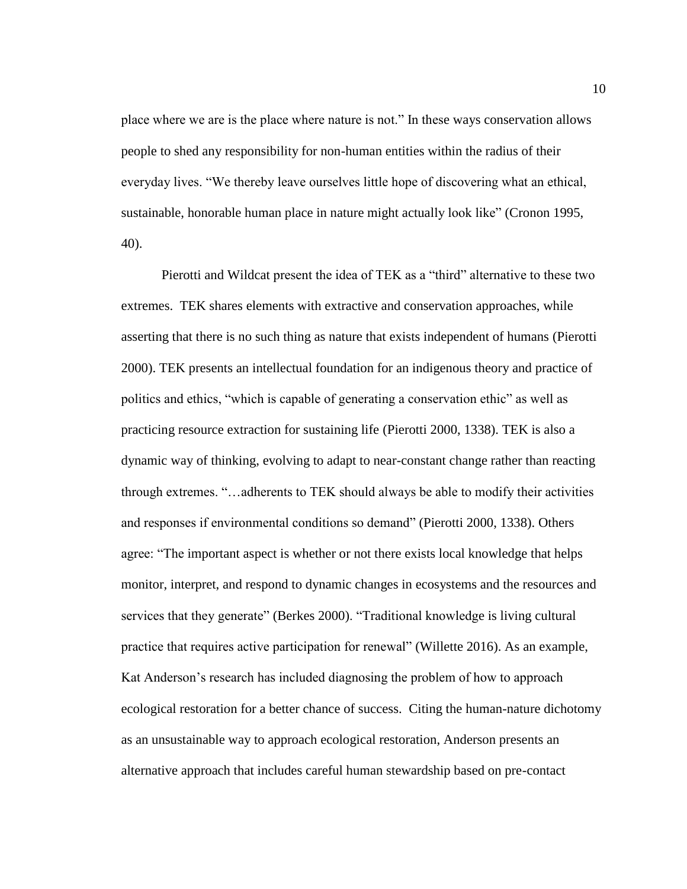place where we are is the place where nature is not." In these ways conservation allows people to shed any responsibility for non-human entities within the radius of their everyday lives. "We thereby leave ourselves little hope of discovering what an ethical, sustainable, honorable human place in nature might actually look like" (Cronon 1995, 40).

Pierotti and Wildcat present the idea of TEK as a "third" alternative to these two extremes. TEK shares elements with extractive and conservation approaches, while asserting that there is no such thing as nature that exists independent of humans (Pierotti 2000). TEK presents an intellectual foundation for an indigenous theory and practice of politics and ethics, "which is capable of generating a conservation ethic" as well as practicing resource extraction for sustaining life (Pierotti 2000, 1338). TEK is also a dynamic way of thinking, evolving to adapt to near-constant change rather than reacting through extremes. "…adherents to TEK should always be able to modify their activities and responses if environmental conditions so demand" (Pierotti 2000, 1338). Others agree: "The important aspect is whether or not there exists local knowledge that helps monitor, interpret, and respond to dynamic changes in ecosystems and the resources and services that they generate" (Berkes 2000). "Traditional knowledge is living cultural practice that requires active participation for renewal" (Willette 2016). As an example, Kat Anderson's research has included diagnosing the problem of how to approach ecological restoration for a better chance of success. Citing the human-nature dichotomy as an unsustainable way to approach ecological restoration, Anderson presents an alternative approach that includes careful human stewardship based on pre-contact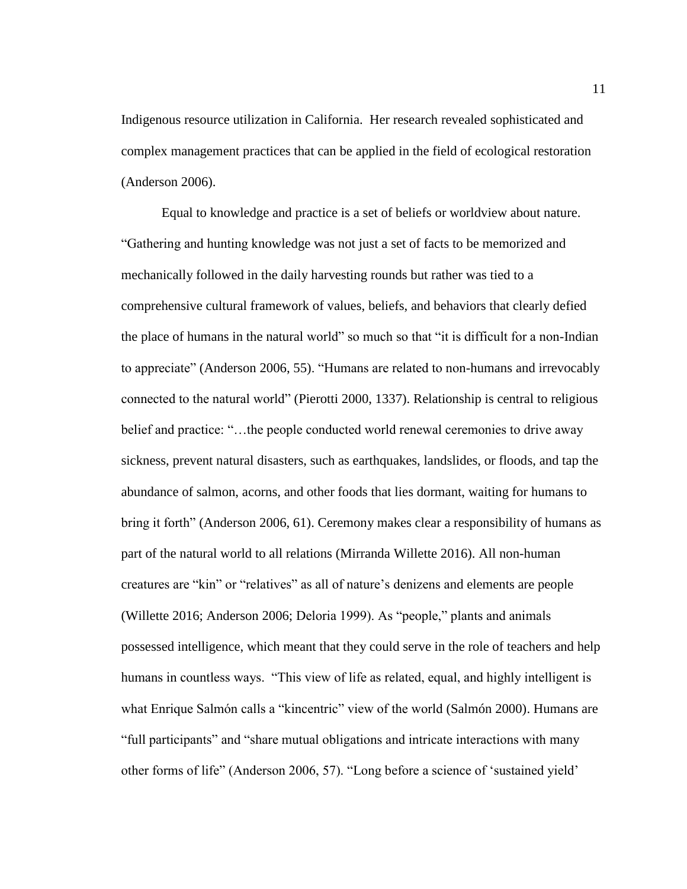Indigenous resource utilization in California. Her research revealed sophisticated and complex management practices that can be applied in the field of ecological restoration (Anderson 2006).

Equal to knowledge and practice is a set of beliefs or worldview about nature. "Gathering and hunting knowledge was not just a set of facts to be memorized and mechanically followed in the daily harvesting rounds but rather was tied to a comprehensive cultural framework of values, beliefs, and behaviors that clearly defied the place of humans in the natural world" so much so that "it is difficult for a non-Indian to appreciate" (Anderson 2006, 55). "Humans are related to non-humans and irrevocably connected to the natural world" (Pierotti 2000, 1337). Relationship is central to religious belief and practice: "…the people conducted world renewal ceremonies to drive away sickness, prevent natural disasters, such as earthquakes, landslides, or floods, and tap the abundance of salmon, acorns, and other foods that lies dormant, waiting for humans to bring it forth" (Anderson 2006, 61). Ceremony makes clear a responsibility of humans as part of the natural world to all relations (Mirranda Willette 2016). All non-human creatures are "kin" or "relatives" as all of nature's denizens and elements are people (Willette 2016; Anderson 2006; Deloria 1999). As "people," plants and animals possessed intelligence, which meant that they could serve in the role of teachers and help humans in countless ways. "This view of life as related, equal, and highly intelligent is what Enrique Salmón calls a "kincentric" view of the world (Salmón 2000). Humans are "full participants" and "share mutual obligations and intricate interactions with many other forms of life" (Anderson 2006, 57). "Long before a science of 'sustained yield'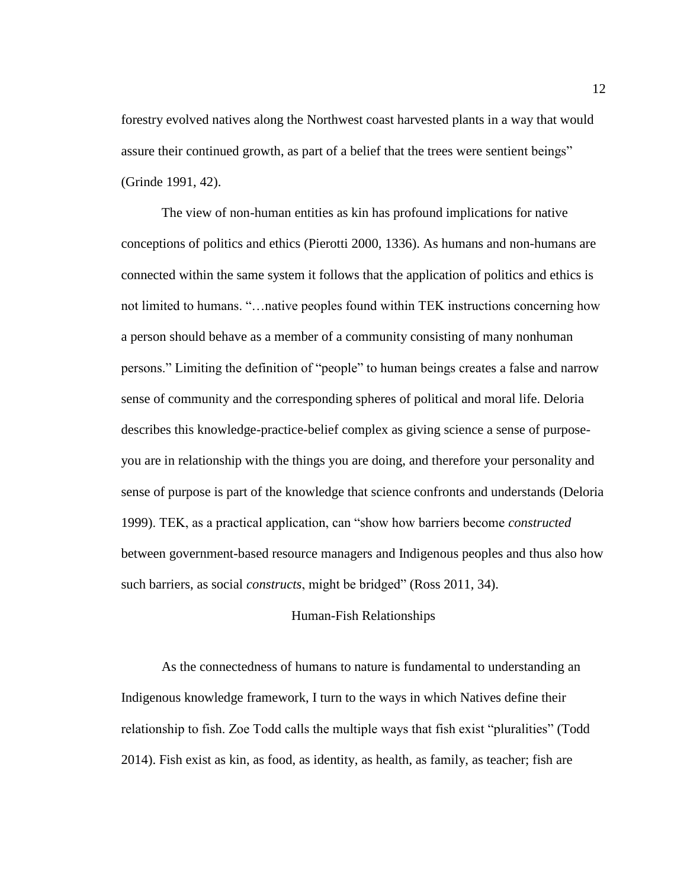forestry evolved natives along the Northwest coast harvested plants in a way that would assure their continued growth, as part of a belief that the trees were sentient beings" (Grinde 1991, 42).

The view of non-human entities as kin has profound implications for native conceptions of politics and ethics (Pierotti 2000, 1336). As humans and non-humans are connected within the same system it follows that the application of politics and ethics is not limited to humans. "…native peoples found within TEK instructions concerning how a person should behave as a member of a community consisting of many nonhuman persons." Limiting the definition of "people" to human beings creates a false and narrow sense of community and the corresponding spheres of political and moral life. Deloria describes this knowledge-practice-belief complex as giving science a sense of purposeyou are in relationship with the things you are doing, and therefore your personality and sense of purpose is part of the knowledge that science confronts and understands (Deloria 1999). TEK, as a practical application, can "show how barriers become *constructed*  between government-based resource managers and Indigenous peoples and thus also how such barriers, as social *constructs*, might be bridged" (Ross 2011, 34).

#### Human-Fish Relationships

<span id="page-19-0"></span>As the connectedness of humans to nature is fundamental to understanding an Indigenous knowledge framework, I turn to the ways in which Natives define their relationship to fish. Zoe Todd calls the multiple ways that fish exist "pluralities" (Todd 2014). Fish exist as kin, as food, as identity, as health, as family, as teacher; fish are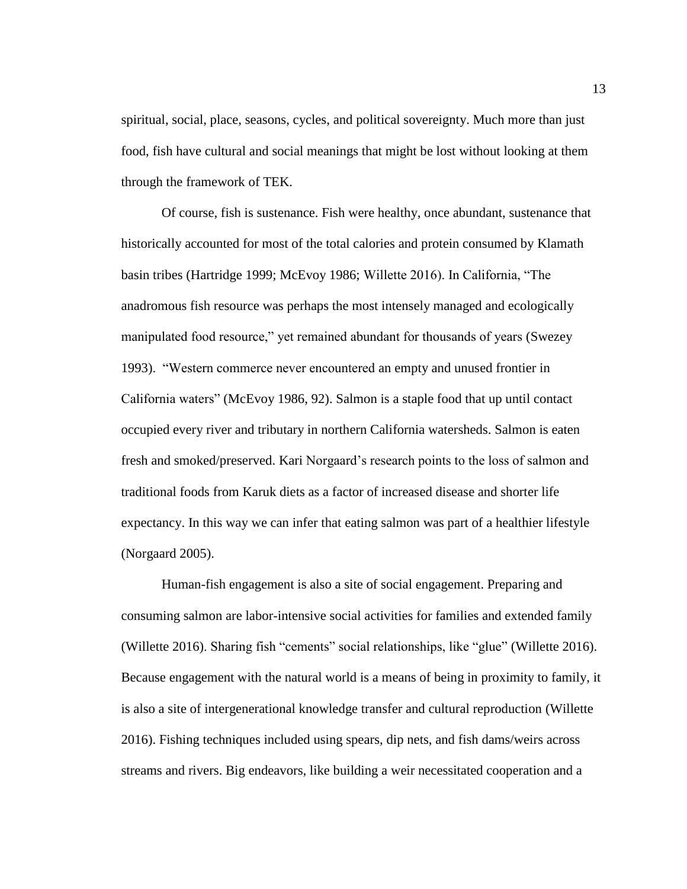spiritual, social, place, seasons, cycles, and political sovereignty. Much more than just food, fish have cultural and social meanings that might be lost without looking at them through the framework of TEK.

Of course, fish is sustenance. Fish were healthy, once abundant, sustenance that historically accounted for most of the total calories and protein consumed by Klamath basin tribes (Hartridge 1999; McEvoy 1986; Willette 2016). In California, "The anadromous fish resource was perhaps the most intensely managed and ecologically manipulated food resource," yet remained abundant for thousands of years (Swezey 1993). "Western commerce never encountered an empty and unused frontier in California waters" (McEvoy 1986, 92). Salmon is a staple food that up until contact occupied every river and tributary in northern California watersheds. Salmon is eaten fresh and smoked/preserved. Kari Norgaard's research points to the loss of salmon and traditional foods from Karuk diets as a factor of increased disease and shorter life expectancy. In this way we can infer that eating salmon was part of a healthier lifestyle (Norgaard 2005).

Human-fish engagement is also a site of social engagement. Preparing and consuming salmon are labor-intensive social activities for families and extended family (Willette 2016). Sharing fish "cements" social relationships, like "glue" (Willette 2016). Because engagement with the natural world is a means of being in proximity to family, it is also a site of intergenerational knowledge transfer and cultural reproduction (Willette 2016). Fishing techniques included using spears, dip nets, and fish dams/weirs across streams and rivers. Big endeavors, like building a weir necessitated cooperation and a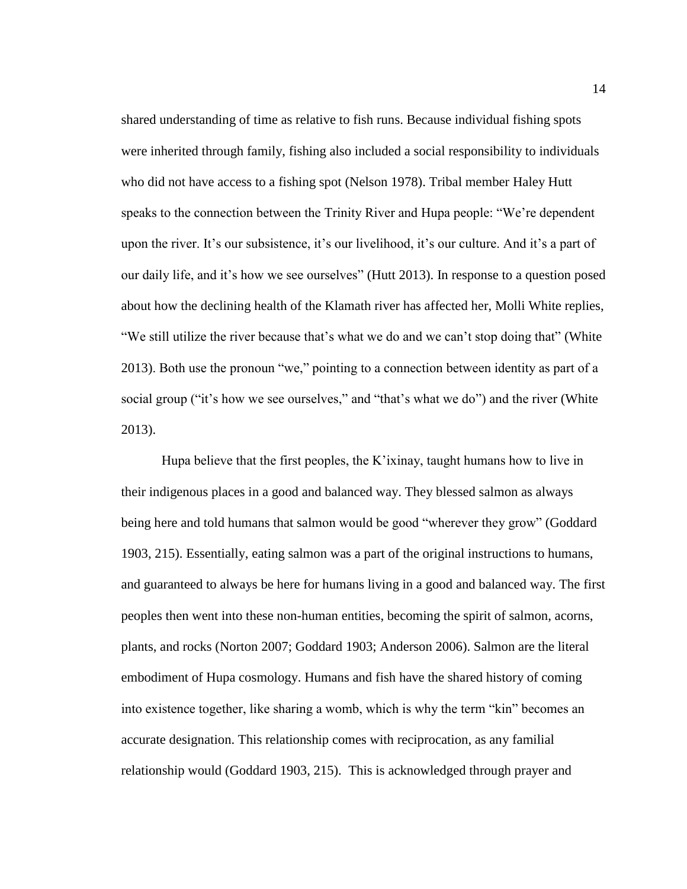shared understanding of time as relative to fish runs. Because individual fishing spots were inherited through family, fishing also included a social responsibility to individuals who did not have access to a fishing spot (Nelson 1978). Tribal member Haley Hutt speaks to the connection between the Trinity River and Hupa people: "We're dependent upon the river. It's our subsistence, it's our livelihood, it's our culture. And it's a part of our daily life, and it's how we see ourselves" (Hutt 2013). In response to a question posed about how the declining health of the Klamath river has affected her, Molli White replies, "We still utilize the river because that's what we do and we can't stop doing that" (White 2013). Both use the pronoun "we," pointing to a connection between identity as part of a social group ("it's how we see ourselves," and "that's what we do") and the river (White 2013).

Hupa believe that the first peoples, the K'ixinay, taught humans how to live in their indigenous places in a good and balanced way. They blessed salmon as always being here and told humans that salmon would be good "wherever they grow" (Goddard 1903, 215). Essentially, eating salmon was a part of the original instructions to humans, and guaranteed to always be here for humans living in a good and balanced way. The first peoples then went into these non-human entities, becoming the spirit of salmon, acorns, plants, and rocks (Norton 2007; Goddard 1903; Anderson 2006). Salmon are the literal embodiment of Hupa cosmology. Humans and fish have the shared history of coming into existence together, like sharing a womb, which is why the term "kin" becomes an accurate designation. This relationship comes with reciprocation, as any familial relationship would (Goddard 1903, 215). This is acknowledged through prayer and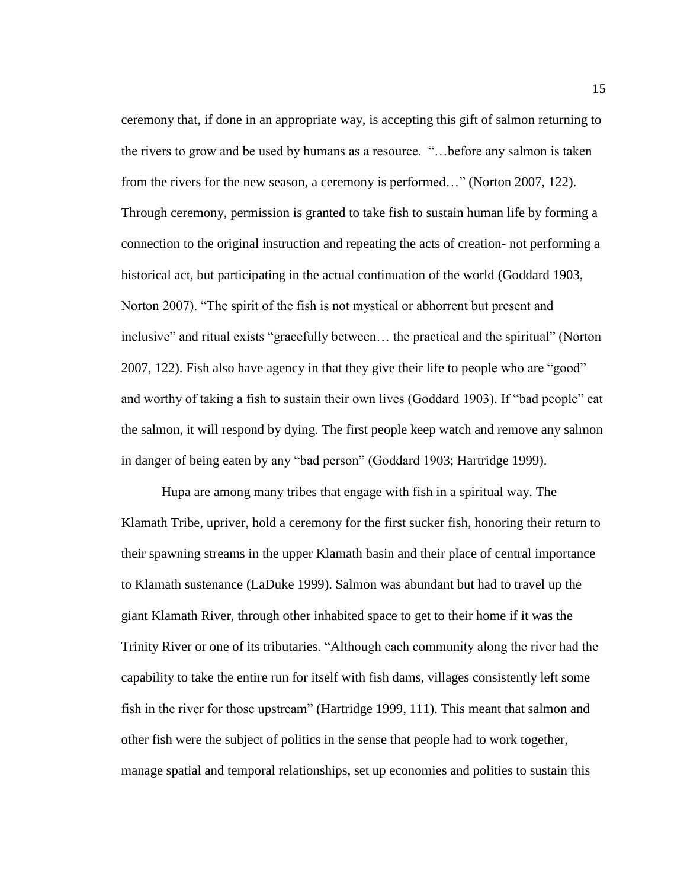ceremony that, if done in an appropriate way, is accepting this gift of salmon returning to the rivers to grow and be used by humans as a resource. "…before any salmon is taken from the rivers for the new season, a ceremony is performed…" (Norton 2007, 122). Through ceremony, permission is granted to take fish to sustain human life by forming a connection to the original instruction and repeating the acts of creation- not performing a historical act, but participating in the actual continuation of the world (Goddard 1903, Norton 2007). "The spirit of the fish is not mystical or abhorrent but present and inclusive" and ritual exists "gracefully between… the practical and the spiritual" (Norton 2007, 122). Fish also have agency in that they give their life to people who are "good" and worthy of taking a fish to sustain their own lives (Goddard 1903). If "bad people" eat the salmon, it will respond by dying. The first people keep watch and remove any salmon in danger of being eaten by any "bad person" (Goddard 1903; Hartridge 1999).

Hupa are among many tribes that engage with fish in a spiritual way. The Klamath Tribe, upriver, hold a ceremony for the first sucker fish, honoring their return to their spawning streams in the upper Klamath basin and their place of central importance to Klamath sustenance (LaDuke 1999). Salmon was abundant but had to travel up the giant Klamath River, through other inhabited space to get to their home if it was the Trinity River or one of its tributaries. "Although each community along the river had the capability to take the entire run for itself with fish dams, villages consistently left some fish in the river for those upstream" (Hartridge 1999, 111). This meant that salmon and other fish were the subject of politics in the sense that people had to work together, manage spatial and temporal relationships, set up economies and polities to sustain this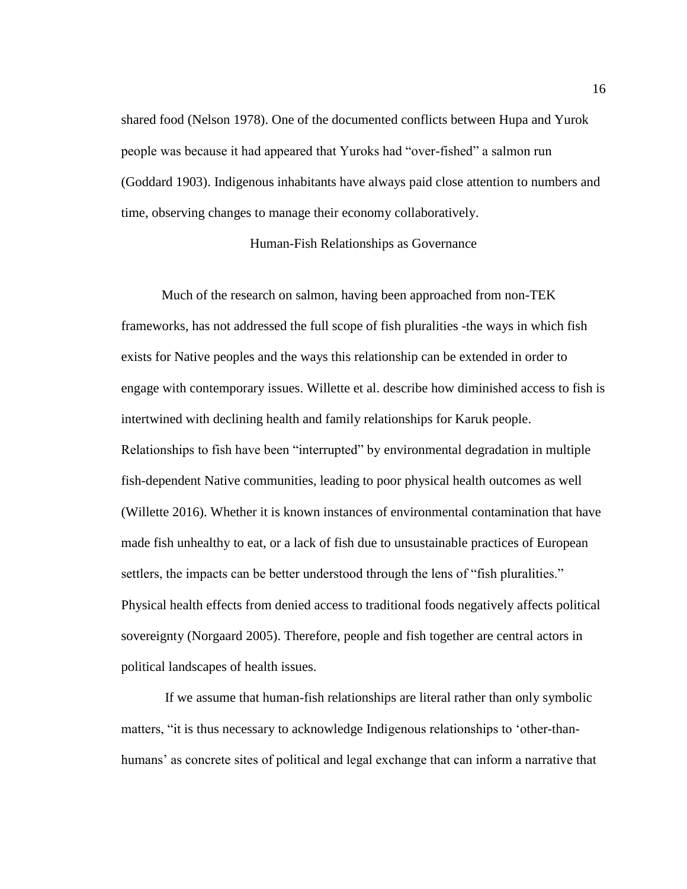shared food (Nelson 1978). One of the documented conflicts between Hupa and Yurok people was because it had appeared that Yuroks had "over-fished" a salmon run (Goddard 1903). Indigenous inhabitants have always paid close attention to numbers and time, observing changes to manage their economy collaboratively.

Human-Fish Relationships as Governance

<span id="page-23-0"></span>Much of the research on salmon, having been approached from non-TEK frameworks, has not addressed the full scope of fish pluralities -the ways in which fish exists for Native peoples and the ways this relationship can be extended in order to engage with contemporary issues. Willette et al. describe how diminished access to fish is intertwined with declining health and family relationships for Karuk people. Relationships to fish have been "interrupted" by environmental degradation in multiple fish-dependent Native communities, leading to poor physical health outcomes as well (Willette 2016). Whether it is known instances of environmental contamination that have made fish unhealthy to eat, or a lack of fish due to unsustainable practices of European settlers, the impacts can be better understood through the lens of "fish pluralities." Physical health effects from denied access to traditional foods negatively affects political sovereignty (Norgaard 2005). Therefore, people and fish together are central actors in political landscapes of health issues.

If we assume that human-fish relationships are literal rather than only symbolic matters, "it is thus necessary to acknowledge Indigenous relationships to 'other-thanhumans' as concrete sites of political and legal exchange that can inform a narrative that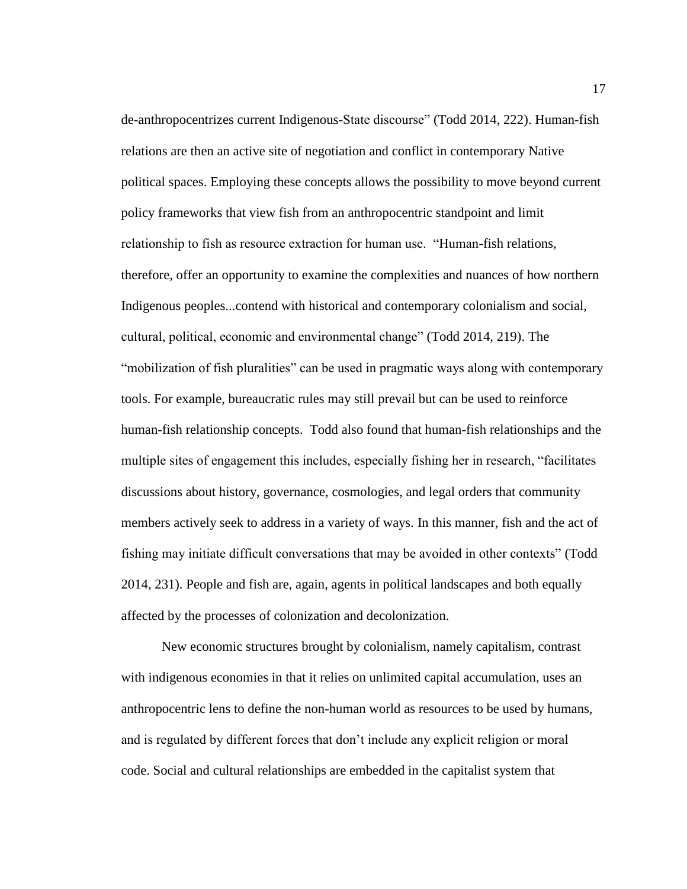de-anthropocentrizes current Indigenous-State discourse" (Todd 2014, 222). Human-fish relations are then an active site of negotiation and conflict in contemporary Native political spaces. Employing these concepts allows the possibility to move beyond current policy frameworks that view fish from an anthropocentric standpoint and limit relationship to fish as resource extraction for human use. "Human-fish relations, therefore, offer an opportunity to examine the complexities and nuances of how northern Indigenous peoples...contend with historical and contemporary colonialism and social, cultural, political, economic and environmental change" (Todd 2014, 219). The "mobilization of fish pluralities" can be used in pragmatic ways along with contemporary tools. For example, bureaucratic rules may still prevail but can be used to reinforce human-fish relationship concepts. Todd also found that human-fish relationships and the multiple sites of engagement this includes, especially fishing her in research, "facilitates discussions about history, governance, cosmologies, and legal orders that community members actively seek to address in a variety of ways. In this manner, fish and the act of fishing may initiate difficult conversations that may be avoided in other contexts" (Todd 2014, 231). People and fish are, again, agents in political landscapes and both equally affected by the processes of colonization and decolonization.

New economic structures brought by colonialism, namely capitalism, contrast with indigenous economies in that it relies on unlimited capital accumulation, uses an anthropocentric lens to define the non-human world as resources to be used by humans, and is regulated by different forces that don't include any explicit religion or moral code. Social and cultural relationships are embedded in the capitalist system that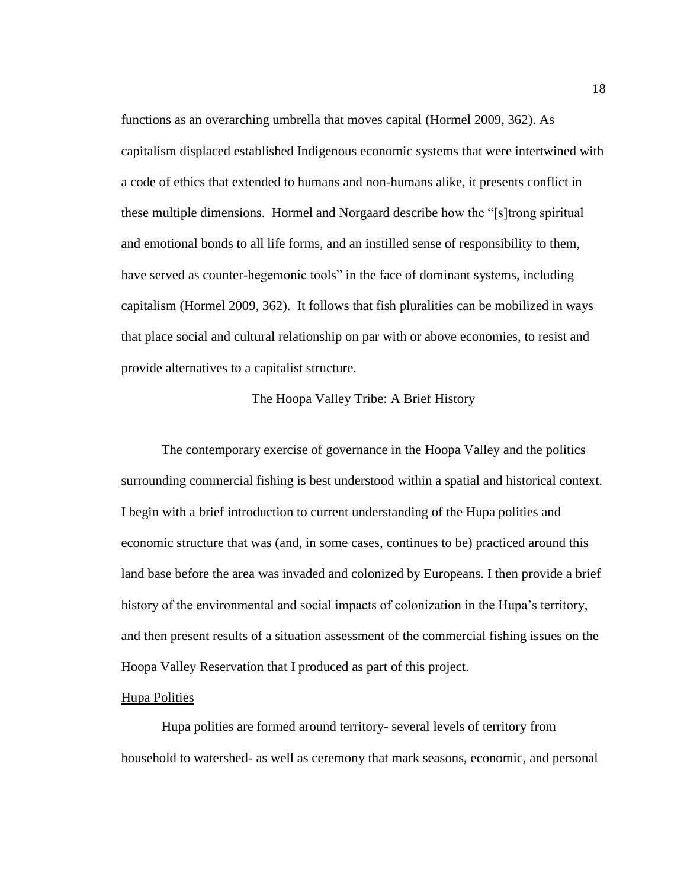functions as an overarching umbrella that moves capital (Hormel 2009, 362). As capitalism displaced established Indigenous economic systems that were intertwined with a code of ethics that extended to humans and non-humans alike, it presents conflict in these multiple dimensions. Hormel and Norgaard describe how the "[s]trong spiritual and emotional bonds to all life forms, and an instilled sense of responsibility to them, have served as counter-hegemonic tools" in the face of dominant systems, including capitalism (Hormel 2009, 362). It follows that fish pluralities can be mobilized in ways that place social and cultural relationship on par with or above economies, to resist and provide alternatives to a capitalist structure.

#### The Hoopa Valley Tribe: A Brief History

<span id="page-25-0"></span>The contemporary exercise of governance in the Hoopa Valley and the politics surrounding commercial fishing is best understood within a spatial and historical context. I begin with a brief introduction to current understanding of the Hupa polities and economic structure that was (and, in some cases, continues to be) practiced around this land base before the area was invaded and colonized by Europeans. I then provide a brief history of the environmental and social impacts of colonization in the Hupa's territory, and then present results of a situation assessment of the commercial fishing issues on the Hoopa Valley Reservation that I produced as part of this project.

#### <span id="page-25-1"></span>Hupa Polities

Hupa polities are formed around territory- several levels of territory from household to watershed- as well as ceremony that mark seasons, economic, and personal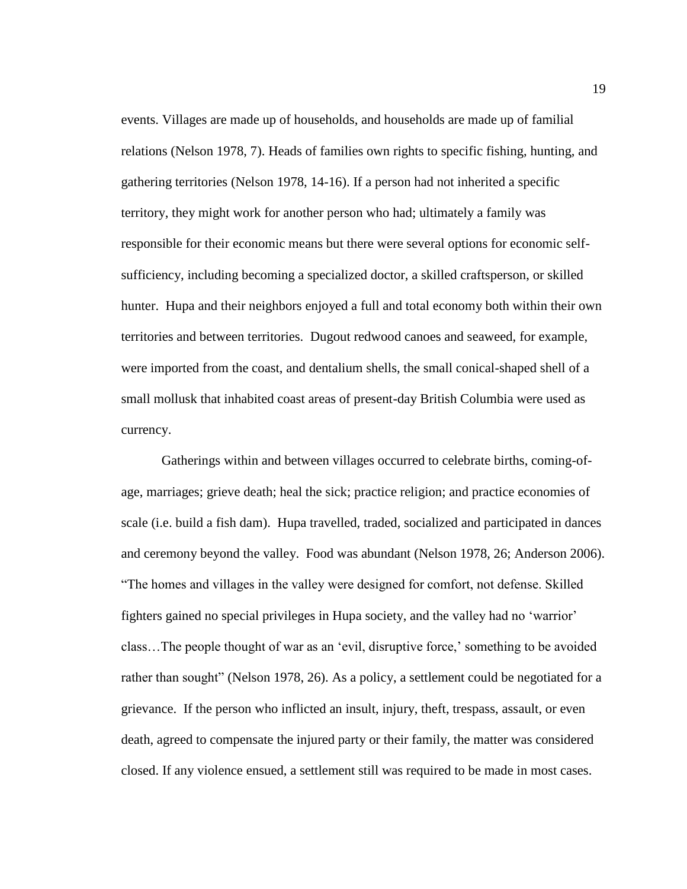events. Villages are made up of households, and households are made up of familial relations (Nelson 1978, 7). Heads of families own rights to specific fishing, hunting, and gathering territories (Nelson 1978, 14-16). If a person had not inherited a specific territory, they might work for another person who had; ultimately a family was responsible for their economic means but there were several options for economic selfsufficiency, including becoming a specialized doctor, a skilled craftsperson, or skilled hunter. Hupa and their neighbors enjoyed a full and total economy both within their own territories and between territories. Dugout redwood canoes and seaweed, for example, were imported from the coast, and dentalium shells, the small conical-shaped shell of a small mollusk that inhabited coast areas of present-day British Columbia were used as currency.

Gatherings within and between villages occurred to celebrate births, coming-ofage, marriages; grieve death; heal the sick; practice religion; and practice economies of scale (i.e. build a fish dam). Hupa travelled, traded, socialized and participated in dances and ceremony beyond the valley. Food was abundant (Nelson 1978, 26; Anderson 2006). "The homes and villages in the valley were designed for comfort, not defense. Skilled fighters gained no special privileges in Hupa society, and the valley had no 'warrior' class…The people thought of war as an 'evil, disruptive force,' something to be avoided rather than sought" (Nelson 1978, 26). As a policy, a settlement could be negotiated for a grievance. If the person who inflicted an insult, injury, theft, trespass, assault, or even death, agreed to compensate the injured party or their family, the matter was considered closed. If any violence ensued, a settlement still was required to be made in most cases.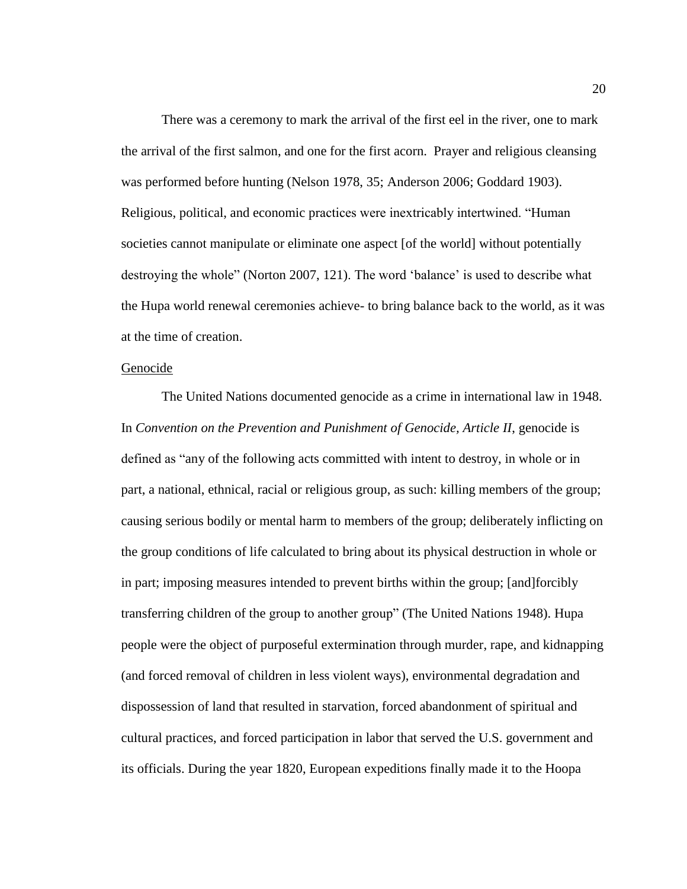There was a ceremony to mark the arrival of the first eel in the river, one to mark the arrival of the first salmon, and one for the first acorn. Prayer and religious cleansing was performed before hunting (Nelson 1978, 35; Anderson 2006; Goddard 1903). Religious, political, and economic practices were inextricably intertwined. "Human societies cannot manipulate or eliminate one aspect [of the world] without potentially destroying the whole" (Norton 2007, 121). The word 'balance' is used to describe what the Hupa world renewal ceremonies achieve- to bring balance back to the world, as it was at the time of creation.

#### <span id="page-27-0"></span>Genocide

The United Nations documented genocide as a crime in international law in 1948. In *Convention on the Prevention and Punishment of Genocide, Article II*, genocide is defined as "any of the following acts committed with intent to destroy, in whole or in part, a national, ethnical, racial or religious group, as such: killing members of the group; causing serious bodily or mental harm to members of the group; deliberately inflicting on the group conditions of life calculated to bring about its physical destruction in whole or in part; imposing measures intended to prevent births within the group; [and]forcibly transferring children of the group to another group" (The United Nations 1948). Hupa people were the object of purposeful extermination through murder, rape, and kidnapping (and forced removal of children in less violent ways), environmental degradation and dispossession of land that resulted in starvation, forced abandonment of spiritual and cultural practices, and forced participation in labor that served the U.S. government and its officials. During the year 1820, European expeditions finally made it to the Hoopa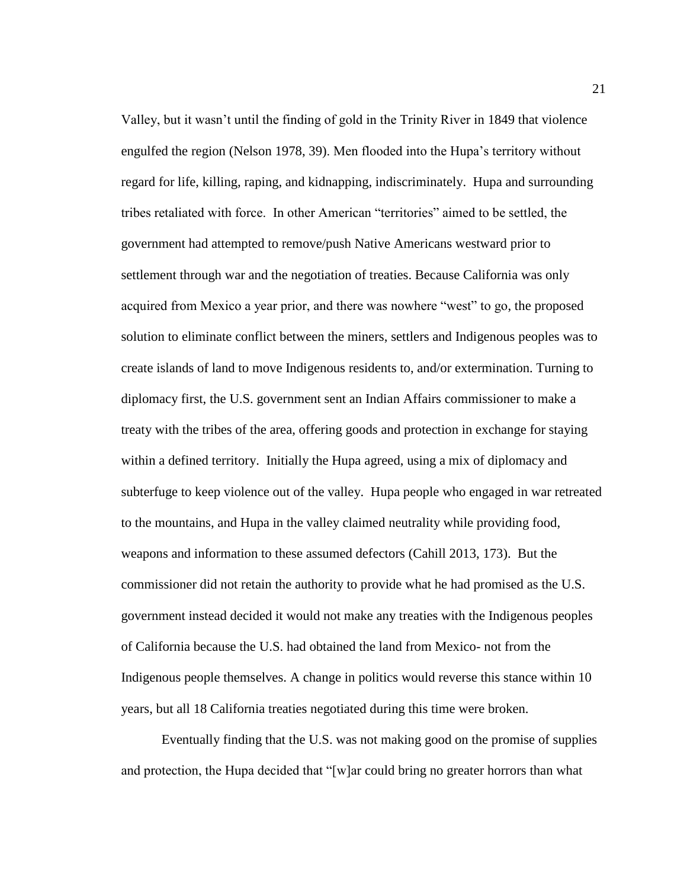Valley, but it wasn't until the finding of gold in the Trinity River in 1849 that violence engulfed the region (Nelson 1978, 39). Men flooded into the Hupa's territory without regard for life, killing, raping, and kidnapping, indiscriminately. Hupa and surrounding tribes retaliated with force. In other American "territories" aimed to be settled, the government had attempted to remove/push Native Americans westward prior to settlement through war and the negotiation of treaties. Because California was only acquired from Mexico a year prior, and there was nowhere "west" to go, the proposed solution to eliminate conflict between the miners, settlers and Indigenous peoples was to create islands of land to move Indigenous residents to, and/or extermination. Turning to diplomacy first, the U.S. government sent an Indian Affairs commissioner to make a treaty with the tribes of the area, offering goods and protection in exchange for staying within a defined territory. Initially the Hupa agreed, using a mix of diplomacy and subterfuge to keep violence out of the valley. Hupa people who engaged in war retreated to the mountains, and Hupa in the valley claimed neutrality while providing food, weapons and information to these assumed defectors (Cahill 2013, 173). But the commissioner did not retain the authority to provide what he had promised as the U.S. government instead decided it would not make any treaties with the Indigenous peoples of California because the U.S. had obtained the land from Mexico- not from the Indigenous people themselves. A change in politics would reverse this stance within 10 years, but all 18 California treaties negotiated during this time were broken.

Eventually finding that the U.S. was not making good on the promise of supplies and protection, the Hupa decided that "[w]ar could bring no greater horrors than what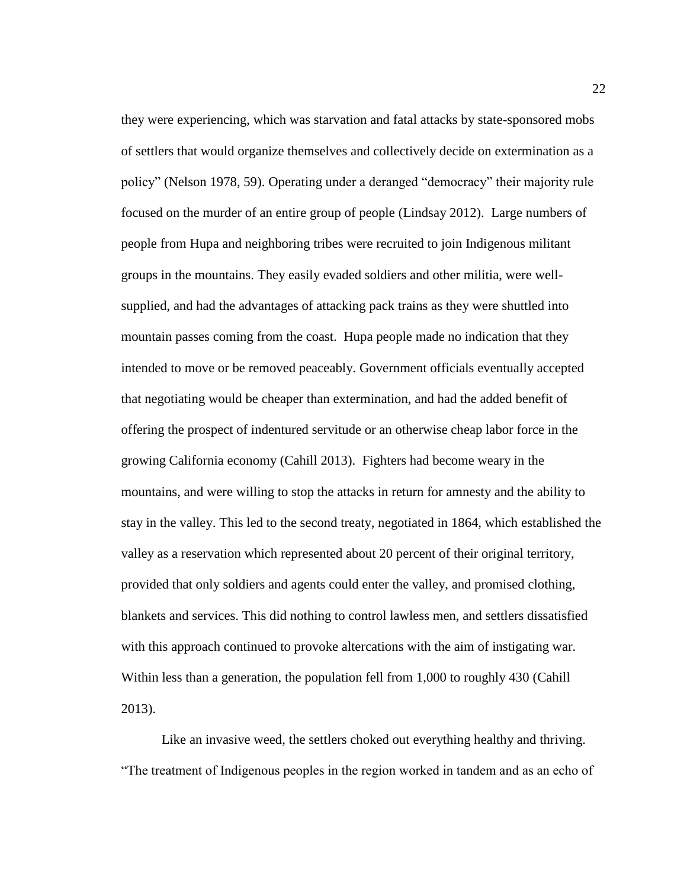they were experiencing, which was starvation and fatal attacks by state-sponsored mobs of settlers that would organize themselves and collectively decide on extermination as a policy" (Nelson 1978, 59). Operating under a deranged "democracy" their majority rule focused on the murder of an entire group of people (Lindsay 2012). Large numbers of people from Hupa and neighboring tribes were recruited to join Indigenous militant groups in the mountains. They easily evaded soldiers and other militia, were wellsupplied, and had the advantages of attacking pack trains as they were shuttled into mountain passes coming from the coast. Hupa people made no indication that they intended to move or be removed peaceably. Government officials eventually accepted that negotiating would be cheaper than extermination, and had the added benefit of offering the prospect of indentured servitude or an otherwise cheap labor force in the growing California economy (Cahill 2013). Fighters had become weary in the mountains, and were willing to stop the attacks in return for amnesty and the ability to stay in the valley. This led to the second treaty, negotiated in 1864, which established the valley as a reservation which represented about 20 percent of their original territory, provided that only soldiers and agents could enter the valley, and promised clothing, blankets and services. This did nothing to control lawless men, and settlers dissatisfied with this approach continued to provoke altercations with the aim of instigating war. Within less than a generation, the population fell from 1,000 to roughly 430 (Cahill 2013).

Like an invasive weed, the settlers choked out everything healthy and thriving. "The treatment of Indigenous peoples in the region worked in tandem and as an echo of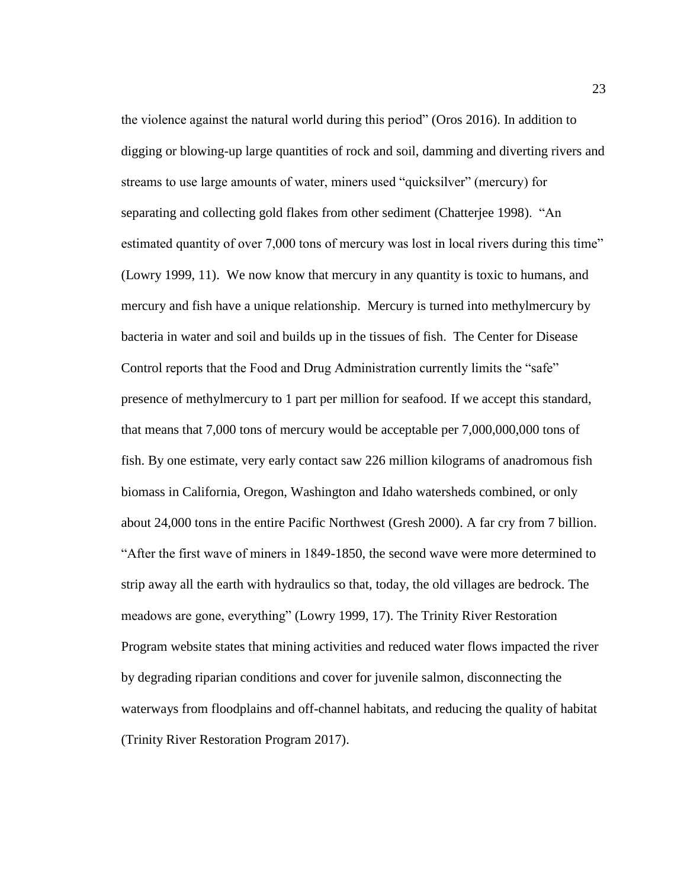the violence against the natural world during this period" (Oros 2016). In addition to digging or blowing-up large quantities of rock and soil, damming and diverting rivers and streams to use large amounts of water, miners used "quicksilver" (mercury) for separating and collecting gold flakes from other sediment (Chatterjee 1998). "An estimated quantity of over 7,000 tons of mercury was lost in local rivers during this time" (Lowry 1999, 11). We now know that mercury in any quantity is toxic to humans, and mercury and fish have a unique relationship. Mercury is turned into methylmercury by bacteria in water and soil and builds up in the tissues of fish. The Center for Disease Control reports that the Food and Drug Administration currently limits the "safe" presence of methylmercury to 1 part per million for seafood. If we accept this standard, that means that 7,000 tons of mercury would be acceptable per 7,000,000,000 tons of fish. By one estimate, very early contact saw 226 million kilograms of anadromous fish biomass in California, Oregon, Washington and Idaho watersheds combined, or only about 24,000 tons in the entire Pacific Northwest (Gresh 2000). A far cry from 7 billion. "After the first wave of miners in 1849-1850, the second wave were more determined to strip away all the earth with hydraulics so that, today, the old villages are bedrock. The meadows are gone, everything" (Lowry 1999, 17). The Trinity River Restoration Program website states that mining activities and reduced water flows impacted the river by degrading riparian conditions and cover for juvenile salmon, disconnecting the waterways from floodplains and off-channel habitats, and reducing the quality of habitat (Trinity River Restoration Program 2017).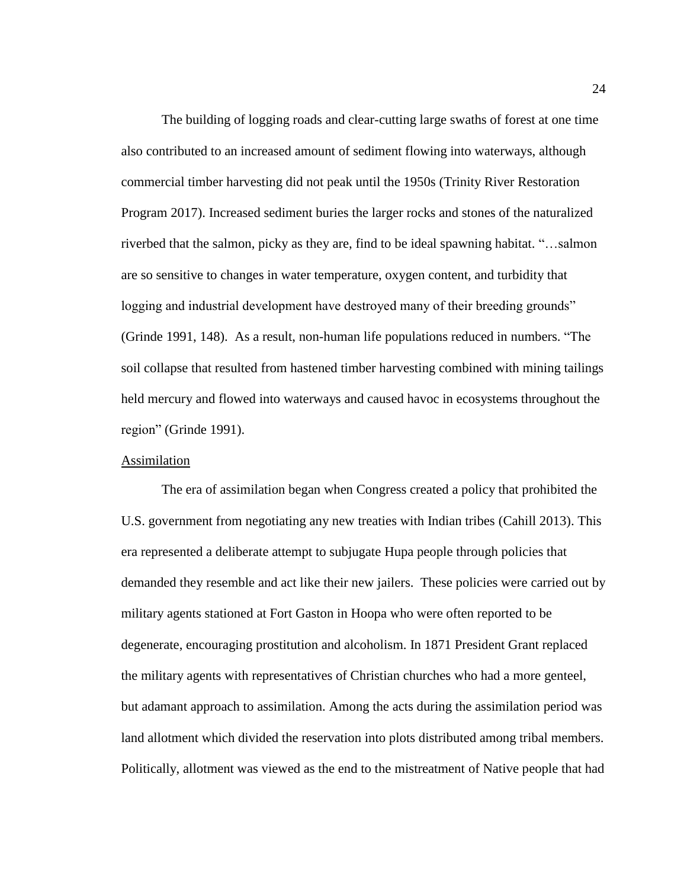The building of logging roads and clear-cutting large swaths of forest at one time also contributed to an increased amount of sediment flowing into waterways, although commercial timber harvesting did not peak until the 1950s (Trinity River Restoration Program 2017). Increased sediment buries the larger rocks and stones of the naturalized riverbed that the salmon, picky as they are, find to be ideal spawning habitat. "…salmon are so sensitive to changes in water temperature, oxygen content, and turbidity that logging and industrial development have destroyed many of their breeding grounds" (Grinde 1991, 148). As a result, non-human life populations reduced in numbers. "The soil collapse that resulted from hastened timber harvesting combined with mining tailings held mercury and flowed into waterways and caused havoc in ecosystems throughout the region" (Grinde 1991).

#### <span id="page-31-0"></span>Assimilation

The era of assimilation began when Congress created a policy that prohibited the U.S. government from negotiating any new treaties with Indian tribes (Cahill 2013). This era represented a deliberate attempt to subjugate Hupa people through policies that demanded they resemble and act like their new jailers. These policies were carried out by military agents stationed at Fort Gaston in Hoopa who were often reported to be degenerate, encouraging prostitution and alcoholism. In 1871 President Grant replaced the military agents with representatives of Christian churches who had a more genteel, but adamant approach to assimilation. Among the acts during the assimilation period was land allotment which divided the reservation into plots distributed among tribal members. Politically, allotment was viewed as the end to the mistreatment of Native people that had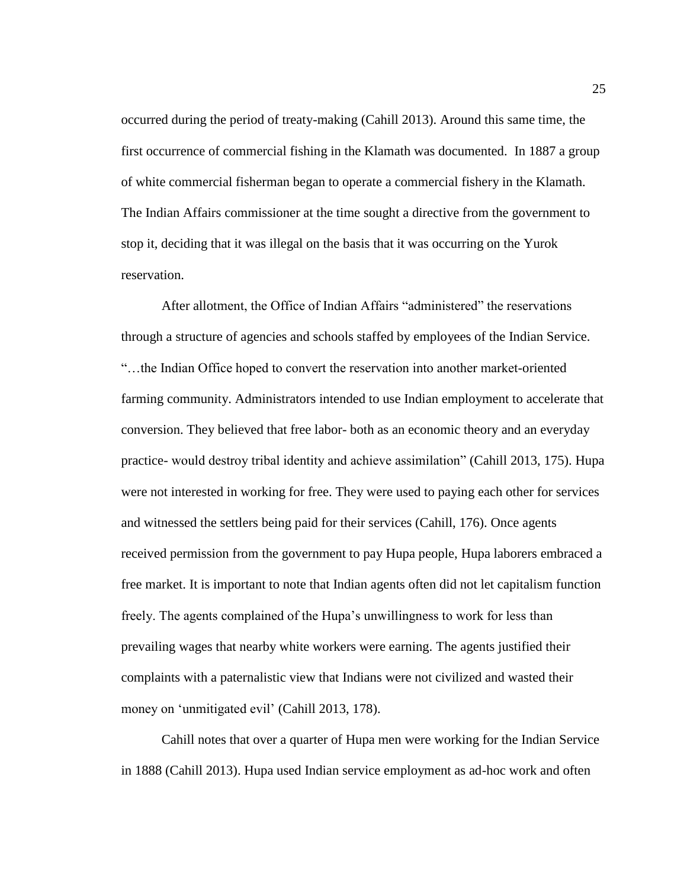occurred during the period of treaty-making (Cahill 2013). Around this same time, the first occurrence of commercial fishing in the Klamath was documented. In 1887 a group of white commercial fisherman began to operate a commercial fishery in the Klamath. The Indian Affairs commissioner at the time sought a directive from the government to stop it, deciding that it was illegal on the basis that it was occurring on the Yurok reservation.

After allotment, the Office of Indian Affairs "administered" the reservations through a structure of agencies and schools staffed by employees of the Indian Service. "…the Indian Office hoped to convert the reservation into another market-oriented farming community. Administrators intended to use Indian employment to accelerate that conversion. They believed that free labor- both as an economic theory and an everyday practice- would destroy tribal identity and achieve assimilation" (Cahill 2013, 175). Hupa were not interested in working for free. They were used to paying each other for services and witnessed the settlers being paid for their services (Cahill, 176). Once agents received permission from the government to pay Hupa people, Hupa laborers embraced a free market. It is important to note that Indian agents often did not let capitalism function freely. The agents complained of the Hupa's unwillingness to work for less than prevailing wages that nearby white workers were earning. The agents justified their complaints with a paternalistic view that Indians were not civilized and wasted their money on 'unmitigated evil' (Cahill 2013, 178).

Cahill notes that over a quarter of Hupa men were working for the Indian Service in 1888 (Cahill 2013). Hupa used Indian service employment as ad-hoc work and often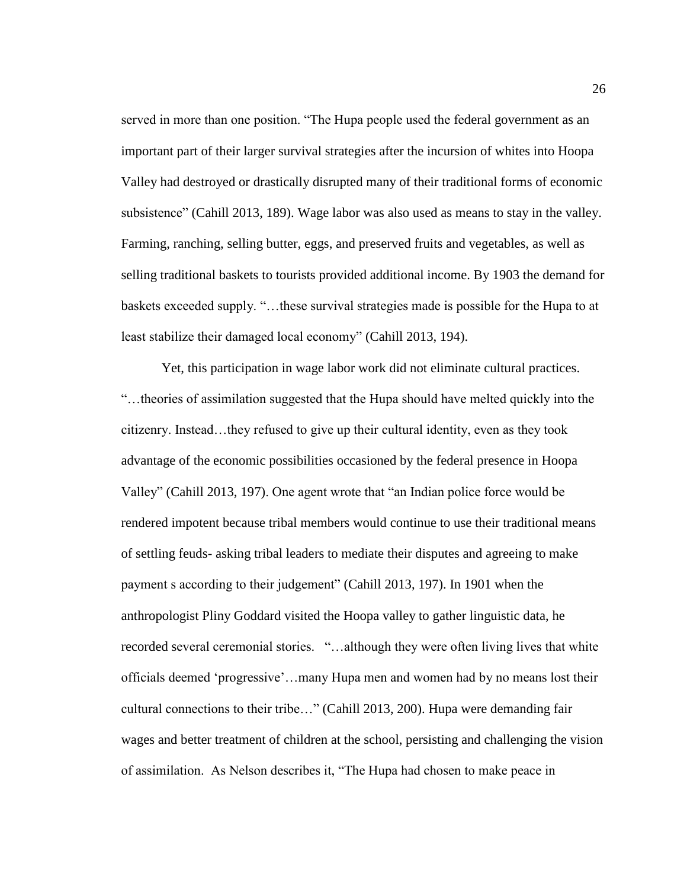served in more than one position. "The Hupa people used the federal government as an important part of their larger survival strategies after the incursion of whites into Hoopa Valley had destroyed or drastically disrupted many of their traditional forms of economic subsistence" (Cahill 2013, 189). Wage labor was also used as means to stay in the valley. Farming, ranching, selling butter, eggs, and preserved fruits and vegetables, as well as selling traditional baskets to tourists provided additional income. By 1903 the demand for baskets exceeded supply. "…these survival strategies made is possible for the Hupa to at least stabilize their damaged local economy" (Cahill 2013, 194).

Yet, this participation in wage labor work did not eliminate cultural practices. "…theories of assimilation suggested that the Hupa should have melted quickly into the citizenry. Instead…they refused to give up their cultural identity, even as they took advantage of the economic possibilities occasioned by the federal presence in Hoopa Valley" (Cahill 2013, 197). One agent wrote that "an Indian police force would be rendered impotent because tribal members would continue to use their traditional means of settling feuds- asking tribal leaders to mediate their disputes and agreeing to make payment s according to their judgement" (Cahill 2013, 197). In 1901 when the anthropologist Pliny Goddard visited the Hoopa valley to gather linguistic data, he recorded several ceremonial stories. "…although they were often living lives that white officials deemed 'progressive'…many Hupa men and women had by no means lost their cultural connections to their tribe…" (Cahill 2013, 200). Hupa were demanding fair wages and better treatment of children at the school, persisting and challenging the vision of assimilation. As Nelson describes it, "The Hupa had chosen to make peace in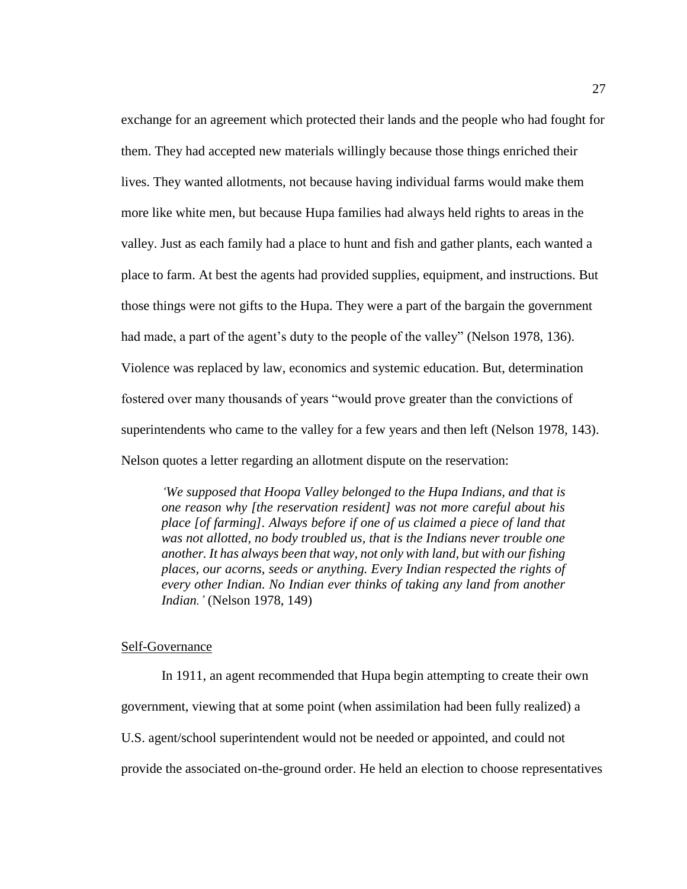exchange for an agreement which protected their lands and the people who had fought for them. They had accepted new materials willingly because those things enriched their lives. They wanted allotments, not because having individual farms would make them more like white men, but because Hupa families had always held rights to areas in the valley. Just as each family had a place to hunt and fish and gather plants, each wanted a place to farm. At best the agents had provided supplies, equipment, and instructions. But those things were not gifts to the Hupa. They were a part of the bargain the government had made, a part of the agent's duty to the people of the valley" (Nelson 1978, 136). Violence was replaced by law, economics and systemic education. But, determination fostered over many thousands of years "would prove greater than the convictions of superintendents who came to the valley for a few years and then left (Nelson 1978, 143). Nelson quotes a letter regarding an allotment dispute on the reservation:

*'We supposed that Hoopa Valley belonged to the Hupa Indians, and that is one reason why [the reservation resident] was not more careful about his place [of farming]. Always before if one of us claimed a piece of land that was not allotted, no body troubled us, that is the Indians never trouble one another. It has always been that way, not only with land, but with our fishing places, our acorns, seeds or anything. Every Indian respected the rights of every other Indian. No Indian ever thinks of taking any land from another Indian.'* (Nelson 1978, 149)

#### <span id="page-34-0"></span>Self-Governance

In 1911, an agent recommended that Hupa begin attempting to create their own government, viewing that at some point (when assimilation had been fully realized) a U.S. agent/school superintendent would not be needed or appointed, and could not provide the associated on-the-ground order. He held an election to choose representatives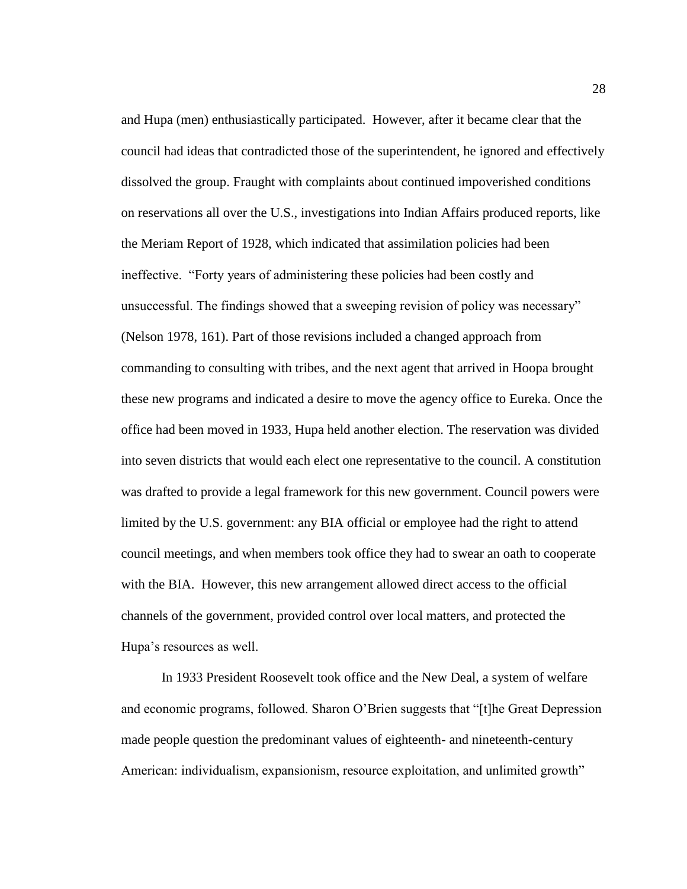and Hupa (men) enthusiastically participated. However, after it became clear that the council had ideas that contradicted those of the superintendent, he ignored and effectively dissolved the group. Fraught with complaints about continued impoverished conditions on reservations all over the U.S., investigations into Indian Affairs produced reports, like the Meriam Report of 1928, which indicated that assimilation policies had been ineffective. "Forty years of administering these policies had been costly and unsuccessful. The findings showed that a sweeping revision of policy was necessary" (Nelson 1978, 161). Part of those revisions included a changed approach from commanding to consulting with tribes, and the next agent that arrived in Hoopa brought these new programs and indicated a desire to move the agency office to Eureka. Once the office had been moved in 1933, Hupa held another election. The reservation was divided into seven districts that would each elect one representative to the council. A constitution was drafted to provide a legal framework for this new government. Council powers were limited by the U.S. government: any BIA official or employee had the right to attend council meetings, and when members took office they had to swear an oath to cooperate with the BIA. However, this new arrangement allowed direct access to the official channels of the government, provided control over local matters, and protected the Hupa's resources as well.

In 1933 President Roosevelt took office and the New Deal, a system of welfare and economic programs, followed. Sharon O'Brien suggests that "[t]he Great Depression made people question the predominant values of eighteenth- and nineteenth-century American: individualism, expansionism, resource exploitation, and unlimited growth"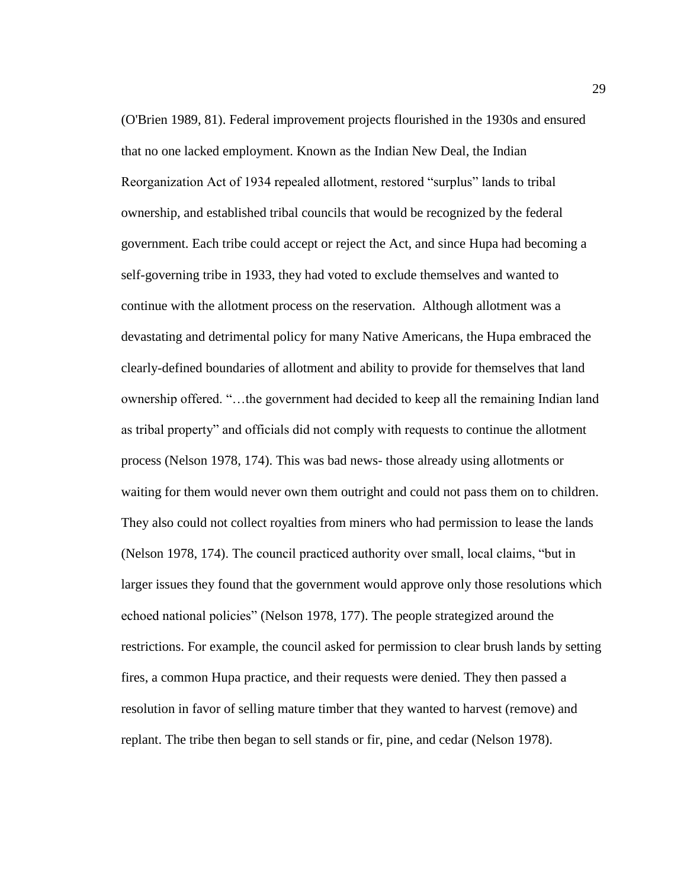(O'Brien 1989, 81). Federal improvement projects flourished in the 1930s and ensured that no one lacked employment. Known as the Indian New Deal, the Indian Reorganization Act of 1934 repealed allotment, restored "surplus" lands to tribal ownership, and established tribal councils that would be recognized by the federal government. Each tribe could accept or reject the Act, and since Hupa had becoming a self-governing tribe in 1933, they had voted to exclude themselves and wanted to continue with the allotment process on the reservation. Although allotment was a devastating and detrimental policy for many Native Americans, the Hupa embraced the clearly-defined boundaries of allotment and ability to provide for themselves that land ownership offered. "…the government had decided to keep all the remaining Indian land as tribal property" and officials did not comply with requests to continue the allotment process (Nelson 1978, 174). This was bad news- those already using allotments or waiting for them would never own them outright and could not pass them on to children. They also could not collect royalties from miners who had permission to lease the lands (Nelson 1978, 174). The council practiced authority over small, local claims, "but in larger issues they found that the government would approve only those resolutions which echoed national policies" (Nelson 1978, 177). The people strategized around the restrictions. For example, the council asked for permission to clear brush lands by setting fires, a common Hupa practice, and their requests were denied. They then passed a resolution in favor of selling mature timber that they wanted to harvest (remove) and replant. The tribe then began to sell stands or fir, pine, and cedar (Nelson 1978).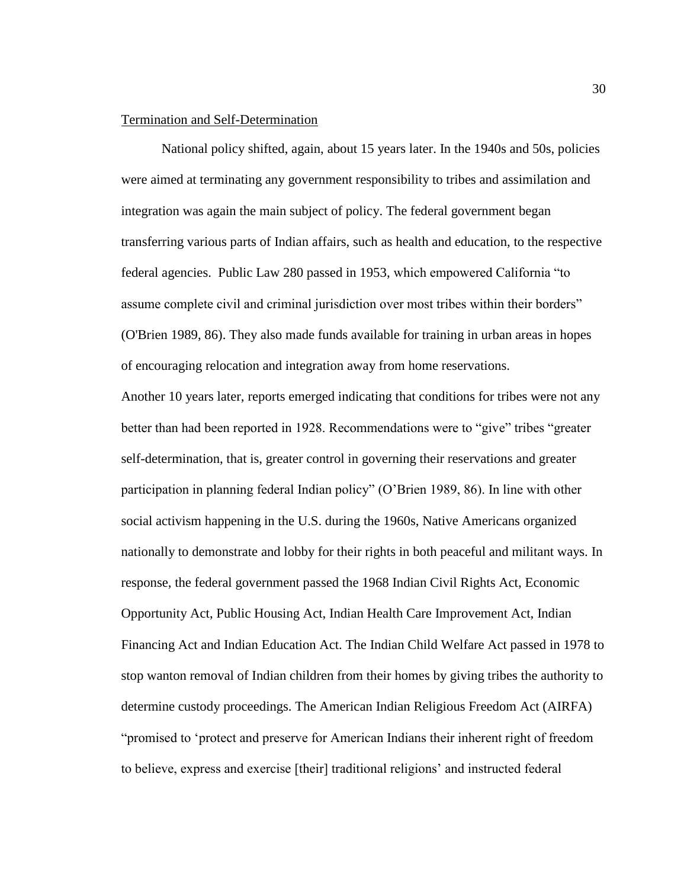# Termination and Self-Determination

National policy shifted, again, about 15 years later. In the 1940s and 50s, policies were aimed at terminating any government responsibility to tribes and assimilation and integration was again the main subject of policy. The federal government began transferring various parts of Indian affairs, such as health and education, to the respective federal agencies. Public Law 280 passed in 1953, which empowered California "to assume complete civil and criminal jurisdiction over most tribes within their borders" (O'Brien 1989, 86). They also made funds available for training in urban areas in hopes of encouraging relocation and integration away from home reservations.

Another 10 years later, reports emerged indicating that conditions for tribes were not any better than had been reported in 1928. Recommendations were to "give" tribes "greater self-determination, that is, greater control in governing their reservations and greater participation in planning federal Indian policy" (O'Brien 1989, 86). In line with other social activism happening in the U.S. during the 1960s, Native Americans organized nationally to demonstrate and lobby for their rights in both peaceful and militant ways. In response, the federal government passed the 1968 Indian Civil Rights Act, Economic Opportunity Act, Public Housing Act, Indian Health Care Improvement Act, Indian Financing Act and Indian Education Act. The Indian Child Welfare Act passed in 1978 to stop wanton removal of Indian children from their homes by giving tribes the authority to determine custody proceedings. The American Indian Religious Freedom Act (AIRFA) "promised to 'protect and preserve for American Indians their inherent right of freedom to believe, express and exercise [their] traditional religions' and instructed federal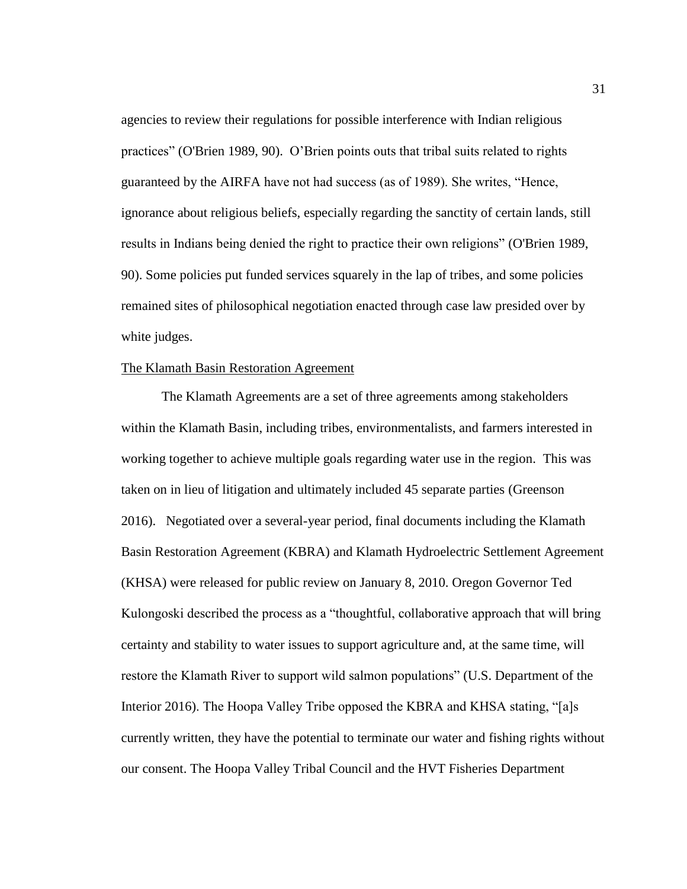agencies to review their regulations for possible interference with Indian religious practices" (O'Brien 1989, 90). O'Brien points outs that tribal suits related to rights guaranteed by the AIRFA have not had success (as of 1989). She writes, "Hence, ignorance about religious beliefs, especially regarding the sanctity of certain lands, still results in Indians being denied the right to practice their own religions" (O'Brien 1989, 90). Some policies put funded services squarely in the lap of tribes, and some policies remained sites of philosophical negotiation enacted through case law presided over by white judges.

# The Klamath Basin Restoration Agreement

The Klamath Agreements are a set of three agreements among stakeholders within the Klamath Basin, including tribes, environmentalists, and farmers interested in working together to achieve multiple goals regarding water use in the region. This was taken on in lieu of litigation and ultimately included 45 separate parties (Greenson 2016). Negotiated over a several-year period, final documents including the Klamath Basin Restoration Agreement (KBRA) and Klamath Hydroelectric Settlement Agreement (KHSA) were released for public review on January 8, 2010. Oregon Governor Ted Kulongoski described the process as a "thoughtful, collaborative approach that will bring certainty and stability to water issues to support agriculture and, at the same time, will restore the Klamath River to support wild salmon populations" (U.S. Department of the Interior 2016). The Hoopa Valley Tribe opposed the KBRA and KHSA stating, "[a]s currently written, they have the potential to terminate our water and fishing rights without our consent. The Hoopa Valley Tribal Council and the HVT Fisheries Department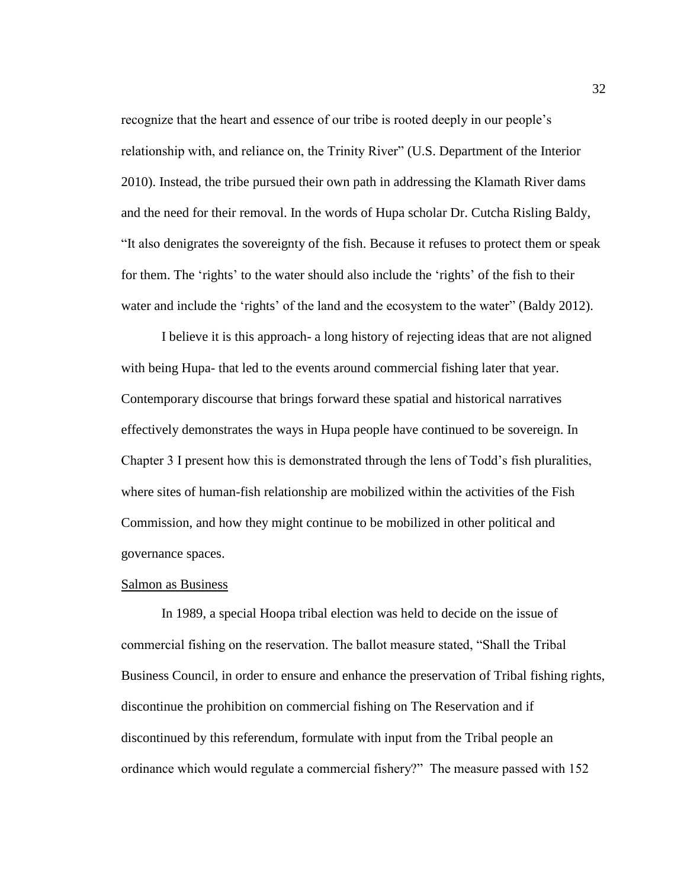recognize that the heart and essence of our tribe is rooted deeply in our people's relationship with, and reliance on, the Trinity River" (U.S. Department of the Interior 2010). Instead, the tribe pursued their own path in addressing the Klamath River dams and the need for their removal. In the words of Hupa scholar Dr. Cutcha Risling Baldy, "It also denigrates the sovereignty of the fish. Because it refuses to protect them or speak for them. The 'rights' to the water should also include the 'rights' of the fish to their water and include the 'rights' of the land and the ecosystem to the water" (Baldy 2012).

I believe it is this approach- a long history of rejecting ideas that are not aligned with being Hupa- that led to the events around commercial fishing later that year. Contemporary discourse that brings forward these spatial and historical narratives effectively demonstrates the ways in Hupa people have continued to be sovereign. In Chapter 3 I present how this is demonstrated through the lens of Todd's fish pluralities, where sites of human-fish relationship are mobilized within the activities of the Fish Commission, and how they might continue to be mobilized in other political and governance spaces.

#### Salmon as Business

In 1989, a special Hoopa tribal election was held to decide on the issue of commercial fishing on the reservation. The ballot measure stated, "Shall the Tribal Business Council, in order to ensure and enhance the preservation of Tribal fishing rights, discontinue the prohibition on commercial fishing on The Reservation and if discontinued by this referendum, formulate with input from the Tribal people an ordinance which would regulate a commercial fishery?" The measure passed with 152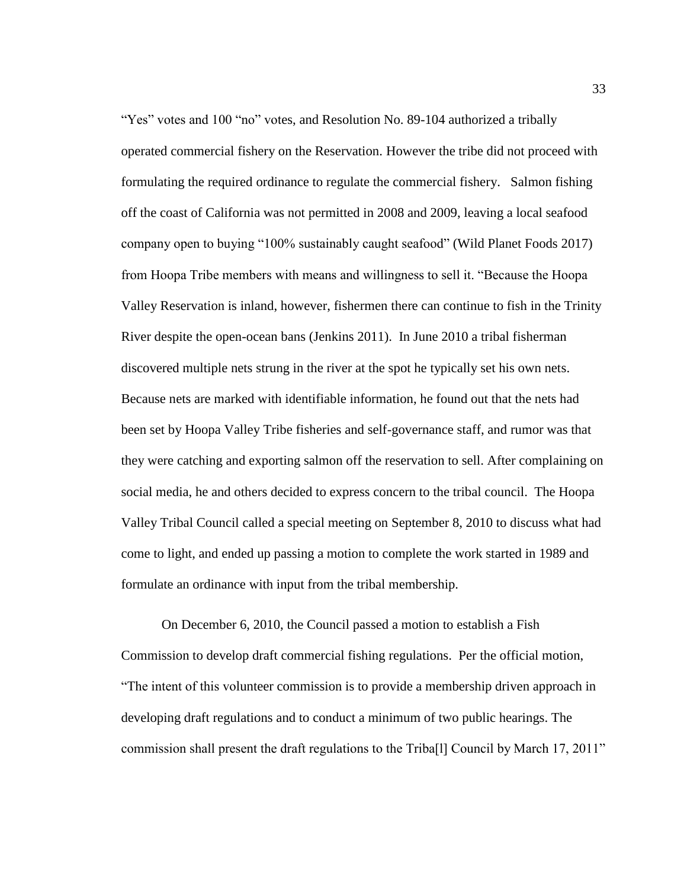"Yes" votes and 100 "no" votes, and Resolution No. 89-104 authorized a tribally operated commercial fishery on the Reservation. However the tribe did not proceed with formulating the required ordinance to regulate the commercial fishery. Salmon fishing off the coast of California was not permitted in 2008 and 2009, leaving a local seafood company open to buying "100% sustainably caught seafood" (Wild Planet Foods 2017) from Hoopa Tribe members with means and willingness to sell it. "Because the Hoopa Valley Reservation is inland, however, fishermen there can continue to fish in the Trinity River despite the open-ocean bans (Jenkins 2011). In June 2010 a tribal fisherman discovered multiple nets strung in the river at the spot he typically set his own nets. Because nets are marked with identifiable information, he found out that the nets had been set by Hoopa Valley Tribe fisheries and self-governance staff, and rumor was that they were catching and exporting salmon off the reservation to sell. After complaining on social media, he and others decided to express concern to the tribal council. The Hoopa Valley Tribal Council called a special meeting on September 8, 2010 to discuss what had come to light, and ended up passing a motion to complete the work started in 1989 and formulate an ordinance with input from the tribal membership.

On December 6, 2010, the Council passed a motion to establish a Fish Commission to develop draft commercial fishing regulations. Per the official motion, "The intent of this volunteer commission is to provide a membership driven approach in developing draft regulations and to conduct a minimum of two public hearings. The commission shall present the draft regulations to the Triba[l] Council by March 17, 2011"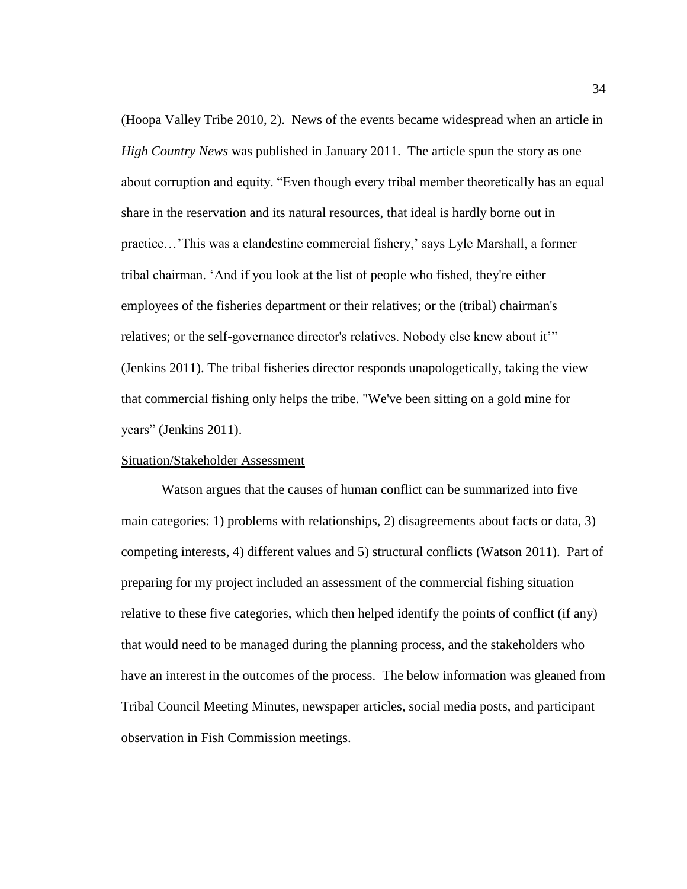(Hoopa Valley Tribe 2010, 2). News of the events became widespread when an article in *High Country News* was published in January 2011. The article spun the story as one about corruption and equity. "Even though every tribal member theoretically has an equal share in the reservation and its natural resources, that ideal is hardly borne out in practice…'This was a clandestine commercial fishery,' says Lyle Marshall, a former tribal chairman. 'And if you look at the list of people who fished, they're either employees of the fisheries department or their relatives; or the (tribal) chairman's relatives; or the self-governance director's relatives. Nobody else knew about it" (Jenkins 2011). The tribal fisheries director responds unapologetically, taking the view that commercial fishing only helps the tribe. "We've been sitting on a gold mine for years" (Jenkins 2011).

## Situation/Stakeholder Assessment

Watson argues that the causes of human conflict can be summarized into five main categories: 1) problems with relationships, 2) disagreements about facts or data, 3) competing interests, 4) different values and 5) structural conflicts (Watson 2011). Part of preparing for my project included an assessment of the commercial fishing situation relative to these five categories, which then helped identify the points of conflict (if any) that would need to be managed during the planning process, and the stakeholders who have an interest in the outcomes of the process. The below information was gleaned from Tribal Council Meeting Minutes, newspaper articles, social media posts, and participant observation in Fish Commission meetings.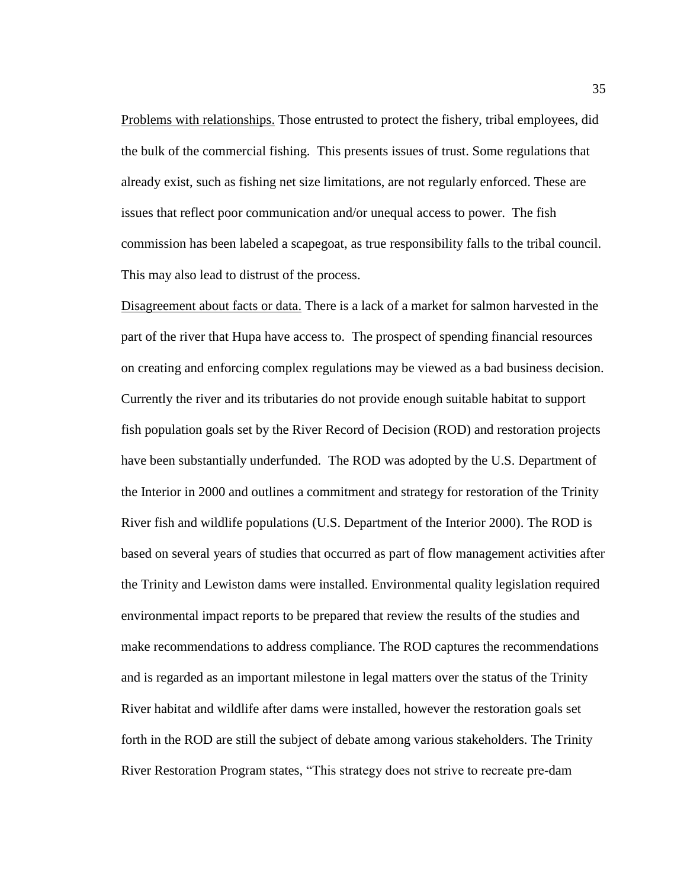Problems with relationships. Those entrusted to protect the fishery, tribal employees, did the bulk of the commercial fishing. This presents issues of trust. Some regulations that already exist, such as fishing net size limitations, are not regularly enforced. These are issues that reflect poor communication and/or unequal access to power. The fish commission has been labeled a scapegoat, as true responsibility falls to the tribal council. This may also lead to distrust of the process.

Disagreement about facts or data. There is a lack of a market for salmon harvested in the part of the river that Hupa have access to. The prospect of spending financial resources on creating and enforcing complex regulations may be viewed as a bad business decision. Currently the river and its tributaries do not provide enough suitable habitat to support fish population goals set by the River Record of Decision (ROD) and restoration projects have been substantially underfunded. The ROD was adopted by the U.S. Department of the Interior in 2000 and outlines a commitment and strategy for restoration of the Trinity River fish and wildlife populations (U.S. Department of the Interior 2000). The ROD is based on several years of studies that occurred as part of flow management activities after the Trinity and Lewiston dams were installed. Environmental quality legislation required environmental impact reports to be prepared that review the results of the studies and make recommendations to address compliance. The ROD captures the recommendations and is regarded as an important milestone in legal matters over the status of the Trinity River habitat and wildlife after dams were installed, however the restoration goals set forth in the ROD are still the subject of debate among various stakeholders. The Trinity River Restoration Program states, "This strategy does not strive to recreate pre-dam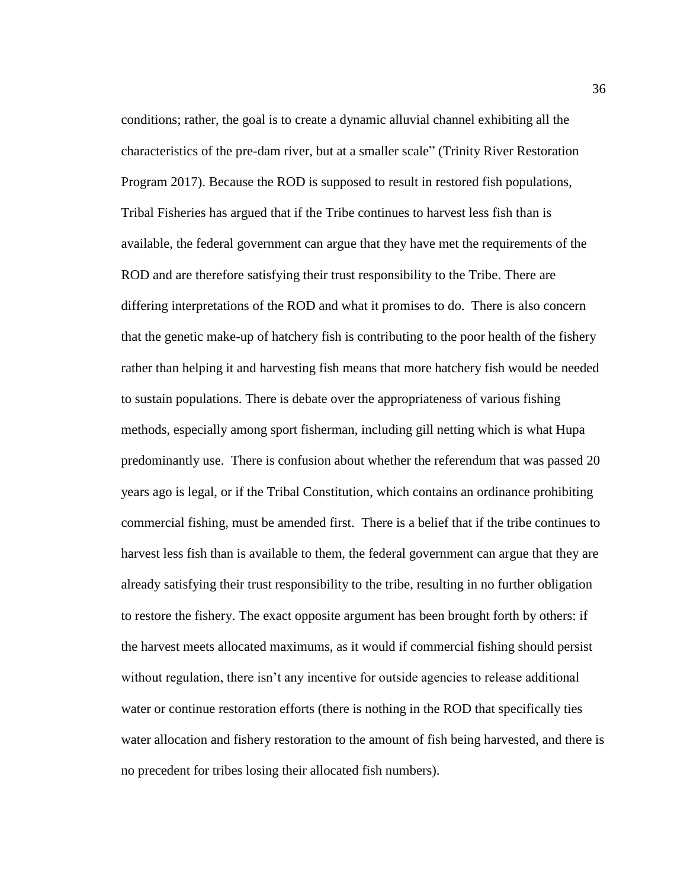conditions; rather, the goal is to create a dynamic alluvial channel exhibiting all the characteristics of the pre-dam river, but at a smaller scale" (Trinity River Restoration Program 2017). Because the ROD is supposed to result in restored fish populations, Tribal Fisheries has argued that if the Tribe continues to harvest less fish than is available, the federal government can argue that they have met the requirements of the ROD and are therefore satisfying their trust responsibility to the Tribe. There are differing interpretations of the ROD and what it promises to do. There is also concern that the genetic make-up of hatchery fish is contributing to the poor health of the fishery rather than helping it and harvesting fish means that more hatchery fish would be needed to sustain populations. There is debate over the appropriateness of various fishing methods, especially among sport fisherman, including gill netting which is what Hupa predominantly use. There is confusion about whether the referendum that was passed 20 years ago is legal, or if the Tribal Constitution, which contains an ordinance prohibiting commercial fishing, must be amended first. There is a belief that if the tribe continues to harvest less fish than is available to them, the federal government can argue that they are already satisfying their trust responsibility to the tribe, resulting in no further obligation to restore the fishery. The exact opposite argument has been brought forth by others: if the harvest meets allocated maximums, as it would if commercial fishing should persist without regulation, there isn't any incentive for outside agencies to release additional water or continue restoration efforts (there is nothing in the ROD that specifically ties water allocation and fishery restoration to the amount of fish being harvested, and there is no precedent for tribes losing their allocated fish numbers).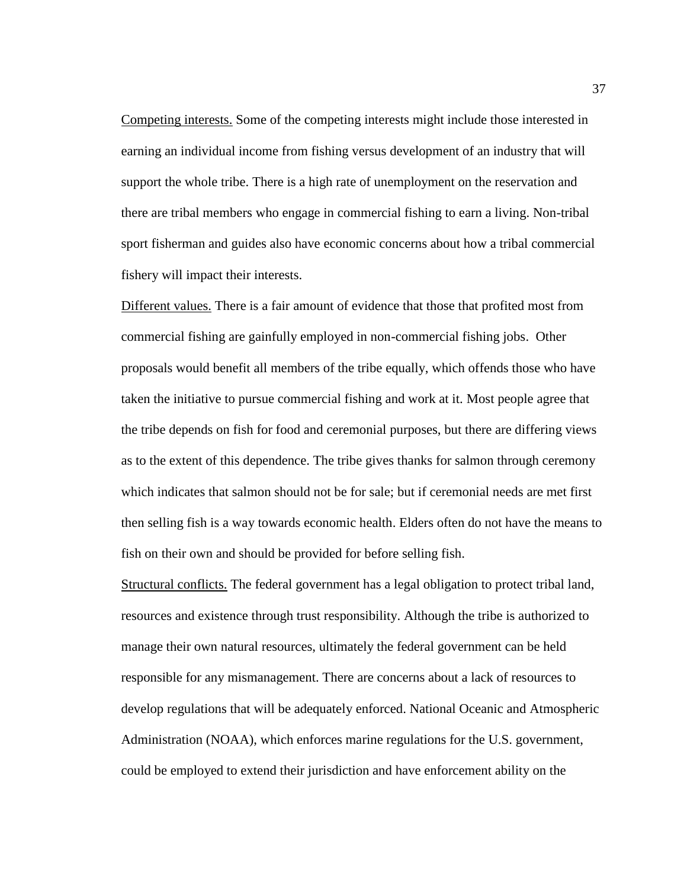Competing interests. Some of the competing interests might include those interested in earning an individual income from fishing versus development of an industry that will support the whole tribe. There is a high rate of unemployment on the reservation and there are tribal members who engage in commercial fishing to earn a living. Non-tribal sport fisherman and guides also have economic concerns about how a tribal commercial fishery will impact their interests.

Different values. There is a fair amount of evidence that those that profited most from commercial fishing are gainfully employed in non-commercial fishing jobs. Other proposals would benefit all members of the tribe equally, which offends those who have taken the initiative to pursue commercial fishing and work at it. Most people agree that the tribe depends on fish for food and ceremonial purposes, but there are differing views as to the extent of this dependence. The tribe gives thanks for salmon through ceremony which indicates that salmon should not be for sale; but if ceremonial needs are met first then selling fish is a way towards economic health. Elders often do not have the means to fish on their own and should be provided for before selling fish.

Structural conflicts. The federal government has a legal obligation to protect tribal land, resources and existence through trust responsibility. Although the tribe is authorized to manage their own natural resources, ultimately the federal government can be held responsible for any mismanagement. There are concerns about a lack of resources to develop regulations that will be adequately enforced. National Oceanic and Atmospheric Administration (NOAA), which enforces marine regulations for the U.S. government, could be employed to extend their jurisdiction and have enforcement ability on the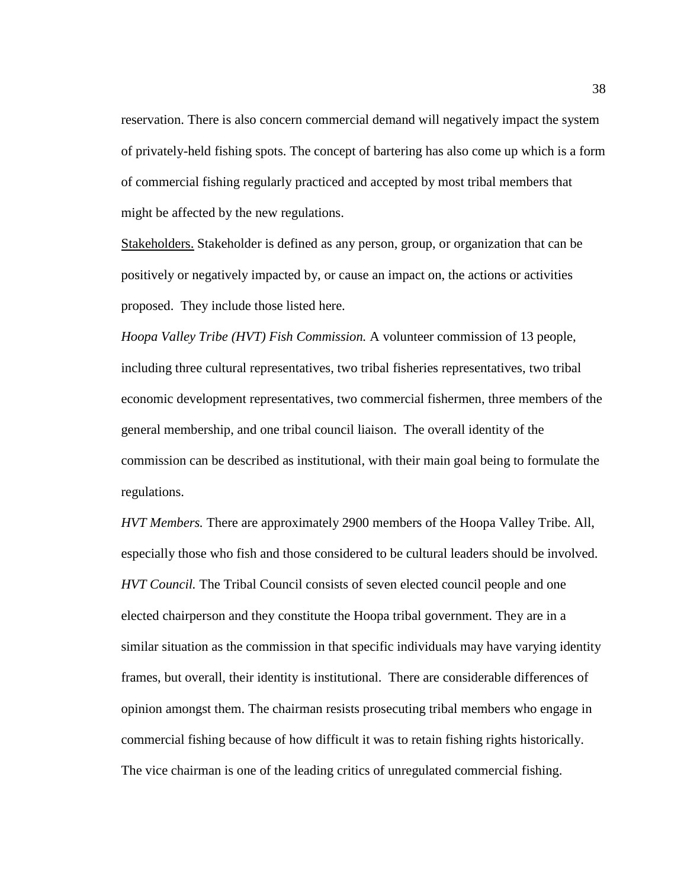reservation. There is also concern commercial demand will negatively impact the system of privately-held fishing spots. The concept of bartering has also come up which is a form of commercial fishing regularly practiced and accepted by most tribal members that might be affected by the new regulations.

Stakeholders. Stakeholder is defined as any person, group, or organization that can be positively or negatively impacted by, or cause an impact on, the actions or activities proposed. They include those listed here.

*Hoopa Valley Tribe (HVT) Fish Commission.* A volunteer commission of 13 people, including three cultural representatives, two tribal fisheries representatives, two tribal economic development representatives, two commercial fishermen, three members of the general membership, and one tribal council liaison. The overall identity of the commission can be described as institutional, with their main goal being to formulate the regulations.

*HVT Members.* There are approximately 2900 members of the Hoopa Valley Tribe. All, especially those who fish and those considered to be cultural leaders should be involved. *HVT Council.* The Tribal Council consists of seven elected council people and one elected chairperson and they constitute the Hoopa tribal government. They are in a similar situation as the commission in that specific individuals may have varying identity frames, but overall, their identity is institutional. There are considerable differences of opinion amongst them. The chairman resists prosecuting tribal members who engage in commercial fishing because of how difficult it was to retain fishing rights historically. The vice chairman is one of the leading critics of unregulated commercial fishing.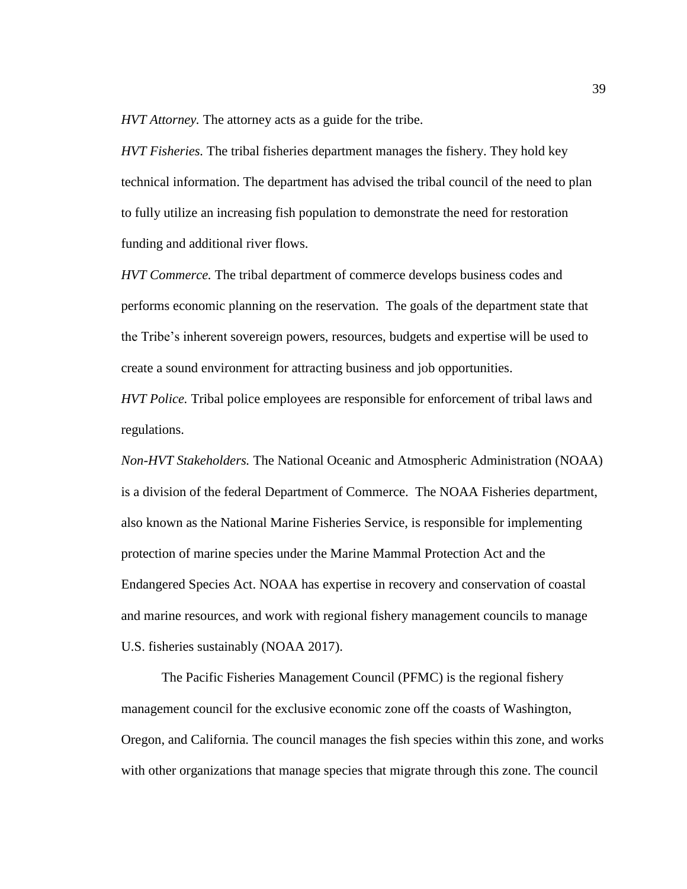*HVT Attorney.* The attorney acts as a guide for the tribe.

*HVT Fisheries.* The tribal fisheries department manages the fishery. They hold key technical information. The department has advised the tribal council of the need to plan to fully utilize an increasing fish population to demonstrate the need for restoration funding and additional river flows.

*HVT Commerce.* The tribal department of commerce develops business codes and performs economic planning on the reservation. The goals of the department state that the Tribe's inherent sovereign powers, resources, budgets and expertise will be used to create a sound environment for attracting business and job opportunities.

*HVT Police.* Tribal police employees are responsible for enforcement of tribal laws and regulations.

*Non-HVT Stakeholders.* The National Oceanic and Atmospheric Administration (NOAA) is a division of the federal Department of Commerce. The NOAA Fisheries department, also known as the National Marine Fisheries Service, is responsible for implementing protection of marine species under the Marine Mammal Protection Act and the Endangered Species Act. NOAA has expertise in recovery and conservation of coastal and marine resources, and work with regional fishery management councils to manage U.S. fisheries sustainably (NOAA 2017).

The Pacific Fisheries Management Council (PFMC) is the regional fishery management council for the exclusive economic zone off the coasts of Washington, Oregon, and California. The council manages the fish species within this zone, and works with other organizations that manage species that migrate through this zone. The council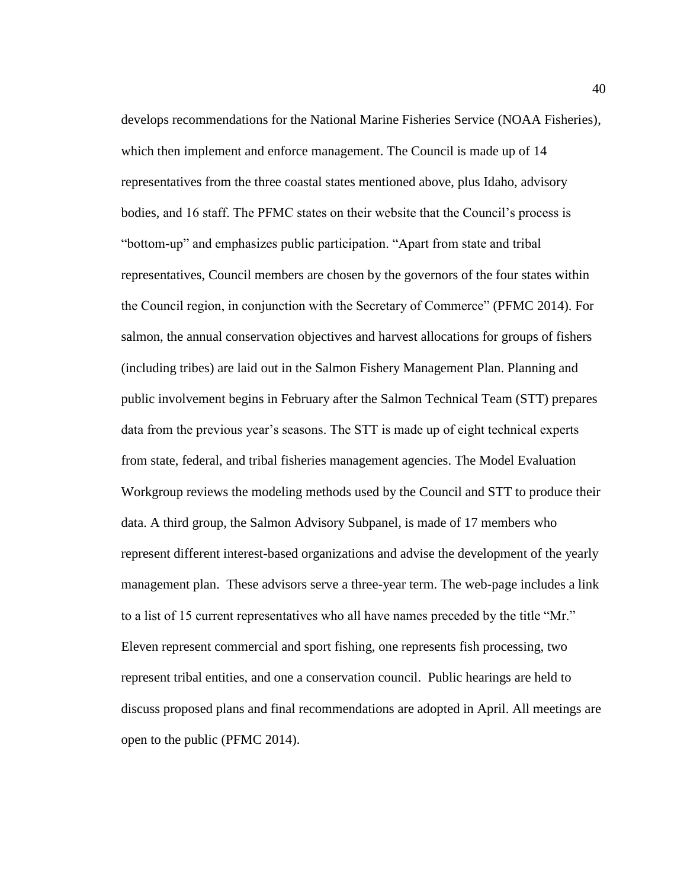develops recommendations for the National Marine Fisheries Service (NOAA Fisheries), which then implement and enforce management. The Council is made up of 14 representatives from the three coastal states mentioned above, plus Idaho, advisory bodies, and 16 staff. The PFMC states on their website that the Council's process is "bottom-up" and emphasizes public participation. "Apart from state and tribal representatives, Council members are chosen by the governors of the four states within the Council region, in conjunction with the Secretary of Commerce" (PFMC 2014). For salmon, the annual conservation objectives and harvest allocations for groups of fishers (including tribes) are laid out in the Salmon Fishery Management Plan. Planning and public involvement begins in February after the Salmon Technical Team (STT) prepares data from the previous year's seasons. The STT is made up of eight technical experts from state, federal, and tribal fisheries management agencies. The Model Evaluation Workgroup reviews the modeling methods used by the Council and STT to produce their data. A third group, the Salmon Advisory Subpanel, is made of 17 members who represent different interest-based organizations and advise the development of the yearly management plan. These advisors serve a three-year term. The web-page includes a link to a list of 15 current representatives who all have names preceded by the title "Mr." Eleven represent commercial and sport fishing, one represents fish processing, two represent tribal entities, and one a conservation council. Public hearings are held to discuss proposed plans and final recommendations are adopted in April. All meetings are open to the public (PFMC 2014).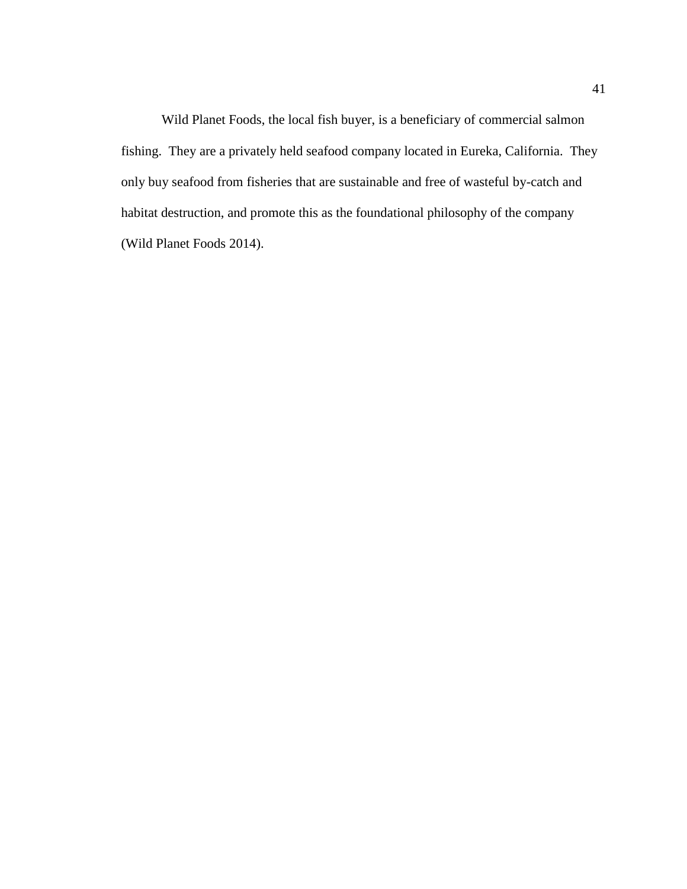Wild Planet Foods, the local fish buyer, is a beneficiary of commercial salmon fishing. They are a privately held seafood company located in Eureka, California. They only buy seafood from fisheries that are sustainable and free of wasteful by-catch and habitat destruction, and promote this as the foundational philosophy of the company (Wild Planet Foods 2014).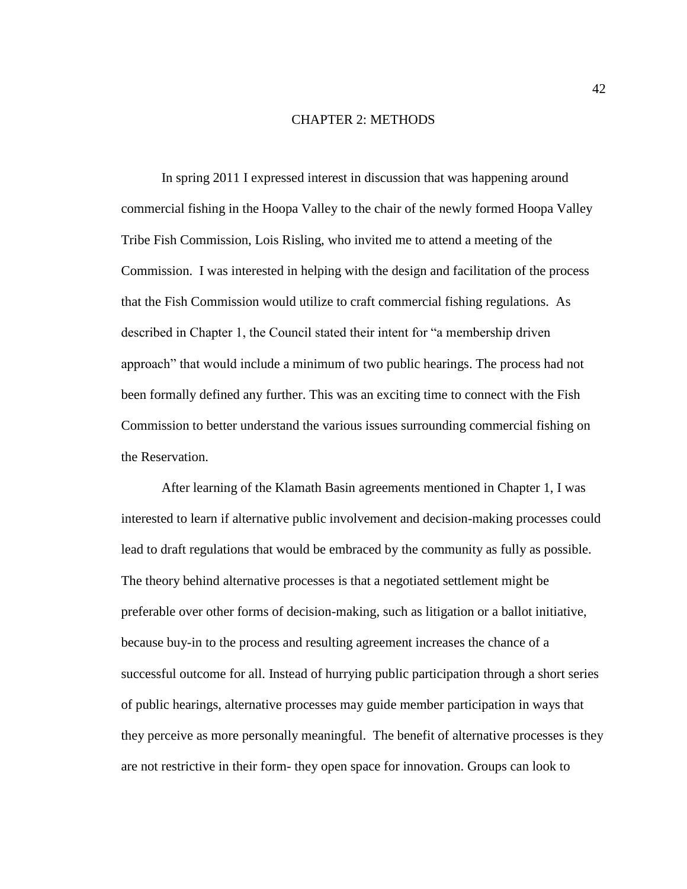## CHAPTER 2: METHODS

In spring 2011 I expressed interest in discussion that was happening around commercial fishing in the Hoopa Valley to the chair of the newly formed Hoopa Valley Tribe Fish Commission, Lois Risling, who invited me to attend a meeting of the Commission. I was interested in helping with the design and facilitation of the process that the Fish Commission would utilize to craft commercial fishing regulations. As described in Chapter 1, the Council stated their intent for "a membership driven approach" that would include a minimum of two public hearings. The process had not been formally defined any further. This was an exciting time to connect with the Fish Commission to better understand the various issues surrounding commercial fishing on the Reservation.

After learning of the Klamath Basin agreements mentioned in Chapter 1, I was interested to learn if alternative public involvement and decision-making processes could lead to draft regulations that would be embraced by the community as fully as possible. The theory behind alternative processes is that a negotiated settlement might be preferable over other forms of decision-making, such as litigation or a ballot initiative, because buy-in to the process and resulting agreement increases the chance of a successful outcome for all. Instead of hurrying public participation through a short series of public hearings, alternative processes may guide member participation in ways that they perceive as more personally meaningful. The benefit of alternative processes is they are not restrictive in their form- they open space for innovation. Groups can look to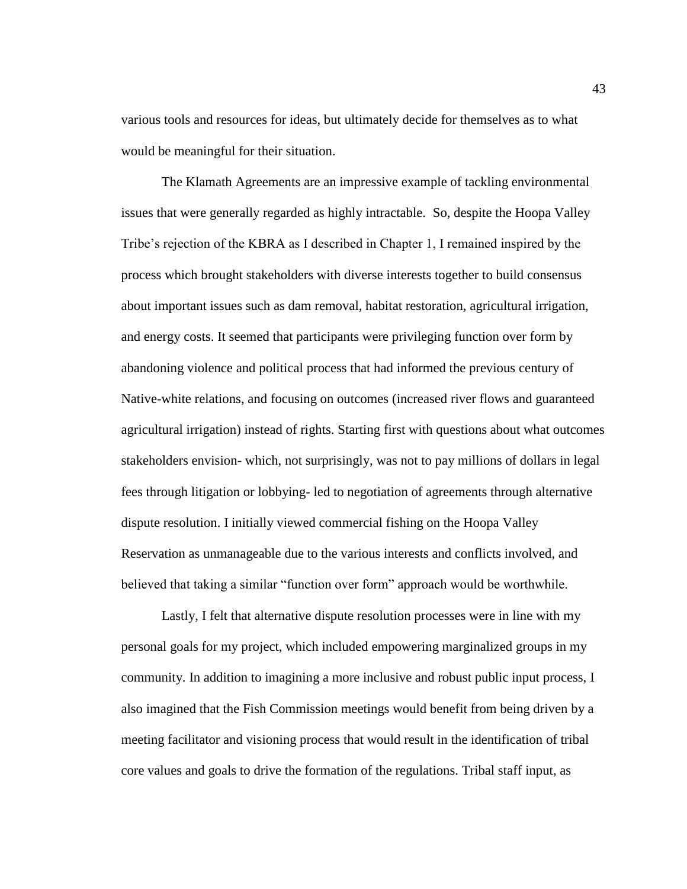various tools and resources for ideas, but ultimately decide for themselves as to what would be meaningful for their situation.

The Klamath Agreements are an impressive example of tackling environmental issues that were generally regarded as highly intractable. So, despite the Hoopa Valley Tribe's rejection of the KBRA as I described in Chapter 1, I remained inspired by the process which brought stakeholders with diverse interests together to build consensus about important issues such as dam removal, habitat restoration, agricultural irrigation, and energy costs. It seemed that participants were privileging function over form by abandoning violence and political process that had informed the previous century of Native-white relations, and focusing on outcomes (increased river flows and guaranteed agricultural irrigation) instead of rights. Starting first with questions about what outcomes stakeholders envision- which, not surprisingly, was not to pay millions of dollars in legal fees through litigation or lobbying- led to negotiation of agreements through alternative dispute resolution. I initially viewed commercial fishing on the Hoopa Valley Reservation as unmanageable due to the various interests and conflicts involved, and believed that taking a similar "function over form" approach would be worthwhile.

Lastly, I felt that alternative dispute resolution processes were in line with my personal goals for my project, which included empowering marginalized groups in my community. In addition to imagining a more inclusive and robust public input process, I also imagined that the Fish Commission meetings would benefit from being driven by a meeting facilitator and visioning process that would result in the identification of tribal core values and goals to drive the formation of the regulations. Tribal staff input, as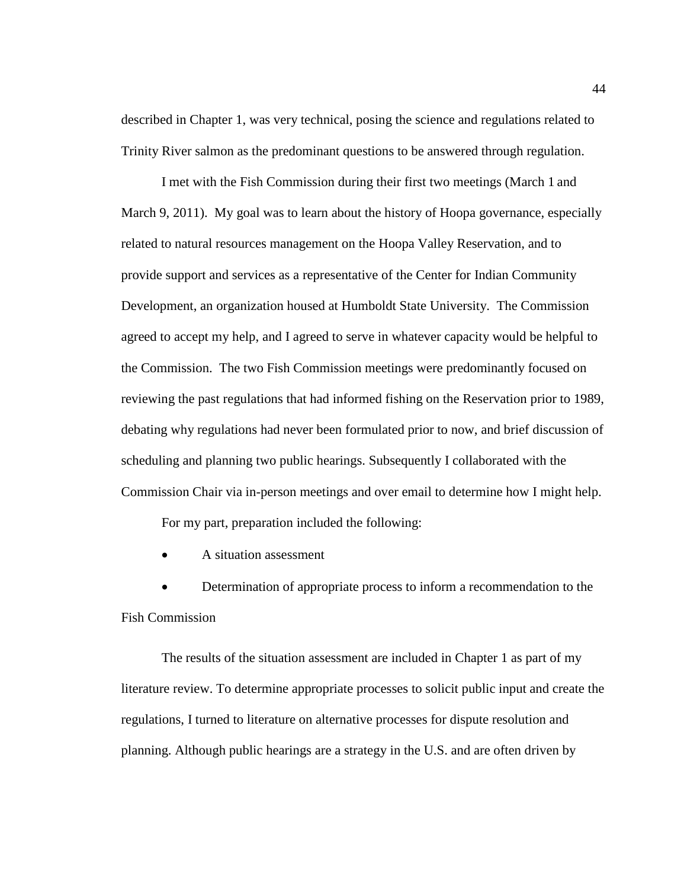described in Chapter 1, was very technical, posing the science and regulations related to Trinity River salmon as the predominant questions to be answered through regulation.

I met with the Fish Commission during their first two meetings (March 1 and March 9, 2011). My goal was to learn about the history of Hoopa governance, especially related to natural resources management on the Hoopa Valley Reservation, and to provide support and services as a representative of the Center for Indian Community Development, an organization housed at Humboldt State University. The Commission agreed to accept my help, and I agreed to serve in whatever capacity would be helpful to the Commission. The two Fish Commission meetings were predominantly focused on reviewing the past regulations that had informed fishing on the Reservation prior to 1989, debating why regulations had never been formulated prior to now, and brief discussion of scheduling and planning two public hearings. Subsequently I collaborated with the Commission Chair via in-person meetings and over email to determine how I might help.

For my part, preparation included the following:

• A situation assessment

• Determination of appropriate process to inform a recommendation to the Fish Commission

The results of the situation assessment are included in Chapter 1 as part of my literature review. To determine appropriate processes to solicit public input and create the regulations, I turned to literature on alternative processes for dispute resolution and planning. Although public hearings are a strategy in the U.S. and are often driven by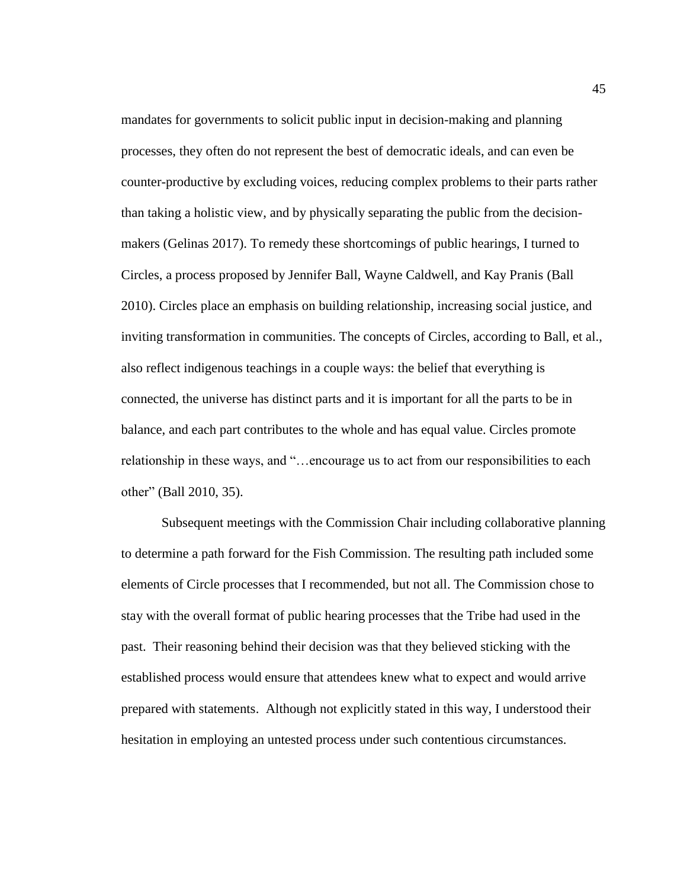mandates for governments to solicit public input in decision-making and planning processes, they often do not represent the best of democratic ideals, and can even be counter-productive by excluding voices, reducing complex problems to their parts rather than taking a holistic view, and by physically separating the public from the decisionmakers (Gelinas 2017). To remedy these shortcomings of public hearings, I turned to Circles, a process proposed by Jennifer Ball, Wayne Caldwell, and Kay Pranis (Ball 2010). Circles place an emphasis on building relationship, increasing social justice, and inviting transformation in communities. The concepts of Circles, according to Ball, et al., also reflect indigenous teachings in a couple ways: the belief that everything is connected, the universe has distinct parts and it is important for all the parts to be in balance, and each part contributes to the whole and has equal value. Circles promote relationship in these ways, and "…encourage us to act from our responsibilities to each other" (Ball 2010, 35).

Subsequent meetings with the Commission Chair including collaborative planning to determine a path forward for the Fish Commission. The resulting path included some elements of Circle processes that I recommended, but not all. The Commission chose to stay with the overall format of public hearing processes that the Tribe had used in the past. Their reasoning behind their decision was that they believed sticking with the established process would ensure that attendees knew what to expect and would arrive prepared with statements. Although not explicitly stated in this way, I understood their hesitation in employing an untested process under such contentious circumstances.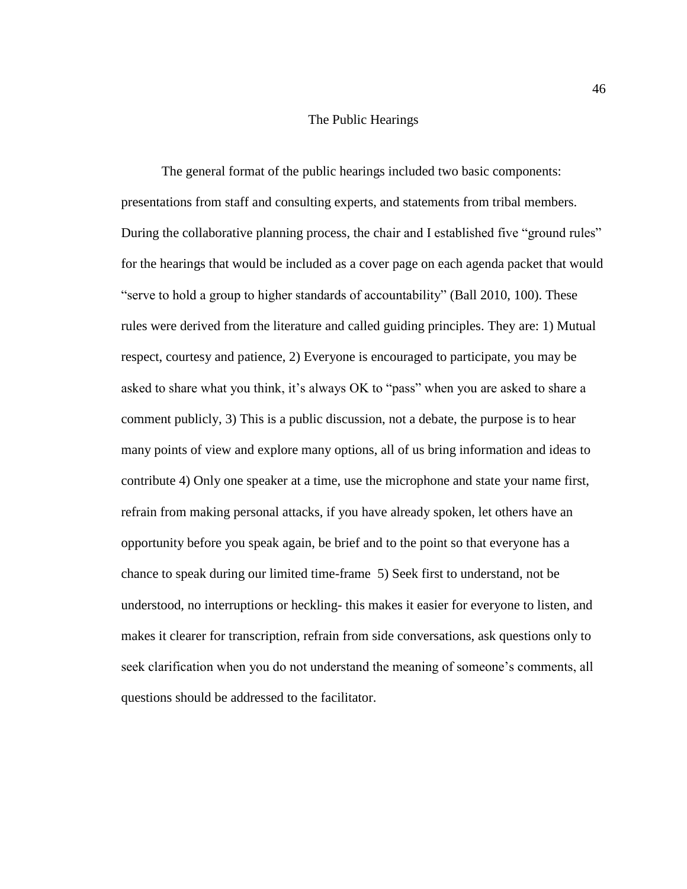# The Public Hearings

The general format of the public hearings included two basic components: presentations from staff and consulting experts, and statements from tribal members. During the collaborative planning process, the chair and I established five "ground rules" for the hearings that would be included as a cover page on each agenda packet that would "serve to hold a group to higher standards of accountability" (Ball 2010, 100). These rules were derived from the literature and called guiding principles. They are: 1) Mutual respect, courtesy and patience, 2) Everyone is encouraged to participate, you may be asked to share what you think, it's always OK to "pass" when you are asked to share a comment publicly, 3) This is a public discussion, not a debate, the purpose is to hear many points of view and explore many options, all of us bring information and ideas to contribute 4) Only one speaker at a time, use the microphone and state your name first, refrain from making personal attacks, if you have already spoken, let others have an opportunity before you speak again, be brief and to the point so that everyone has a chance to speak during our limited time-frame 5) Seek first to understand, not be understood, no interruptions or heckling- this makes it easier for everyone to listen, and makes it clearer for transcription, refrain from side conversations, ask questions only to seek clarification when you do not understand the meaning of someone's comments, all questions should be addressed to the facilitator.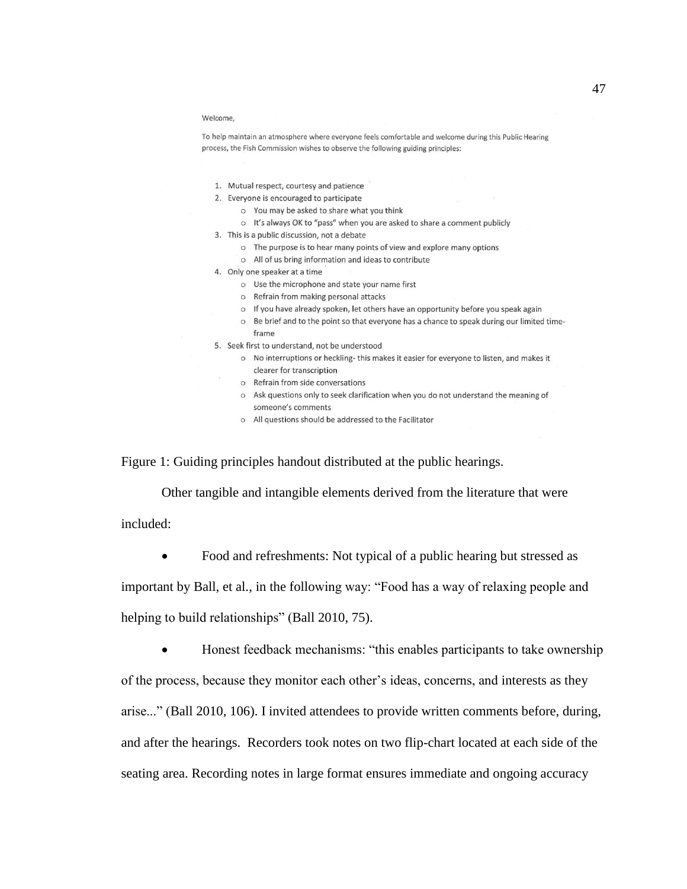#### Welcome.

To help maintain an atmosphere where everyone feels comfortable and welcome during this Public Hearing process, the Fish Commission wishes to observe the following guiding principles:

- 1. Mutual respect, courtesy and patience
- 2. Everyone is encouraged to participate
	- o You may be asked to share what you think
	- o It's always OK to "pass" when you are asked to share a comment publicly
- 3. This is a public discussion, not a debate
	- o The purpose is to hear many points of view and explore many options
	- o All of us bring information and ideas to contribute
- 4. Only one speaker at a time
	- O Use the microphone and state your name first
	- o Refrain from making personal attacks
	- o If you have already spoken, let others have an opportunity before you speak again
	- o Be brief and to the point so that everyone has a chance to speak during our limited timeframe
- 5. Seek first to understand, not be understood
	- o No interruptions or heckling-this makes it easier for everyone to listen, and makes it clearer for transcription
	- o Refrain from side conversations
	- o Ask questions only to seek clarification when you do not understand the meaning of someone's comments
	- o All questions should be addressed to the Facilitator

Figure 1: Guiding principles handout distributed at the public hearings.

Other tangible and intangible elements derived from the literature that were included:

• Food and refreshments: Not typical of a public hearing but stressed as

important by Ball, et al., in the following way: "Food has a way of relaxing people and

helping to build relationships" (Ball 2010, 75).

Honest feedback mechanisms: "this enables participants to take ownership

of the process, because they monitor each other's ideas, concerns, and interests as they

arise..." (Ball 2010, 106). I invited attendees to provide written comments before, during,

and after the hearings. Recorders took notes on two flip-chart located at each side of the

seating area. Recording notes in large format ensures immediate and ongoing accuracy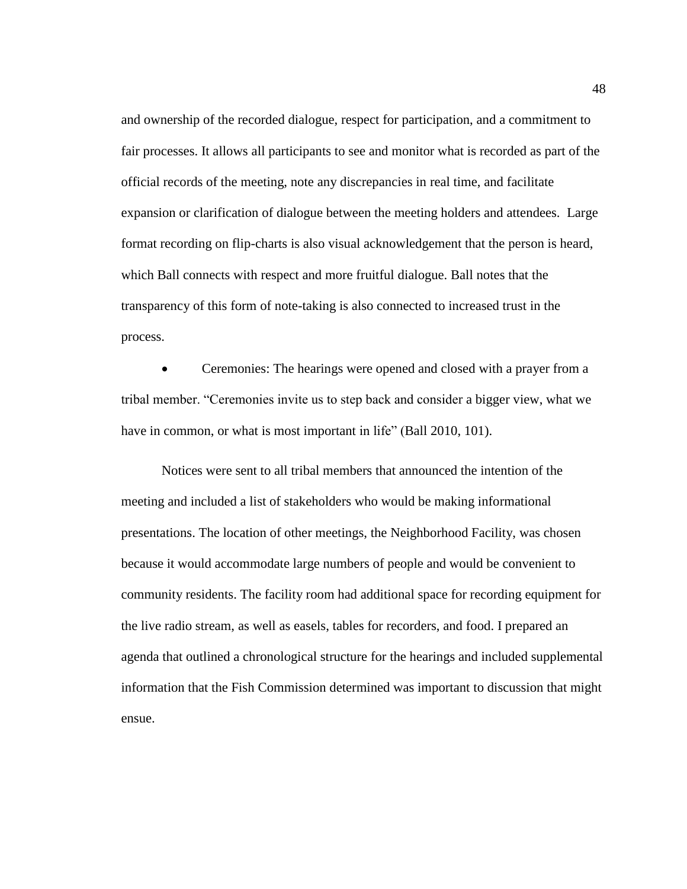and ownership of the recorded dialogue, respect for participation, and a commitment to fair processes. It allows all participants to see and monitor what is recorded as part of the official records of the meeting, note any discrepancies in real time, and facilitate expansion or clarification of dialogue between the meeting holders and attendees. Large format recording on flip-charts is also visual acknowledgement that the person is heard, which Ball connects with respect and more fruitful dialogue. Ball notes that the transparency of this form of note-taking is also connected to increased trust in the process.

• Ceremonies: The hearings were opened and closed with a prayer from a tribal member. "Ceremonies invite us to step back and consider a bigger view, what we have in common, or what is most important in life" (Ball 2010, 101).

Notices were sent to all tribal members that announced the intention of the meeting and included a list of stakeholders who would be making informational presentations. The location of other meetings, the Neighborhood Facility, was chosen because it would accommodate large numbers of people and would be convenient to community residents. The facility room had additional space for recording equipment for the live radio stream, as well as easels, tables for recorders, and food. I prepared an agenda that outlined a chronological structure for the hearings and included supplemental information that the Fish Commission determined was important to discussion that might ensue.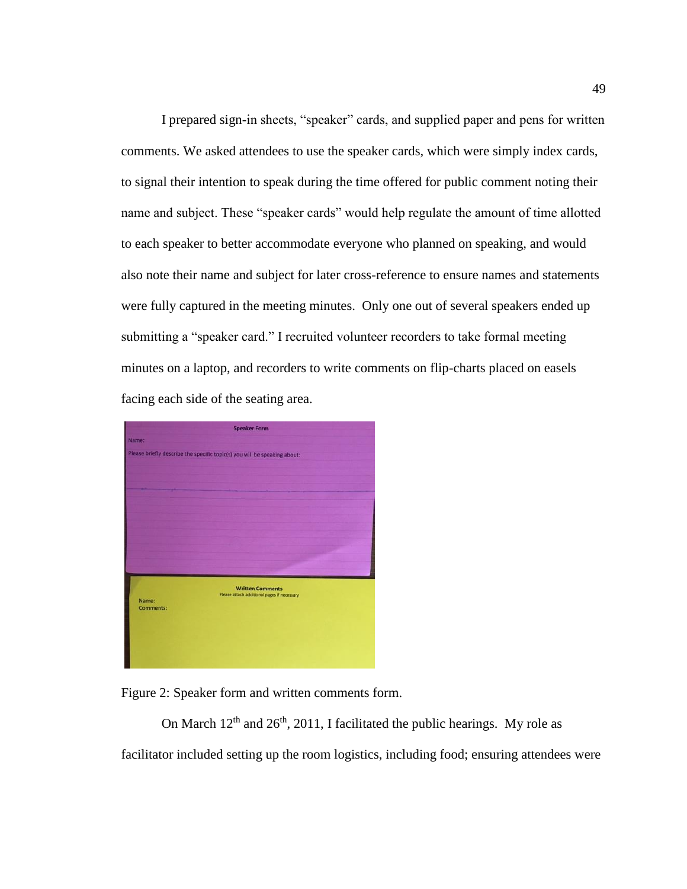I prepared sign-in sheets, "speaker" cards, and supplied paper and pens for written comments. We asked attendees to use the speaker cards, which were simply index cards, to signal their intention to speak during the time offered for public comment noting their name and subject. These "speaker cards" would help regulate the amount of time allotted to each speaker to better accommodate everyone who planned on speaking, and would also note their name and subject for later cross-reference to ensure names and statements were fully captured in the meeting minutes. Only one out of several speakers ended up submitting a "speaker card." I recruited volunteer recorders to take formal meeting minutes on a laptop, and recorders to write comments on flip-charts placed on easels facing each side of the seating area.



Figure 2: Speaker form and written comments form.

On March  $12<sup>th</sup>$  and  $26<sup>th</sup>$ , 2011, I facilitated the public hearings. My role as facilitator included setting up the room logistics, including food; ensuring attendees were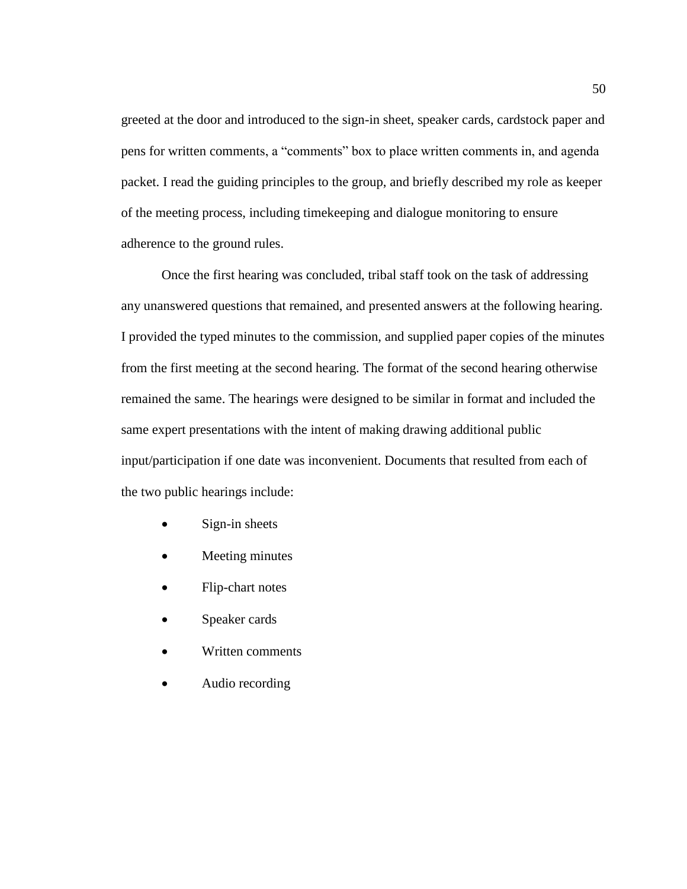greeted at the door and introduced to the sign-in sheet, speaker cards, cardstock paper and pens for written comments, a "comments" box to place written comments in, and agenda packet. I read the guiding principles to the group, and briefly described my role as keeper of the meeting process, including timekeeping and dialogue monitoring to ensure adherence to the ground rules.

Once the first hearing was concluded, tribal staff took on the task of addressing any unanswered questions that remained, and presented answers at the following hearing. I provided the typed minutes to the commission, and supplied paper copies of the minutes from the first meeting at the second hearing. The format of the second hearing otherwise remained the same. The hearings were designed to be similar in format and included the same expert presentations with the intent of making drawing additional public input/participation if one date was inconvenient. Documents that resulted from each of the two public hearings include:

- Sign-in sheets
- Meeting minutes
- Flip-chart notes
- Speaker cards
- Written comments
- Audio recording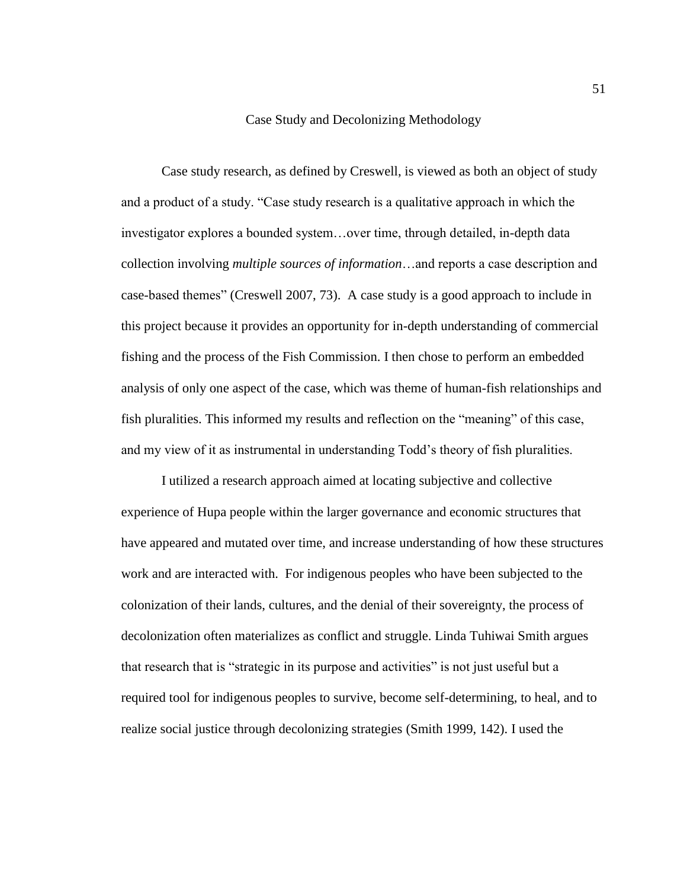## Case Study and Decolonizing Methodology

Case study research, as defined by Creswell, is viewed as both an object of study and a product of a study. "Case study research is a qualitative approach in which the investigator explores a bounded system…over time, through detailed, in-depth data collection involving *multiple sources of information*…and reports a case description and case-based themes" (Creswell 2007, 73). A case study is a good approach to include in this project because it provides an opportunity for in-depth understanding of commercial fishing and the process of the Fish Commission. I then chose to perform an embedded analysis of only one aspect of the case, which was theme of human-fish relationships and fish pluralities. This informed my results and reflection on the "meaning" of this case, and my view of it as instrumental in understanding Todd's theory of fish pluralities.

I utilized a research approach aimed at locating subjective and collective experience of Hupa people within the larger governance and economic structures that have appeared and mutated over time, and increase understanding of how these structures work and are interacted with. For indigenous peoples who have been subjected to the colonization of their lands, cultures, and the denial of their sovereignty, the process of decolonization often materializes as conflict and struggle. Linda Tuhiwai Smith argues that research that is "strategic in its purpose and activities" is not just useful but a required tool for indigenous peoples to survive, become self-determining, to heal, and to realize social justice through decolonizing strategies (Smith 1999, 142). I used the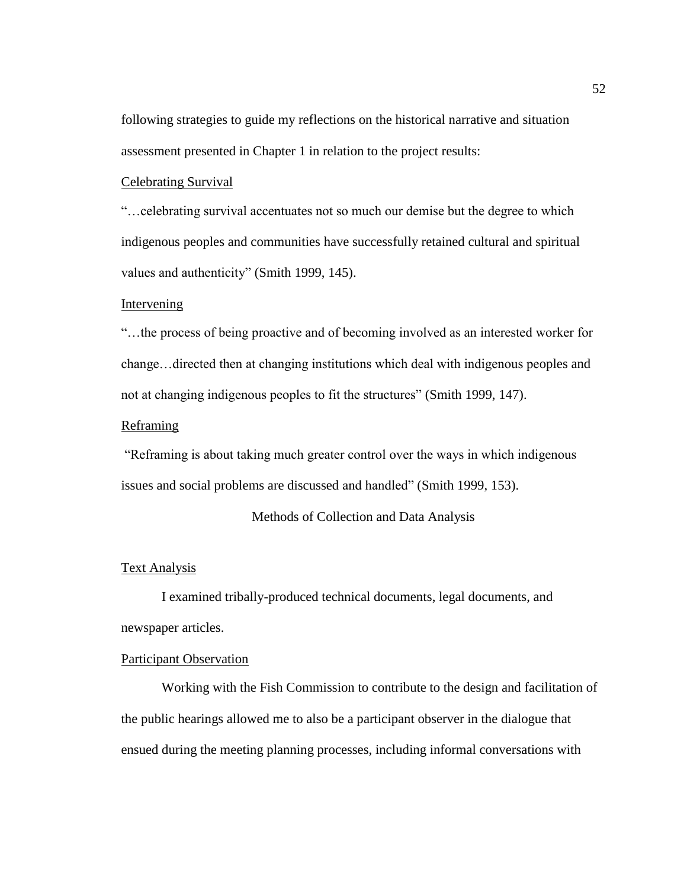following strategies to guide my reflections on the historical narrative and situation assessment presented in Chapter 1 in relation to the project results:

## Celebrating Survival

"…celebrating survival accentuates not so much our demise but the degree to which indigenous peoples and communities have successfully retained cultural and spiritual values and authenticity" (Smith 1999, 145).

# Intervening

"…the process of being proactive and of becoming involved as an interested worker for change…directed then at changing institutions which deal with indigenous peoples and not at changing indigenous peoples to fit the structures" (Smith 1999, 147).

# Reframing

"Reframing is about taking much greater control over the ways in which indigenous issues and social problems are discussed and handled" (Smith 1999, 153).

# Methods of Collection and Data Analysis

# Text Analysis

I examined tribally-produced technical documents, legal documents, and newspaper articles.

## Participant Observation

Working with the Fish Commission to contribute to the design and facilitation of the public hearings allowed me to also be a participant observer in the dialogue that ensued during the meeting planning processes, including informal conversations with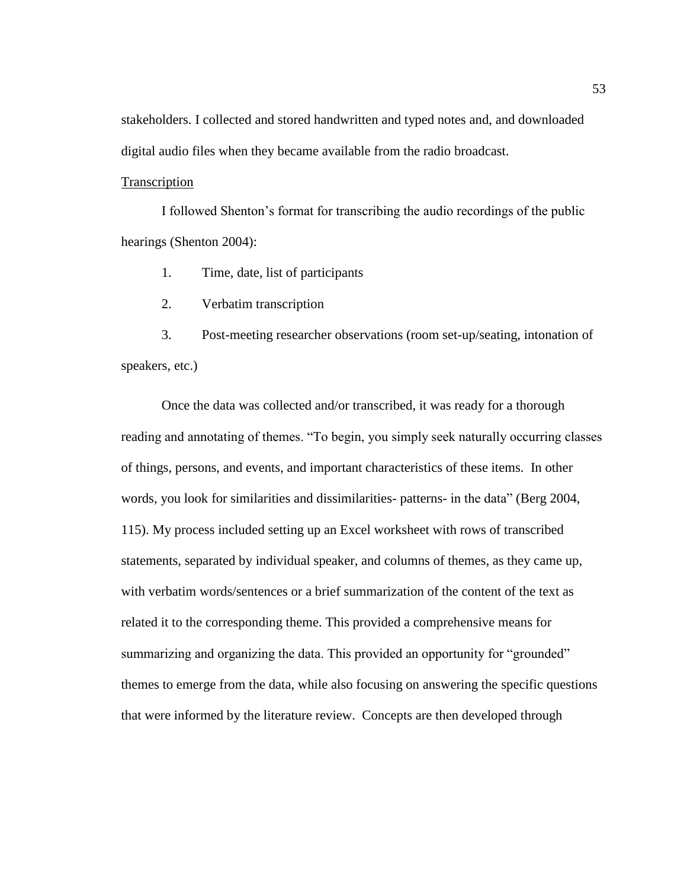stakeholders. I collected and stored handwritten and typed notes and, and downloaded digital audio files when they became available from the radio broadcast.

# **Transcription**

I followed Shenton's format for transcribing the audio recordings of the public hearings (Shenton 2004):

1. Time, date, list of participants

2. Verbatim transcription

3. Post-meeting researcher observations (room set-up/seating, intonation of speakers, etc.)

Once the data was collected and/or transcribed, it was ready for a thorough reading and annotating of themes. "To begin, you simply seek naturally occurring classes of things, persons, and events, and important characteristics of these items. In other words, you look for similarities and dissimilarities- patterns- in the data" (Berg 2004, 115). My process included setting up an Excel worksheet with rows of transcribed statements, separated by individual speaker, and columns of themes, as they came up, with verbatim words/sentences or a brief summarization of the content of the text as related it to the corresponding theme. This provided a comprehensive means for summarizing and organizing the data. This provided an opportunity for "grounded" themes to emerge from the data, while also focusing on answering the specific questions that were informed by the literature review. Concepts are then developed through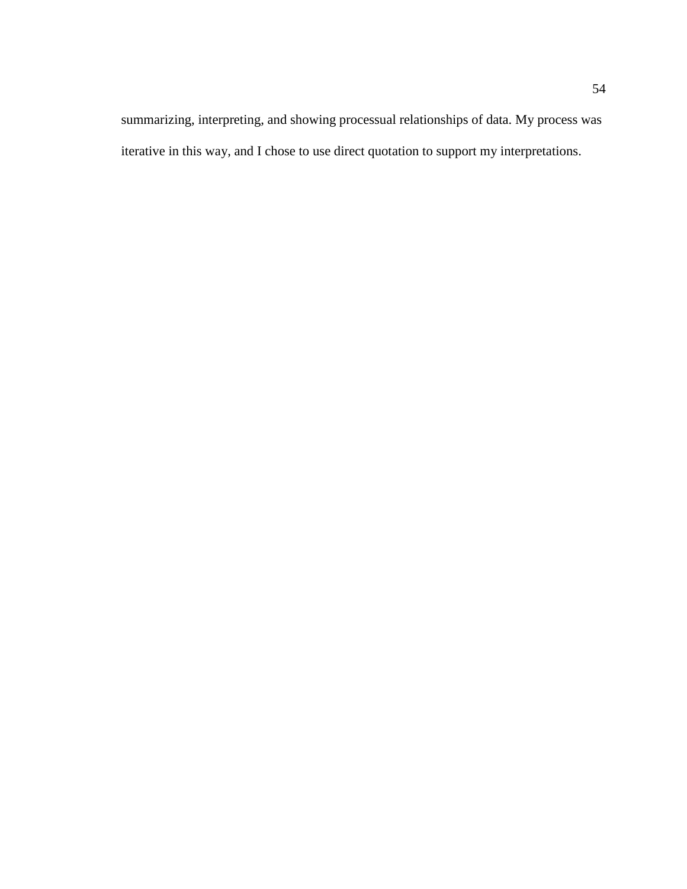summarizing, interpreting, and showing processual relationships of data. My process was iterative in this way, and I chose to use direct quotation to support my interpretations.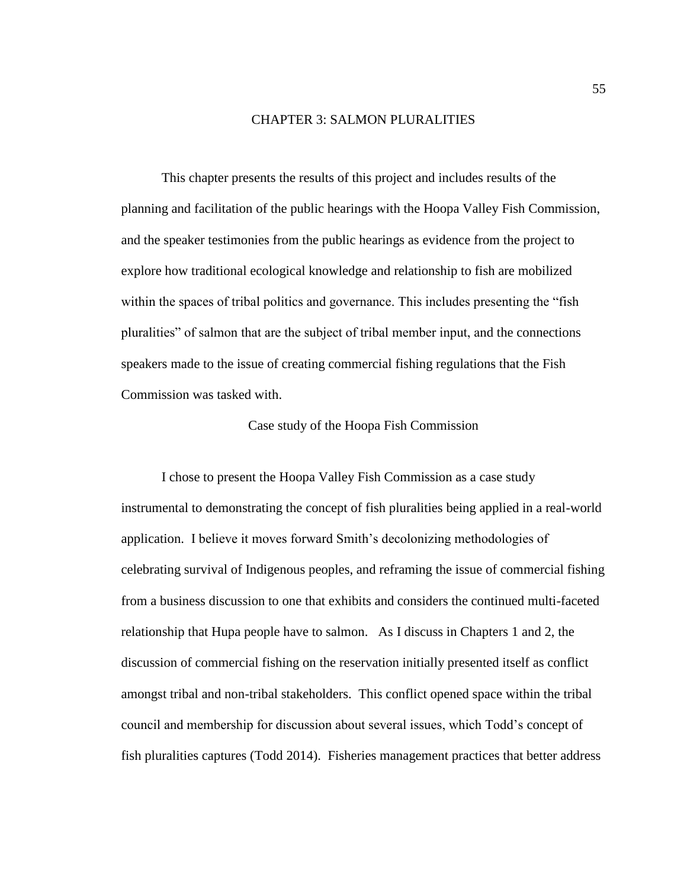## CHAPTER 3: SALMON PLURALITIES

This chapter presents the results of this project and includes results of the planning and facilitation of the public hearings with the Hoopa Valley Fish Commission, and the speaker testimonies from the public hearings as evidence from the project to explore how traditional ecological knowledge and relationship to fish are mobilized within the spaces of tribal politics and governance. This includes presenting the "fish pluralities" of salmon that are the subject of tribal member input, and the connections speakers made to the issue of creating commercial fishing regulations that the Fish Commission was tasked with.

Case study of the Hoopa Fish Commission

I chose to present the Hoopa Valley Fish Commission as a case study instrumental to demonstrating the concept of fish pluralities being applied in a real-world application. I believe it moves forward Smith's decolonizing methodologies of celebrating survival of Indigenous peoples, and reframing the issue of commercial fishing from a business discussion to one that exhibits and considers the continued multi-faceted relationship that Hupa people have to salmon. As I discuss in Chapters 1 and 2, the discussion of commercial fishing on the reservation initially presented itself as conflict amongst tribal and non-tribal stakeholders. This conflict opened space within the tribal council and membership for discussion about several issues, which Todd's concept of fish pluralities captures (Todd 2014). Fisheries management practices that better address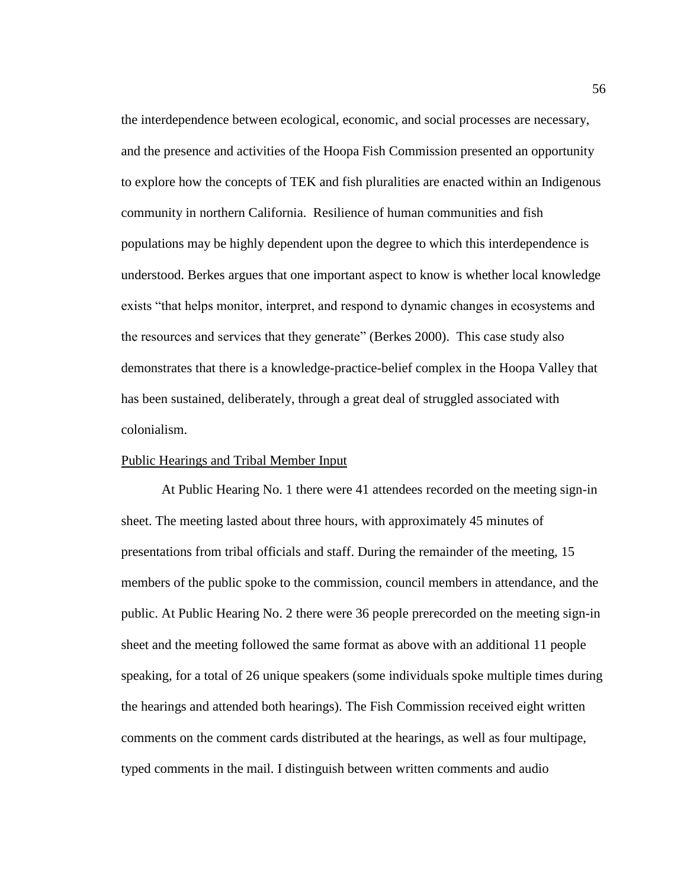the interdependence between ecological, economic, and social processes are necessary, and the presence and activities of the Hoopa Fish Commission presented an opportunity to explore how the concepts of TEK and fish pluralities are enacted within an Indigenous community in northern California. Resilience of human communities and fish populations may be highly dependent upon the degree to which this interdependence is understood. Berkes argues that one important aspect to know is whether local knowledge exists "that helps monitor, interpret, and respond to dynamic changes in ecosystems and the resources and services that they generate" (Berkes 2000). This case study also demonstrates that there is a knowledge-practice-belief complex in the Hoopa Valley that has been sustained, deliberately, through a great deal of struggled associated with colonialism.

## Public Hearings and Tribal Member Input

At Public Hearing No. 1 there were 41 attendees recorded on the meeting sign-in sheet. The meeting lasted about three hours, with approximately 45 minutes of presentations from tribal officials and staff. During the remainder of the meeting, 15 members of the public spoke to the commission, council members in attendance, and the public. At Public Hearing No. 2 there were 36 people prerecorded on the meeting sign-in sheet and the meeting followed the same format as above with an additional 11 people speaking, for a total of 26 unique speakers (some individuals spoke multiple times during the hearings and attended both hearings). The Fish Commission received eight written comments on the comment cards distributed at the hearings, as well as four multipage, typed comments in the mail. I distinguish between written comments and audio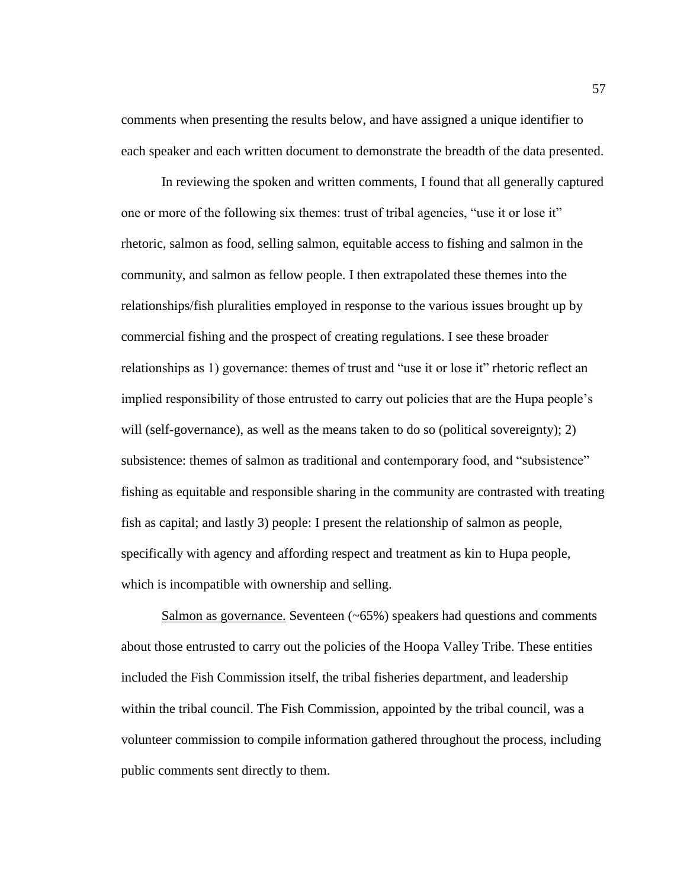comments when presenting the results below, and have assigned a unique identifier to each speaker and each written document to demonstrate the breadth of the data presented.

In reviewing the spoken and written comments, I found that all generally captured one or more of the following six themes: trust of tribal agencies, "use it or lose it" rhetoric, salmon as food, selling salmon, equitable access to fishing and salmon in the community, and salmon as fellow people. I then extrapolated these themes into the relationships/fish pluralities employed in response to the various issues brought up by commercial fishing and the prospect of creating regulations. I see these broader relationships as 1) governance: themes of trust and "use it or lose it" rhetoric reflect an implied responsibility of those entrusted to carry out policies that are the Hupa people's will (self-governance), as well as the means taken to do so (political sovereignty); 2) subsistence: themes of salmon as traditional and contemporary food, and "subsistence" fishing as equitable and responsible sharing in the community are contrasted with treating fish as capital; and lastly 3) people: I present the relationship of salmon as people, specifically with agency and affording respect and treatment as kin to Hupa people, which is incompatible with ownership and selling.

Salmon as governance. Seventeen  $(-65%)$  speakers had questions and comments about those entrusted to carry out the policies of the Hoopa Valley Tribe. These entities included the Fish Commission itself, the tribal fisheries department, and leadership within the tribal council. The Fish Commission, appointed by the tribal council, was a volunteer commission to compile information gathered throughout the process, including public comments sent directly to them.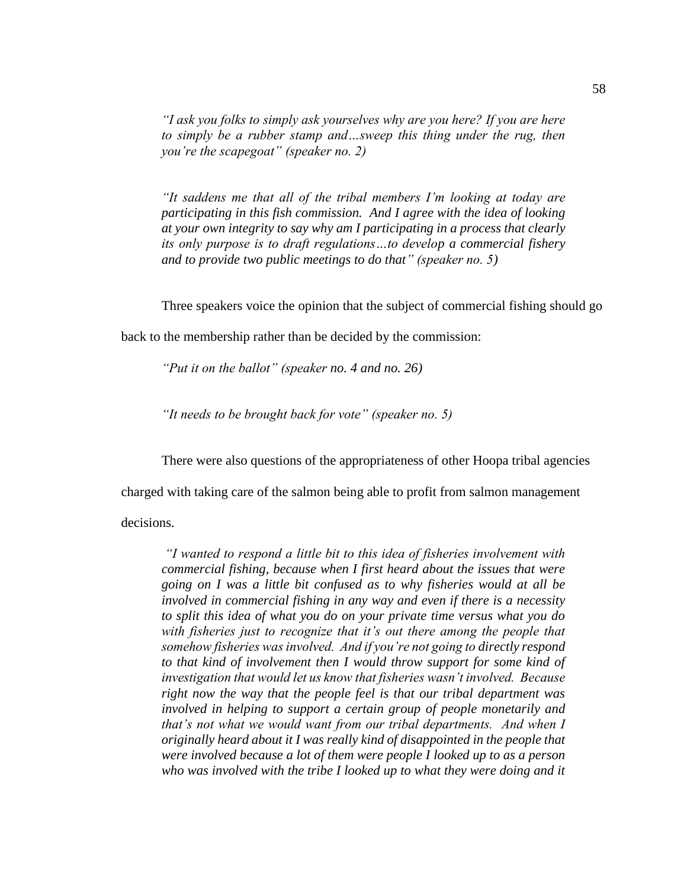*"I ask you folks to simply ask yourselves why are you here? If you are here to simply be a rubber stamp and…sweep this thing under the rug, then you're the scapegoat" (speaker no. 2)*

*"It saddens me that all of the tribal members I'm looking at today are participating in this fish commission. And I agree with the idea of looking at your own integrity to say why am I participating in a process that clearly its only purpose is to draft regulations…to develop a commercial fishery and to provide two public meetings to do that" (speaker no. 5)*

Three speakers voice the opinion that the subject of commercial fishing should go

back to the membership rather than be decided by the commission:

*"Put it on the ballot" (speaker no. 4 and no. 26)*

*"It needs to be brought back for vote" (speaker no. 5)*

There were also questions of the appropriateness of other Hoopa tribal agencies

charged with taking care of the salmon being able to profit from salmon management

decisions.

*"I wanted to respond a little bit to this idea of fisheries involvement with commercial fishing, because when I first heard about the issues that were going on I was a little bit confused as to why fisheries would at all be involved in commercial fishing in any way and even if there is a necessity to split this idea of what you do on your private time versus what you do with fisheries just to recognize that it's out there among the people that somehow fisheries was involved. And if you're not going to directly respond to that kind of involvement then I would throw support for some kind of investigation that would let us know that fisheries wasn't involved. Because right now the way that the people feel is that our tribal department was involved in helping to support a certain group of people monetarily and that's not what we would want from our tribal departments. And when I originally heard about it I was really kind of disappointed in the people that were involved because a lot of them were people I looked up to as a person who was involved with the tribe I looked up to what they were doing and it*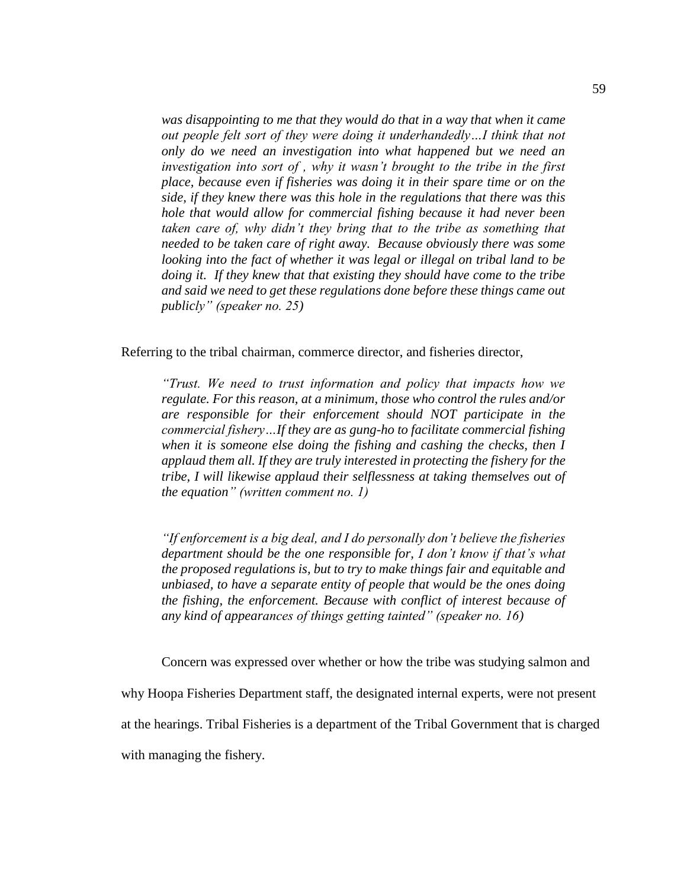*was disappointing to me that they would do that in a way that when it came out people felt sort of they were doing it underhandedly...I think that not only do we need an investigation into what happened but we need an investigation into sort of , why it wasn't brought to the tribe in the first place, because even if fisheries was doing it in their spare time or on the side, if they knew there was this hole in the regulations that there was this hole that would allow for commercial fishing because it had never been taken care of, why didn't they bring that to the tribe as something that needed to be taken care of right away. Because obviously there was some looking into the fact of whether it was legal or illegal on tribal land to be doing it. If they knew that that existing they should have come to the tribe and said we need to get these regulations done before these things came out publicly" (speaker no. 25)*

Referring to the tribal chairman, commerce director, and fisheries director,

*"Trust. We need to trust information and policy that impacts how we regulate. For this reason, at a minimum, those who control the rules and/or are responsible for their enforcement should NOT participate in the commercial fishery…If they are as gung-ho to facilitate commercial fishing when it is someone else doing the fishing and cashing the checks, then I applaud them all. If they are truly interested in protecting the fishery for the tribe, I will likewise applaud their selflessness at taking themselves out of the equation" (written comment no. 1)*

*"If enforcement is a big deal, and I do personally don't believe the fisheries department should be the one responsible for, I don't know if that's what the proposed regulations is, but to try to make things fair and equitable and unbiased, to have a separate entity of people that would be the ones doing the fishing, the enforcement. Because with conflict of interest because of any kind of appearances of things getting tainted" (speaker no. 16)*

Concern was expressed over whether or how the tribe was studying salmon and

why Hoopa Fisheries Department staff, the designated internal experts, were not present

at the hearings. Tribal Fisheries is a department of the Tribal Government that is charged

with managing the fishery.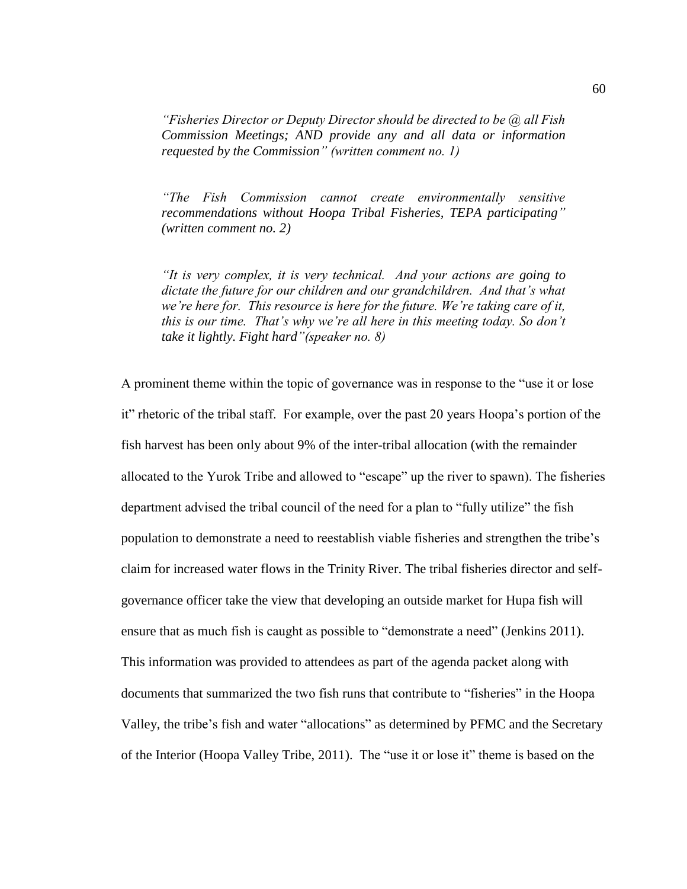*"Fisheries Director or Deputy Director should be directed to be @ all Fish Commission Meetings; AND provide any and all data or information requested by the Commission" (written comment no. 1)*

*"The Fish Commission cannot create environmentally sensitive recommendations without Hoopa Tribal Fisheries, TEPA participating" (written comment no. 2)*

*"It is very complex, it is very technical. And your actions are going to dictate the future for our children and our grandchildren. And that's what we're here for. This resource is here for the future. We're taking care of it, this is our time. That's why we're all here in this meeting today. So don't take it lightly. Fight hard"(speaker no. 8)*

A prominent theme within the topic of governance was in response to the "use it or lose it" rhetoric of the tribal staff. For example, over the past 20 years Hoopa's portion of the fish harvest has been only about 9% of the inter-tribal allocation (with the remainder allocated to the Yurok Tribe and allowed to "escape" up the river to spawn). The fisheries department advised the tribal council of the need for a plan to "fully utilize" the fish population to demonstrate a need to reestablish viable fisheries and strengthen the tribe's claim for increased water flows in the Trinity River. The tribal fisheries director and selfgovernance officer take the view that developing an outside market for Hupa fish will ensure that as much fish is caught as possible to "demonstrate a need" (Jenkins 2011). This information was provided to attendees as part of the agenda packet along with documents that summarized the two fish runs that contribute to "fisheries" in the Hoopa Valley, the tribe's fish and water "allocations" as determined by PFMC and the Secretary of the Interior (Hoopa Valley Tribe, 2011). The "use it or lose it" theme is based on the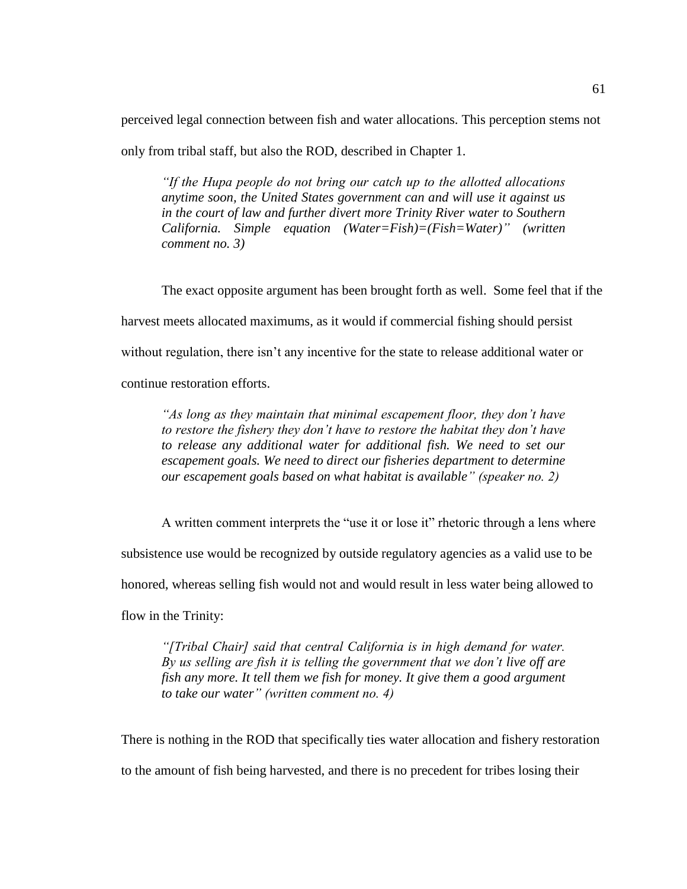perceived legal connection between fish and water allocations. This perception stems not

only from tribal staff, but also the ROD, described in Chapter 1.

*"If the Hupa people do not bring our catch up to the allotted allocations anytime soon, the United States government can and will use it against us in the court of law and further divert more Trinity River water to Southern California. Simple equation (Water=Fish)=(Fish=Water)" (written comment no. 3)*

The exact opposite argument has been brought forth as well. Some feel that if the harvest meets allocated maximums, as it would if commercial fishing should persist without regulation, there isn't any incentive for the state to release additional water or

continue restoration efforts.

*"As long as they maintain that minimal escapement floor, they don't have to restore the fishery they don't have to restore the habitat they don't have to release any additional water for additional fish. We need to set our escapement goals. We need to direct our fisheries department to determine our escapement goals based on what habitat is available" (speaker no. 2)*

A written comment interprets the "use it or lose it" rhetoric through a lens where subsistence use would be recognized by outside regulatory agencies as a valid use to be honored, whereas selling fish would not and would result in less water being allowed to flow in the Trinity:

*"[Tribal Chair] said that central California is in high demand for water. By us selling are fish it is telling the government that we don't live off are fish any more. It tell them we fish for money. It give them a good argument to take our water" (written comment no. 4)*

There is nothing in the ROD that specifically ties water allocation and fishery restoration to the amount of fish being harvested, and there is no precedent for tribes losing their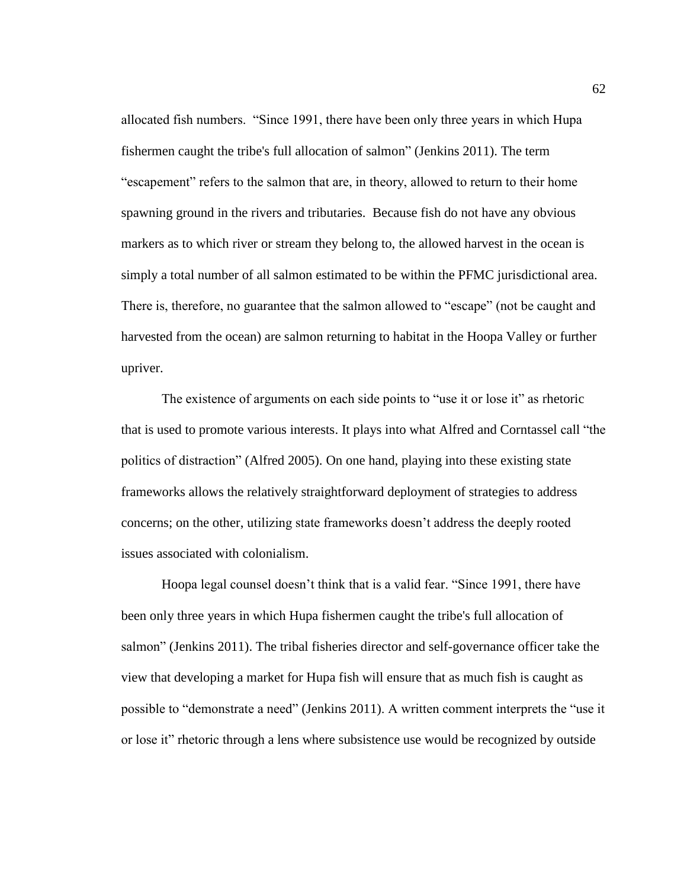allocated fish numbers. "Since 1991, there have been only three years in which Hupa fishermen caught the tribe's full allocation of salmon" (Jenkins 2011). The term "escapement" refers to the salmon that are, in theory, allowed to return to their home spawning ground in the rivers and tributaries. Because fish do not have any obvious markers as to which river or stream they belong to, the allowed harvest in the ocean is simply a total number of all salmon estimated to be within the PFMC jurisdictional area. There is, therefore, no guarantee that the salmon allowed to "escape" (not be caught and harvested from the ocean) are salmon returning to habitat in the Hoopa Valley or further upriver.

The existence of arguments on each side points to "use it or lose it" as rhetoric that is used to promote various interests. It plays into what Alfred and Corntassel call "the politics of distraction" (Alfred 2005). On one hand, playing into these existing state frameworks allows the relatively straightforward deployment of strategies to address concerns; on the other, utilizing state frameworks doesn't address the deeply rooted issues associated with colonialism.

Hoopa legal counsel doesn't think that is a valid fear. "Since 1991, there have been only three years in which Hupa fishermen caught the tribe's full allocation of salmon" (Jenkins 2011). The tribal fisheries director and self-governance officer take the view that developing a market for Hupa fish will ensure that as much fish is caught as possible to "demonstrate a need" (Jenkins 2011). A written comment interprets the "use it or lose it" rhetoric through a lens where subsistence use would be recognized by outside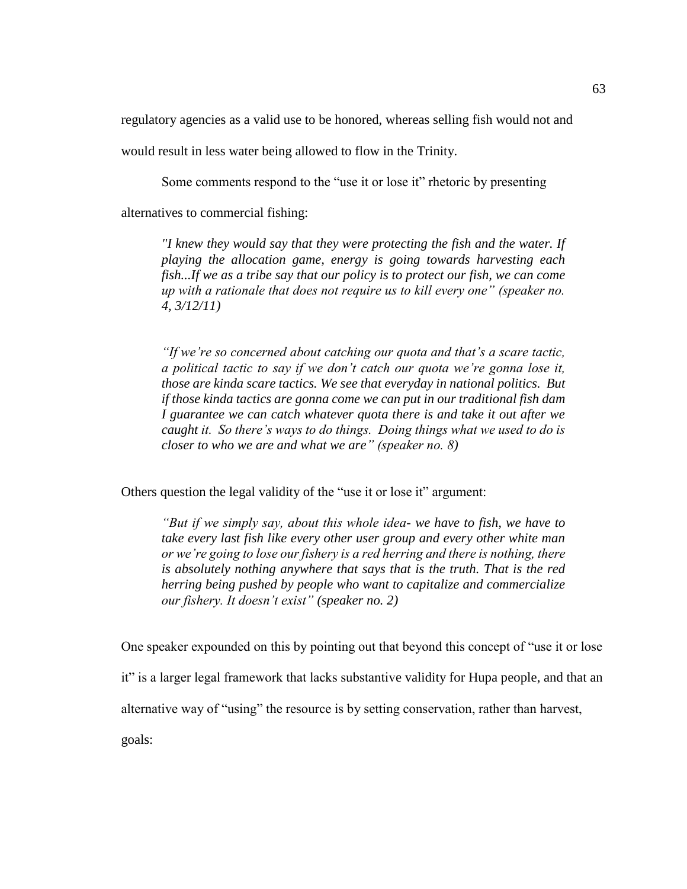regulatory agencies as a valid use to be honored, whereas selling fish would not and

would result in less water being allowed to flow in the Trinity.

Some comments respond to the "use it or lose it" rhetoric by presenting

alternatives to commercial fishing:

*"I knew they would say that they were protecting the fish and the water. If playing the allocation game, energy is going towards harvesting each fish...If we as a tribe say that our policy is to protect our fish, we can come up with a rationale that does not require us to kill every one" (speaker no. 4, 3/12/11)*

*"If we're so concerned about catching our quota and that's a scare tactic, a political tactic to say if we don't catch our quota we're gonna lose it, those are kinda scare tactics. We see that everyday in national politics. But if those kinda tactics are gonna come we can put in our traditional fish dam I guarantee we can catch whatever quota there is and take it out after we caught it. So there's ways to do things. Doing things what we used to do is closer to who we are and what we are" (speaker no. 8)*

Others question the legal validity of the "use it or lose it" argument:

*"But if we simply say, about this whole idea- we have to fish, we have to take every last fish like every other user group and every other white man or we're going to lose our fishery is a red herring and there is nothing, there is absolutely nothing anywhere that says that is the truth. That is the red herring being pushed by people who want to capitalize and commercialize our fishery. It doesn't exist" (speaker no. 2)*

One speaker expounded on this by pointing out that beyond this concept of "use it or lose

it" is a larger legal framework that lacks substantive validity for Hupa people, and that an

alternative way of "using" the resource is by setting conservation, rather than harvest,

goals: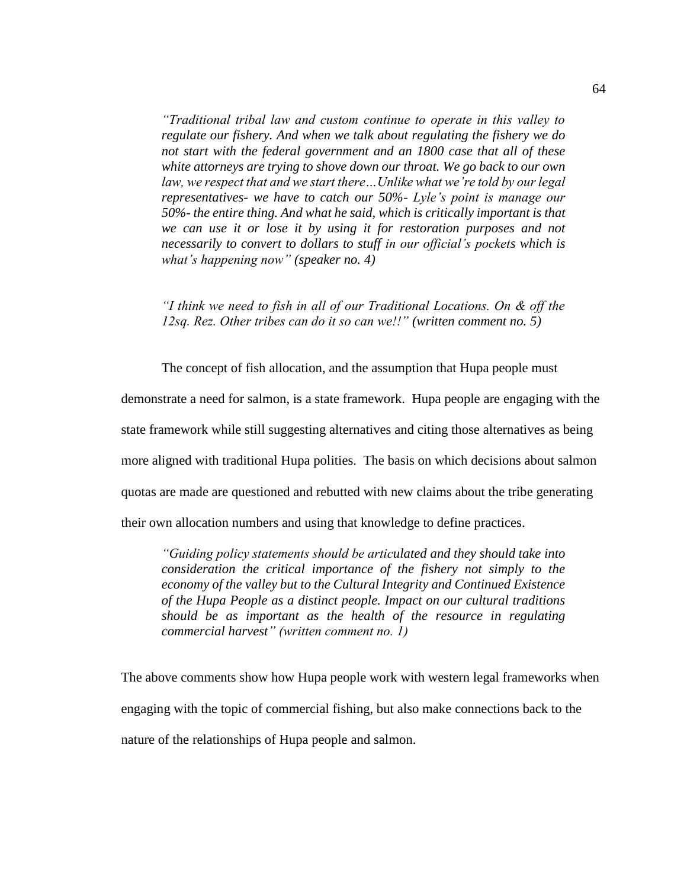*"Traditional tribal law and custom continue to operate in this valley to regulate our fishery. And when we talk about regulating the fishery we do not start with the federal government and an 1800 case that all of these white attorneys are trying to shove down our throat. We go back to our own law, we respect that and we start there…Unlike what we're told by our legal representatives- we have to catch our 50%- Lyle's point is manage our 50%- the entire thing. And what he said, which is critically important is that we can use it or lose it by using it for restoration purposes and not necessarily to convert to dollars to stuff in our official's pockets which is what's happening now" (speaker no. 4)*

*"I think we need to fish in all of our Traditional Locations. On & off the 12sq. Rez. Other tribes can do it so can we!!" (written comment no. 5)*

The concept of fish allocation, and the assumption that Hupa people must

demonstrate a need for salmon, is a state framework. Hupa people are engaging with the state framework while still suggesting alternatives and citing those alternatives as being more aligned with traditional Hupa polities. The basis on which decisions about salmon quotas are made are questioned and rebutted with new claims about the tribe generating their own allocation numbers and using that knowledge to define practices.

*"Guiding policy statements should be articulated and they should take into consideration the critical importance of the fishery not simply to the economy of the valley but to the Cultural Integrity and Continued Existence of the Hupa People as a distinct people. Impact on our cultural traditions should be as important as the health of the resource in regulating commercial harvest" (written comment no. 1)*

The above comments show how Hupa people work with western legal frameworks when engaging with the topic of commercial fishing, but also make connections back to the nature of the relationships of Hupa people and salmon.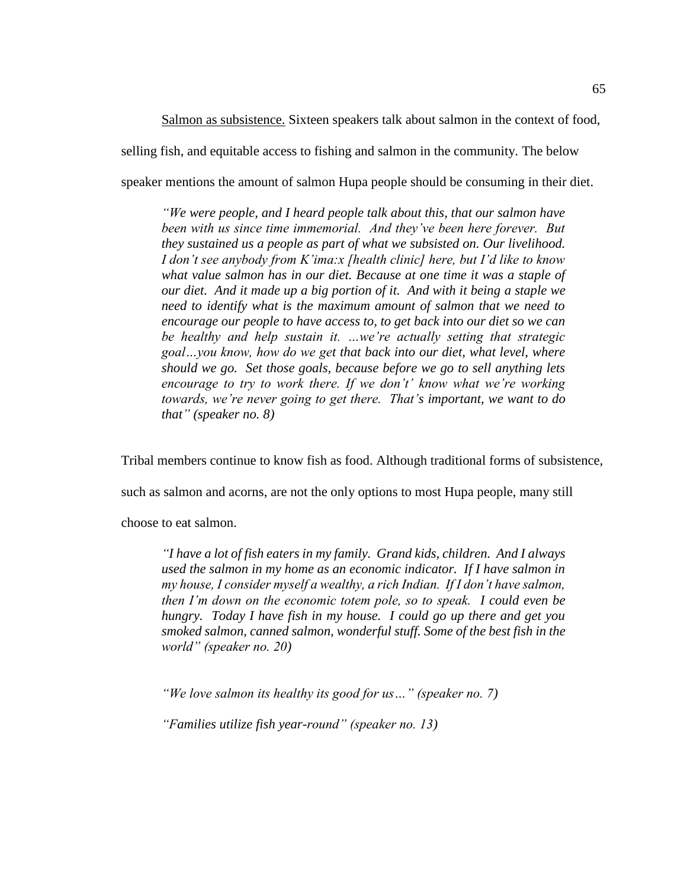Salmon as subsistence. Sixteen speakers talk about salmon in the context of food, selling fish, and equitable access to fishing and salmon in the community. The below speaker mentions the amount of salmon Hupa people should be consuming in their diet.

*"We were people, and I heard people talk about this, that our salmon have been with us since time immemorial. And they've been here forever. But they sustained us a people as part of what we subsisted on. Our livelihood. I don't see anybody from K'ima:x [health clinic] here, but I'd like to know what value salmon has in our diet. Because at one time it was a staple of our diet. And it made up a big portion of it. And with it being a staple we need to identify what is the maximum amount of salmon that we need to encourage our people to have access to, to get back into our diet so we can be healthy and help sustain it. …we're actually setting that strategic goal…you know, how do we get that back into our diet, what level, where should we go. Set those goals, because before we go to sell anything lets encourage to try to work there. If we don't' know what we're working towards, we're never going to get there. That's important, we want to do that" (speaker no. 8)*

Tribal members continue to know fish as food. Although traditional forms of subsistence,

such as salmon and acorns, are not the only options to most Hupa people, many still

choose to eat salmon.

*"I have a lot of fish eaters in my family. Grand kids, children. And I always used the salmon in my home as an economic indicator. If I have salmon in my house, I consider myself a wealthy, a rich Indian. If I don't have salmon, then I'm down on the economic totem pole, so to speak. I could even be hungry. Today I have fish in my house. I could go up there and get you smoked salmon, canned salmon, wonderful stuff. Some of the best fish in the world" (speaker no. 20)*

*"We love salmon its healthy its good for us…" (speaker no. 7)*

*"Families utilize fish year-round" (speaker no. 13)*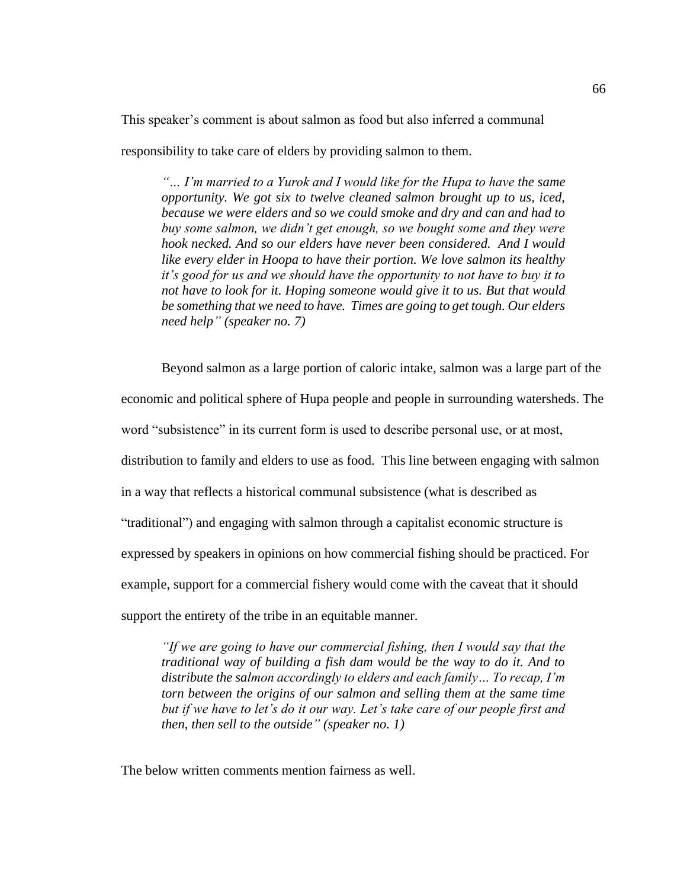This speaker's comment is about salmon as food but also inferred a communal

responsibility to take care of elders by providing salmon to them.

*"… I'm married to a Yurok and I would like for the Hupa to have the same opportunity. We got six to twelve cleaned salmon brought up to us, iced, because we were elders and so we could smoke and dry and can and had to buy some salmon, we didn't get enough, so we bought some and they were hook necked. And so our elders have never been considered. And I would like every elder in Hoopa to have their portion. We love salmon its healthy it's good for us and we should have the opportunity to not have to buy it to not have to look for it. Hoping someone would give it to us. But that would be something that we need to have. Times are going to get tough. Our elders need help" (speaker no. 7)*

Beyond salmon as a large portion of caloric intake, salmon was a large part of the

economic and political sphere of Hupa people and people in surrounding watersheds. The

word "subsistence" in its current form is used to describe personal use, or at most,

distribution to family and elders to use as food. This line between engaging with salmon

in a way that reflects a historical communal subsistence (what is described as

"traditional") and engaging with salmon through a capitalist economic structure is

expressed by speakers in opinions on how commercial fishing should be practiced. For

example, support for a commercial fishery would come with the caveat that it should

support the entirety of the tribe in an equitable manner.

*"If we are going to have our commercial fishing, then I would say that the traditional way of building a fish dam would be the way to do it. And to distribute the salmon accordingly to elders and each family… To recap, I'm torn between the origins of our salmon and selling them at the same time but if we have to let's do it our way. Let's take care of our people first and then, then sell to the outside" (speaker no. 1)*

The below written comments mention fairness as well.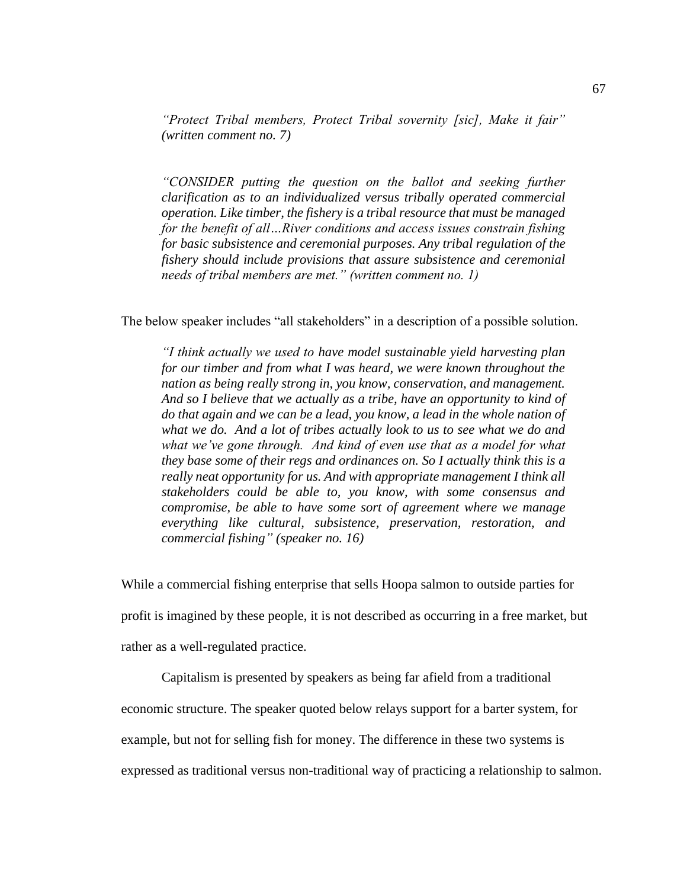*"Protect Tribal members, Protect Tribal sovernity [sic], Make it fair" (written comment no. 7)*

*"CONSIDER putting the question on the ballot and seeking further clarification as to an individualized versus tribally operated commercial operation. Like timber, the fishery is a tribal resource that must be managed for the benefit of all…River conditions and access issues constrain fishing for basic subsistence and ceremonial purposes. Any tribal regulation of the fishery should include provisions that assure subsistence and ceremonial needs of tribal members are met." (written comment no. 1)*

The below speaker includes "all stakeholders" in a description of a possible solution.

*"I think actually we used to have model sustainable yield harvesting plan for our timber and from what I was heard, we were known throughout the nation as being really strong in, you know, conservation, and management. And so I believe that we actually as a tribe, have an opportunity to kind of do that again and we can be a lead, you know, a lead in the whole nation of what we do. And a lot of tribes actually look to us to see what we do and what we've gone through. And kind of even use that as a model for what they base some of their regs and ordinances on. So I actually think this is a really neat opportunity for us. And with appropriate management I think all stakeholders could be able to, you know, with some consensus and compromise, be able to have some sort of agreement where we manage everything like cultural, subsistence, preservation, restoration, and commercial fishing" (speaker no. 16)*

While a commercial fishing enterprise that sells Hoopa salmon to outside parties for

profit is imagined by these people, it is not described as occurring in a free market, but

rather as a well-regulated practice.

Capitalism is presented by speakers as being far afield from a traditional

economic structure. The speaker quoted below relays support for a barter system, for

example, but not for selling fish for money. The difference in these two systems is

expressed as traditional versus non-traditional way of practicing a relationship to salmon.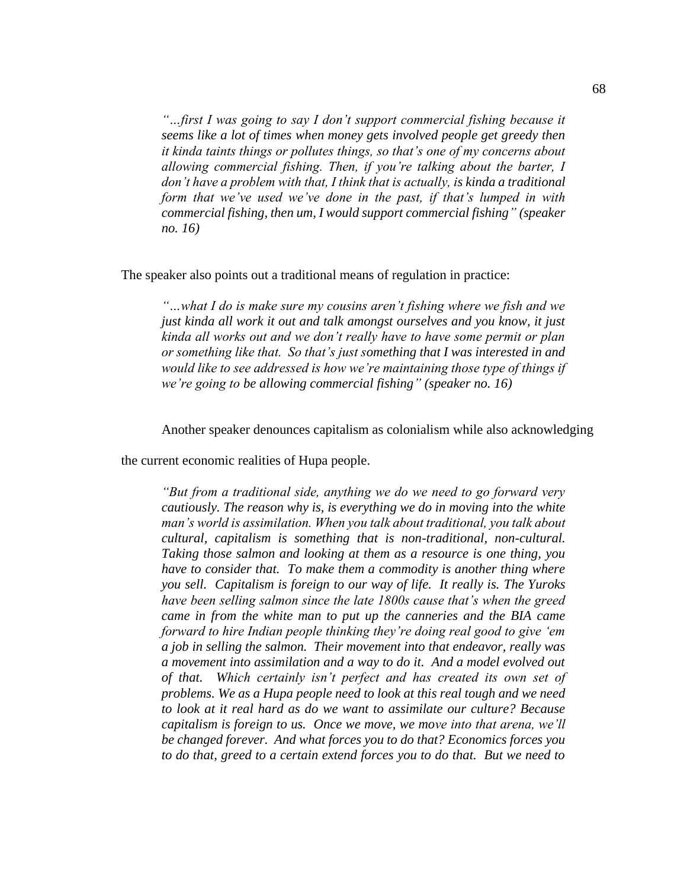*"…first I was going to say I don't support commercial fishing because it seems like a lot of times when money gets involved people get greedy then it kinda taints things or pollutes things, so that's one of my concerns about allowing commercial fishing. Then, if you're talking about the barter, I don't have a problem with that, I think that is actually, is kinda a traditional form that we've used we've done in the past, if that's lumped in with commercial fishing, then um, I would support commercial fishing" (speaker no. 16)*

The speaker also points out a traditional means of regulation in practice:

*"…what I do is make sure my cousins aren't fishing where we fish and we just kinda all work it out and talk amongst ourselves and you know, it just kinda all works out and we don't really have to have some permit or plan or something like that. So that's just something that I was interested in and would like to see addressed is how we're maintaining those type of things if we're going to be allowing commercial fishing" (speaker no. 16)*

Another speaker denounces capitalism as colonialism while also acknowledging

the current economic realities of Hupa people.

*"But from a traditional side, anything we do we need to go forward very cautiously. The reason why is, is everything we do in moving into the white man's world is assimilation. When you talk about traditional, you talk about cultural, capitalism is something that is non-traditional, non-cultural. Taking those salmon and looking at them as a resource is one thing, you have to consider that. To make them a commodity is another thing where you sell. Capitalism is foreign to our way of life. It really is. The Yuroks have been selling salmon since the late 1800s cause that's when the greed came in from the white man to put up the canneries and the BIA came forward to hire Indian people thinking they're doing real good to give 'em a job in selling the salmon. Their movement into that endeavor, really was a movement into assimilation and a way to do it. And a model evolved out of that. Which certainly isn't perfect and has created its own set of problems. We as a Hupa people need to look at this real tough and we need to look at it real hard as do we want to assimilate our culture? Because capitalism is foreign to us. Once we move, we move into that arena, we'll be changed forever. And what forces you to do that? Economics forces you to do that, greed to a certain extend forces you to do that. But we need to*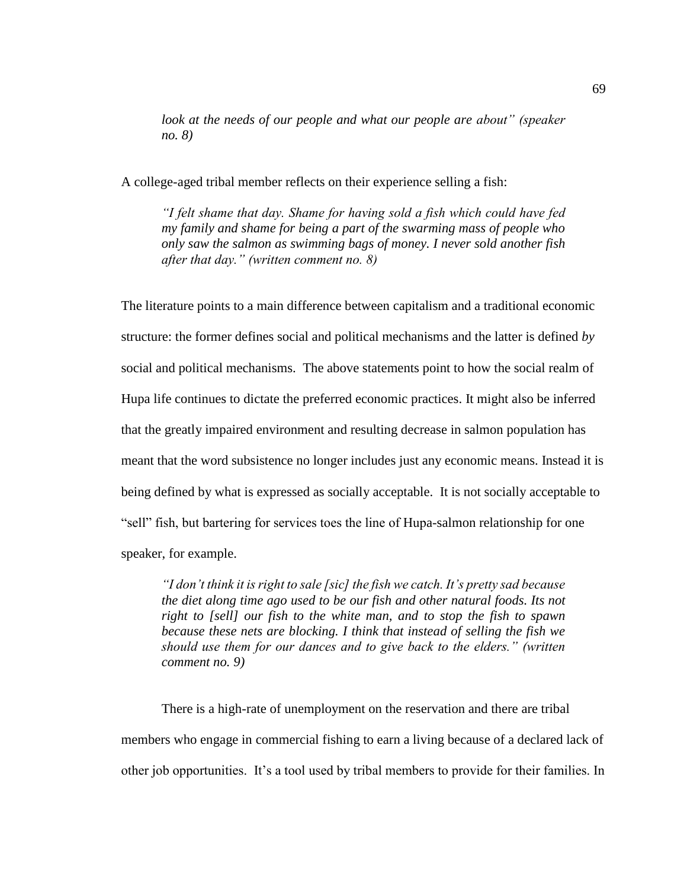*look at the needs of our people and what our people are about" (speaker no. 8)*

A college-aged tribal member reflects on their experience selling a fish:

*"I felt shame that day. Shame for having sold a fish which could have fed my family and shame for being a part of the swarming mass of people who only saw the salmon as swimming bags of money. I never sold another fish after that day." (written comment no. 8)*

The literature points to a main difference between capitalism and a traditional economic structure: the former defines social and political mechanisms and the latter is defined *by*  social and political mechanisms. The above statements point to how the social realm of Hupa life continues to dictate the preferred economic practices. It might also be inferred that the greatly impaired environment and resulting decrease in salmon population has meant that the word subsistence no longer includes just any economic means. Instead it is being defined by what is expressed as socially acceptable. It is not socially acceptable to "sell" fish, but bartering for services toes the line of Hupa-salmon relationship for one speaker, for example.

*"I don't think it is right to sale [sic] the fish we catch. It's pretty sad because the diet along time ago used to be our fish and other natural foods. Its not right to [sell] our fish to the white man, and to stop the fish to spawn because these nets are blocking. I think that instead of selling the fish we should use them for our dances and to give back to the elders." (written comment no. 9)*

There is a high-rate of unemployment on the reservation and there are tribal members who engage in commercial fishing to earn a living because of a declared lack of other job opportunities. It's a tool used by tribal members to provide for their families. In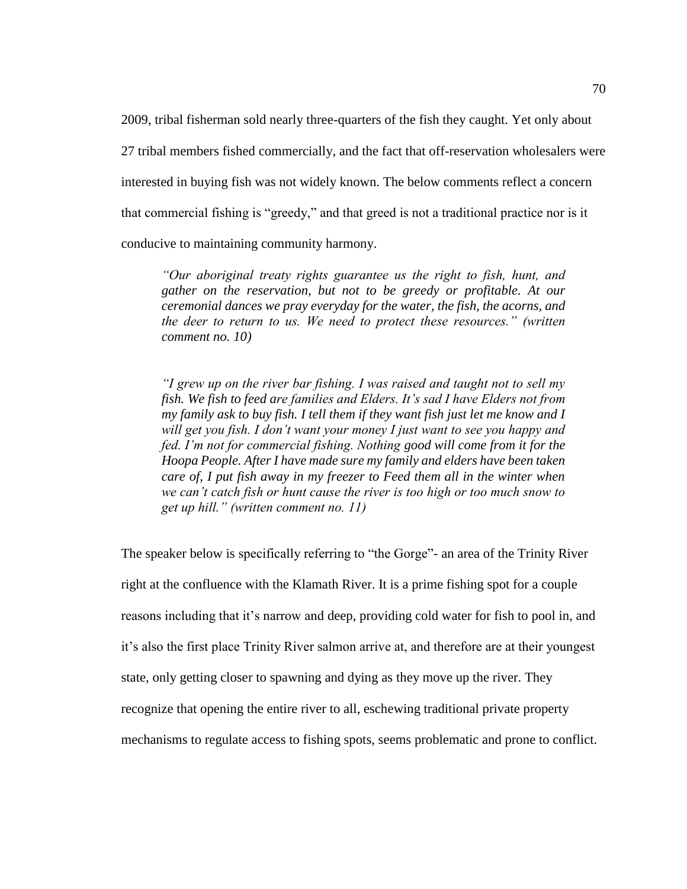2009, tribal fisherman sold nearly three-quarters of the fish they caught. Yet only about 27 tribal members fished commercially, and the fact that off-reservation wholesalers were interested in buying fish was not widely known. The below comments reflect a concern that commercial fishing is "greedy," and that greed is not a traditional practice nor is it conducive to maintaining community harmony.

*"Our aboriginal treaty rights guarantee us the right to fish, hunt, and gather on the reservation, but not to be greedy or profitable. At our ceremonial dances we pray everyday for the water, the fish, the acorns, and the deer to return to us. We need to protect these resources." (written comment no. 10)*

*"I grew up on the river bar fishing. I was raised and taught not to sell my fish. We fish to feed are families and Elders. It's sad I have Elders not from my family ask to buy fish. I tell them if they want fish just let me know and I will get you fish. I don't want your money I just want to see you happy and fed. I'm not for commercial fishing. Nothing good will come from it for the Hoopa People. After I have made sure my family and elders have been taken care of, I put fish away in my freezer to Feed them all in the winter when we can't catch fish or hunt cause the river is too high or too much snow to get up hill." (written comment no. 11)*

The speaker below is specifically referring to "the Gorge"- an area of the Trinity River right at the confluence with the Klamath River. It is a prime fishing spot for a couple reasons including that it's narrow and deep, providing cold water for fish to pool in, and it's also the first place Trinity River salmon arrive at, and therefore are at their youngest state, only getting closer to spawning and dying as they move up the river. They recognize that opening the entire river to all, eschewing traditional private property mechanisms to regulate access to fishing spots, seems problematic and prone to conflict.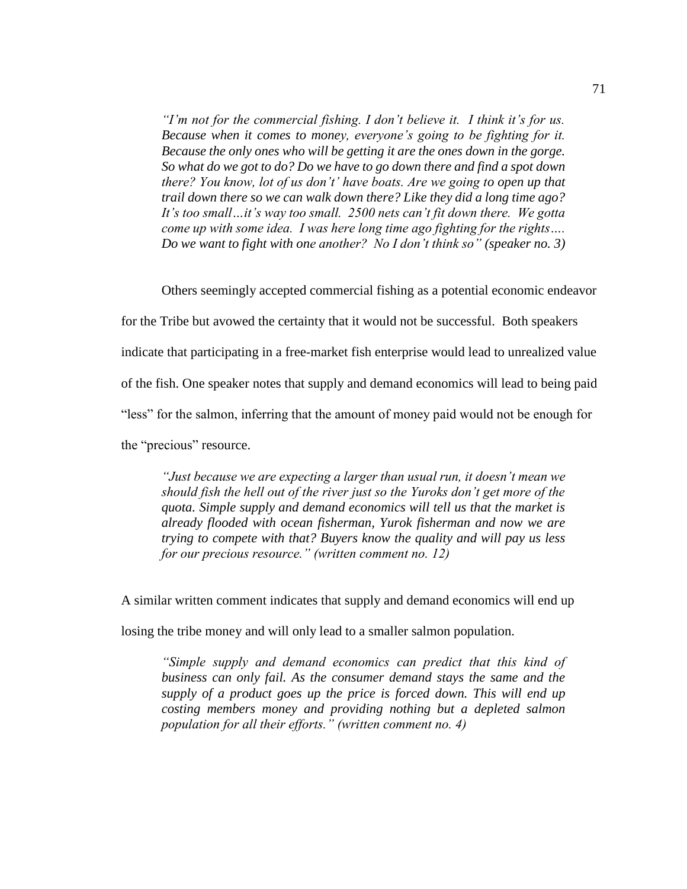*"I'm not for the commercial fishing. I don't believe it. I think it's for us. Because when it comes to money, everyone's going to be fighting for it. Because the only ones who will be getting it are the ones down in the gorge. So what do we got to do? Do we have to go down there and find a spot down there? You know, lot of us don't' have boats. Are we going to open up that trail down there so we can walk down there? Like they did a long time ago? It's too small…it's way too small. 2500 nets can't fit down there. We gotta come up with some idea. I was here long time ago fighting for the rights…. Do we want to fight with one another? No I don't think so" (speaker no. 3)*

Others seemingly accepted commercial fishing as a potential economic endeavor

for the Tribe but avowed the certainty that it would not be successful. Both speakers

indicate that participating in a free-market fish enterprise would lead to unrealized value

of the fish. One speaker notes that supply and demand economics will lead to being paid

"less" for the salmon, inferring that the amount of money paid would not be enough for

the "precious" resource.

*"Just because we are expecting a larger than usual run, it doesn't mean we should fish the hell out of the river just so the Yuroks don't get more of the quota. Simple supply and demand economics will tell us that the market is already flooded with ocean fisherman, Yurok fisherman and now we are trying to compete with that? Buyers know the quality and will pay us less for our precious resource." (written comment no. 12)*

A similar written comment indicates that supply and demand economics will end up

losing the tribe money and will only lead to a smaller salmon population.

*"Simple supply and demand economics can predict that this kind of business can only fail. As the consumer demand stays the same and the supply of a product goes up the price is forced down. This will end up costing members money and providing nothing but a depleted salmon population for all their efforts." (written comment no. 4)*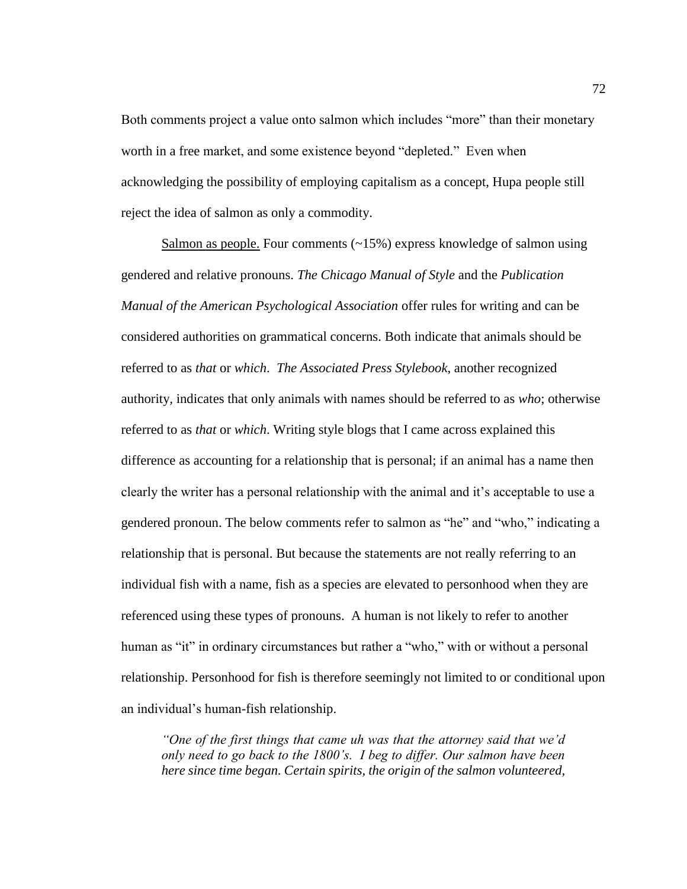Both comments project a value onto salmon which includes "more" than their monetary worth in a free market, and some existence beyond "depleted." Even when acknowledging the possibility of employing capitalism as a concept, Hupa people still reject the idea of salmon as only a commodity.

Salmon as people. Four comments (~15%) express knowledge of salmon using gendered and relative pronouns. *The Chicago Manual of Style* and the *Publication Manual of the American Psychological Association* offer rules for writing and can be considered authorities on grammatical concerns. Both indicate that animals should be referred to as *that* or *which*. *The Associated Press Stylebook*, another recognized authority*,* indicates that only animals with names should be referred to as *who*; otherwise referred to as *that* or *which*. Writing style blogs that I came across explained this difference as accounting for a relationship that is personal; if an animal has a name then clearly the writer has a personal relationship with the animal and it's acceptable to use a gendered pronoun. The below comments refer to salmon as "he" and "who," indicating a relationship that is personal. But because the statements are not really referring to an individual fish with a name, fish as a species are elevated to personhood when they are referenced using these types of pronouns. A human is not likely to refer to another human as "it" in ordinary circumstances but rather a "who," with or without a personal relationship. Personhood for fish is therefore seemingly not limited to or conditional upon an individual's human-fish relationship.

*"One of the first things that came uh was that the attorney said that we'd only need to go back to the 1800's. I beg to differ. Our salmon have been here since time began. Certain spirits, the origin of the salmon volunteered,*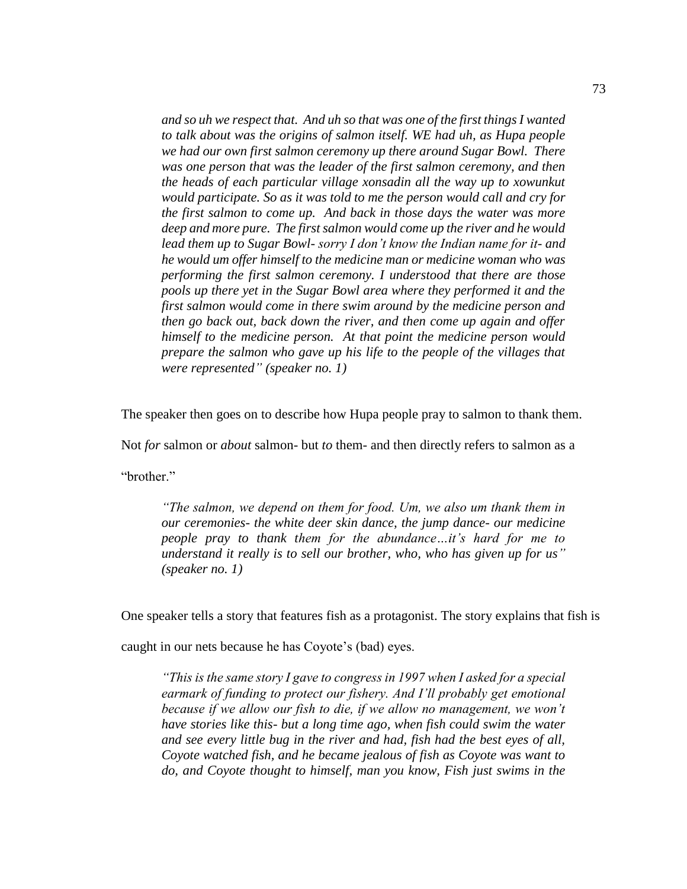*and so uh we respect that. And uh so that was one of the first things I wanted to talk about was the origins of salmon itself. WE had uh, as Hupa people we had our own first salmon ceremony up there around Sugar Bowl. There*  was one person that was the leader of the first salmon ceremony, and then *the heads of each particular village xonsadin all the way up to xowunkut would participate. So as it was told to me the person would call and cry for the first salmon to come up. And back in those days the water was more deep and more pure. The first salmon would come up the river and he would lead them up to Sugar Bowl- sorry I don't know the Indian name for it- and he would um offer himself to the medicine man or medicine woman who was performing the first salmon ceremony. I understood that there are those pools up there yet in the Sugar Bowl area where they performed it and the first salmon would come in there swim around by the medicine person and then go back out, back down the river, and then come up again and offer himself to the medicine person. At that point the medicine person would prepare the salmon who gave up his life to the people of the villages that were represented" (speaker no. 1)*

The speaker then goes on to describe how Hupa people pray to salmon to thank them.

Not *for* salmon or *about* salmon- but *to* them- and then directly refers to salmon as a

"brother."

*"The salmon, we depend on them for food. Um, we also um thank them in our ceremonies- the white deer skin dance, the jump dance- our medicine people pray to thank them for the abundance…it's hard for me to understand it really is to sell our brother, who, who has given up for us" (speaker no. 1)*

One speaker tells a story that features fish as a protagonist. The story explains that fish is

caught in our nets because he has Coyote's (bad) eyes.

*"This is the same story I gave to congress in 1997 when I asked for a special earmark of funding to protect our fishery. And I'll probably get emotional because if we allow our fish to die, if we allow no management, we won't have stories like this- but a long time ago, when fish could swim the water and see every little bug in the river and had, fish had the best eyes of all, Coyote watched fish, and he became jealous of fish as Coyote was want to do, and Coyote thought to himself, man you know, Fish just swims in the*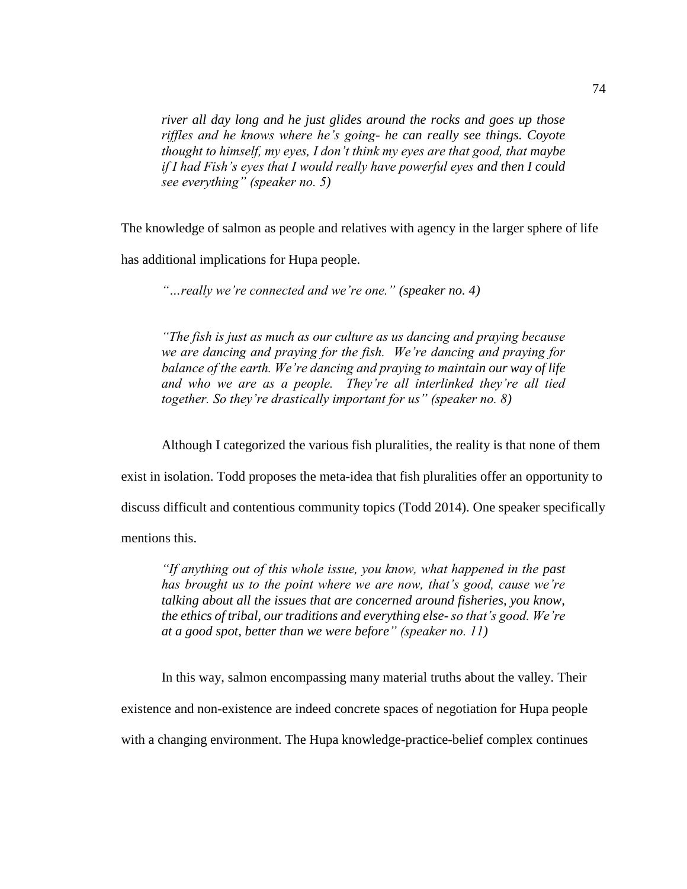*river all day long and he just glides around the rocks and goes up those riffles and he knows where he's going- he can really see things. Coyote thought to himself, my eyes, I don't think my eyes are that good, that maybe if I had Fish's eyes that I would really have powerful eyes and then I could see everything" (speaker no. 5)*

The knowledge of salmon as people and relatives with agency in the larger sphere of life has additional implications for Hupa people.

*"…really we're connected and we're one." (speaker no. 4)*

*"The fish is just as much as our culture as us dancing and praying because we are dancing and praying for the fish. We're dancing and praying for balance of the earth. We're dancing and praying to maintain our way of life and who we are as a people. They're all interlinked they're all tied together. So they're drastically important for us" (speaker no. 8)* 

Although I categorized the various fish pluralities, the reality is that none of them

exist in isolation. Todd proposes the meta-idea that fish pluralities offer an opportunity to

discuss difficult and contentious community topics (Todd 2014). One speaker specifically

mentions this.

*"If anything out of this whole issue, you know, what happened in the past has brought us to the point where we are now, that's good, cause we're talking about all the issues that are concerned around fisheries, you know, the ethics of tribal, our traditions and everything else- so that's good. We're at a good spot, better than we were before" (speaker no. 11)*

In this way, salmon encompassing many material truths about the valley. Their existence and non-existence are indeed concrete spaces of negotiation for Hupa people with a changing environment. The Hupa knowledge-practice-belief complex continues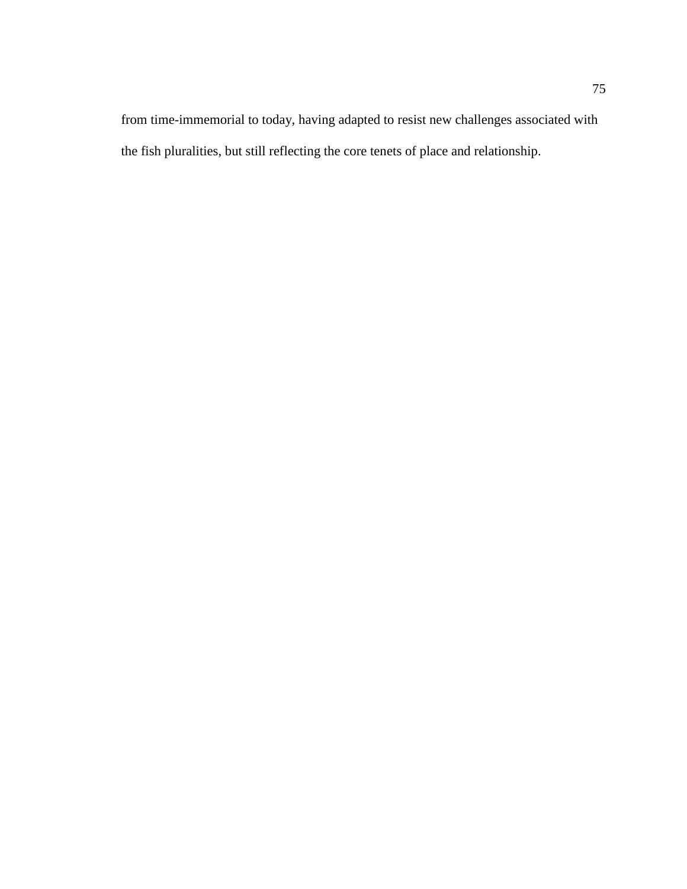from time-immemorial to today, having adapted to resist new challenges associated with the fish pluralities, but still reflecting the core tenets of place and relationship.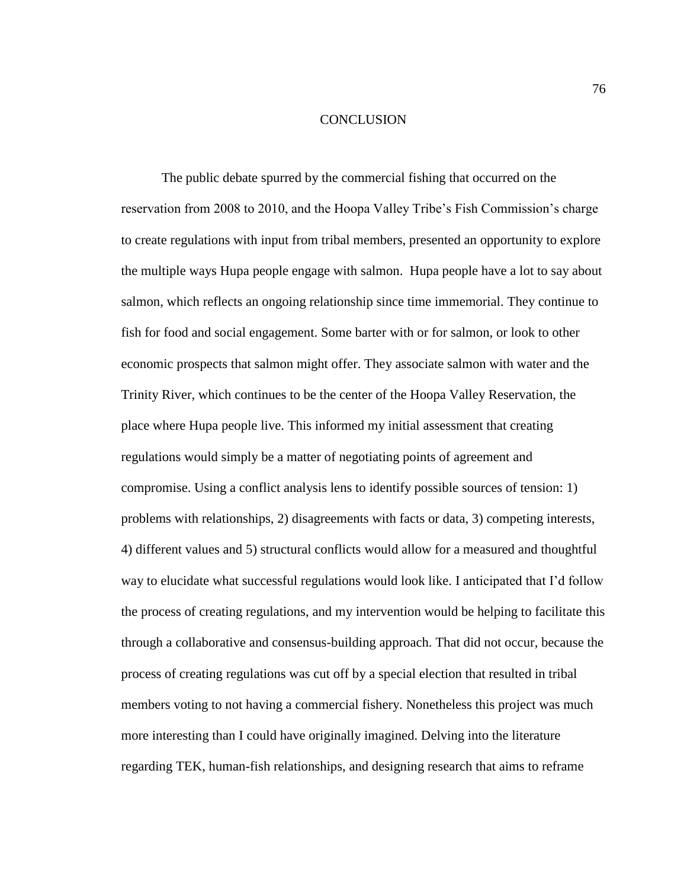## **CONCLUSION**

The public debate spurred by the commercial fishing that occurred on the reservation from 2008 to 2010, and the Hoopa Valley Tribe's Fish Commission's charge to create regulations with input from tribal members, presented an opportunity to explore the multiple ways Hupa people engage with salmon. Hupa people have a lot to say about salmon, which reflects an ongoing relationship since time immemorial. They continue to fish for food and social engagement. Some barter with or for salmon, or look to other economic prospects that salmon might offer. They associate salmon with water and the Trinity River, which continues to be the center of the Hoopa Valley Reservation, the place where Hupa people live. This informed my initial assessment that creating regulations would simply be a matter of negotiating points of agreement and compromise. Using a conflict analysis lens to identify possible sources of tension: 1) problems with relationships, 2) disagreements with facts or data, 3) competing interests, 4) different values and 5) structural conflicts would allow for a measured and thoughtful way to elucidate what successful regulations would look like. I anticipated that I'd follow the process of creating regulations, and my intervention would be helping to facilitate this through a collaborative and consensus-building approach. That did not occur, because the process of creating regulations was cut off by a special election that resulted in tribal members voting to not having a commercial fishery. Nonetheless this project was much more interesting than I could have originally imagined. Delving into the literature regarding TEK, human-fish relationships, and designing research that aims to reframe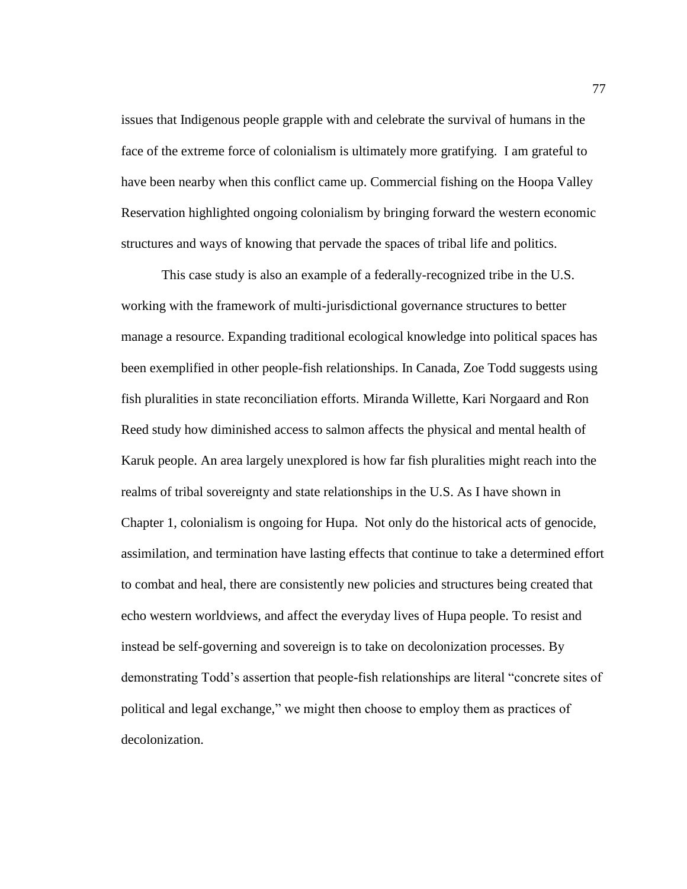issues that Indigenous people grapple with and celebrate the survival of humans in the face of the extreme force of colonialism is ultimately more gratifying. I am grateful to have been nearby when this conflict came up. Commercial fishing on the Hoopa Valley Reservation highlighted ongoing colonialism by bringing forward the western economic structures and ways of knowing that pervade the spaces of tribal life and politics.

This case study is also an example of a federally-recognized tribe in the U.S. working with the framework of multi-jurisdictional governance structures to better manage a resource. Expanding traditional ecological knowledge into political spaces has been exemplified in other people-fish relationships. In Canada, Zoe Todd suggests using fish pluralities in state reconciliation efforts. Miranda Willette, Kari Norgaard and Ron Reed study how diminished access to salmon affects the physical and mental health of Karuk people. An area largely unexplored is how far fish pluralities might reach into the realms of tribal sovereignty and state relationships in the U.S. As I have shown in Chapter 1, colonialism is ongoing for Hupa. Not only do the historical acts of genocide, assimilation, and termination have lasting effects that continue to take a determined effort to combat and heal, there are consistently new policies and structures being created that echo western worldviews, and affect the everyday lives of Hupa people. To resist and instead be self-governing and sovereign is to take on decolonization processes. By demonstrating Todd's assertion that people-fish relationships are literal "concrete sites of political and legal exchange," we might then choose to employ them as practices of decolonization.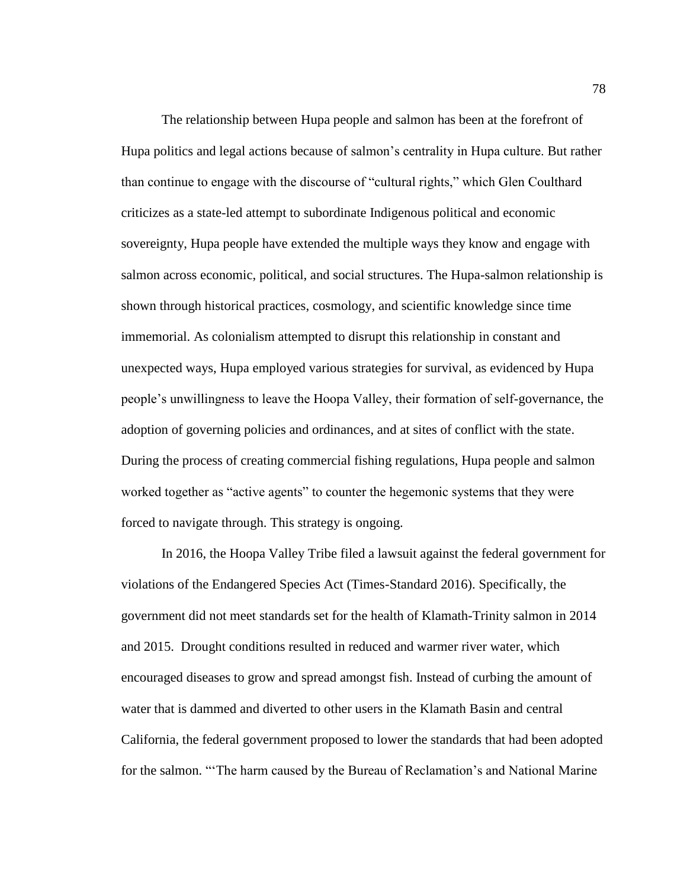The relationship between Hupa people and salmon has been at the forefront of Hupa politics and legal actions because of salmon's centrality in Hupa culture. But rather than continue to engage with the discourse of "cultural rights," which Glen Coulthard criticizes as a state-led attempt to subordinate Indigenous political and economic sovereignty, Hupa people have extended the multiple ways they know and engage with salmon across economic, political, and social structures. The Hupa-salmon relationship is shown through historical practices, cosmology, and scientific knowledge since time immemorial. As colonialism attempted to disrupt this relationship in constant and unexpected ways, Hupa employed various strategies for survival, as evidenced by Hupa people's unwillingness to leave the Hoopa Valley, their formation of self-governance, the adoption of governing policies and ordinances, and at sites of conflict with the state. During the process of creating commercial fishing regulations, Hupa people and salmon worked together as "active agents" to counter the hegemonic systems that they were forced to navigate through. This strategy is ongoing.

In 2016, the Hoopa Valley Tribe filed a lawsuit against the federal government for violations of the Endangered Species Act (Times-Standard 2016). Specifically, the government did not meet standards set for the health of Klamath-Trinity salmon in 2014 and 2015. Drought conditions resulted in reduced and warmer river water, which encouraged diseases to grow and spread amongst fish. Instead of curbing the amount of water that is dammed and diverted to other users in the Klamath Basin and central California, the federal government proposed to lower the standards that had been adopted for the salmon. "'The harm caused by the Bureau of Reclamation's and National Marine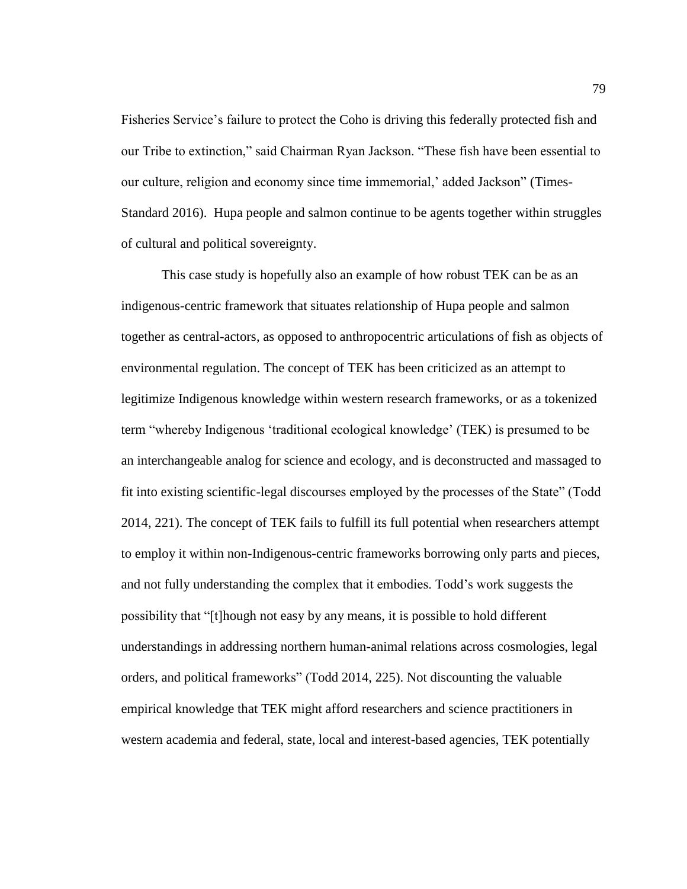Fisheries Service's failure to protect the Coho is driving this federally protected fish and our Tribe to extinction," said Chairman Ryan Jackson. "These fish have been essential to our culture, religion and economy since time immemorial,' added Jackson" (Times-Standard 2016). Hupa people and salmon continue to be agents together within struggles of cultural and political sovereignty.

This case study is hopefully also an example of how robust TEK can be as an indigenous-centric framework that situates relationship of Hupa people and salmon together as central-actors, as opposed to anthropocentric articulations of fish as objects of environmental regulation. The concept of TEK has been criticized as an attempt to legitimize Indigenous knowledge within western research frameworks, or as a tokenized term "whereby Indigenous 'traditional ecological knowledge' (TEK) is presumed to be an interchangeable analog for science and ecology, and is deconstructed and massaged to fit into existing scientific-legal discourses employed by the processes of the State" (Todd 2014, 221). The concept of TEK fails to fulfill its full potential when researchers attempt to employ it within non-Indigenous-centric frameworks borrowing only parts and pieces, and not fully understanding the complex that it embodies. Todd's work suggests the possibility that "[t]hough not easy by any means, it is possible to hold different understandings in addressing northern human-animal relations across cosmologies, legal orders, and political frameworks" (Todd 2014, 225). Not discounting the valuable empirical knowledge that TEK might afford researchers and science practitioners in western academia and federal, state, local and interest-based agencies, TEK potentially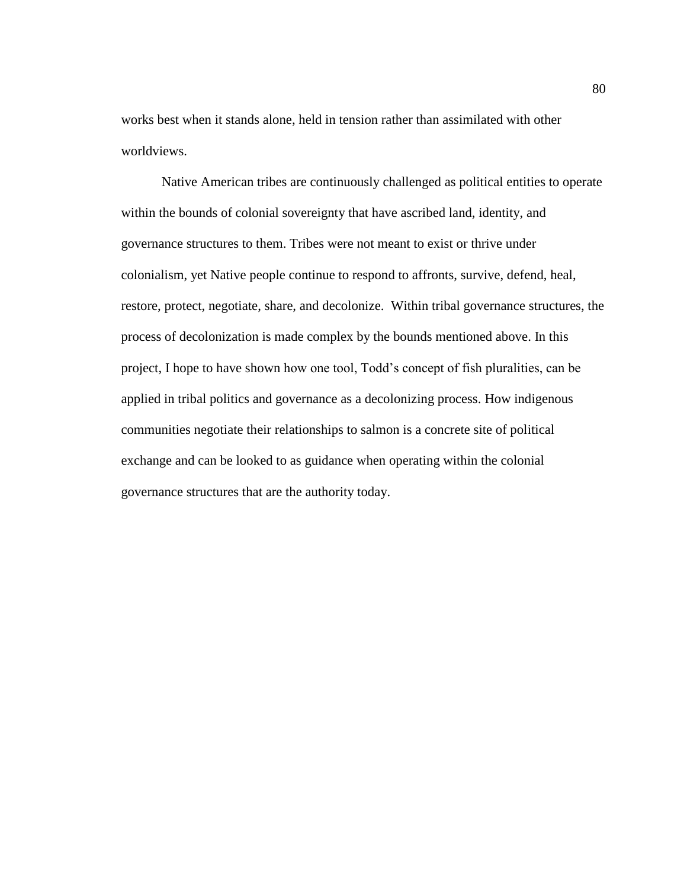works best when it stands alone, held in tension rather than assimilated with other worldviews.

Native American tribes are continuously challenged as political entities to operate within the bounds of colonial sovereignty that have ascribed land, identity, and governance structures to them. Tribes were not meant to exist or thrive under colonialism, yet Native people continue to respond to affronts, survive, defend, heal, restore, protect, negotiate, share, and decolonize. Within tribal governance structures, the process of decolonization is made complex by the bounds mentioned above. In this project, I hope to have shown how one tool, Todd's concept of fish pluralities, can be applied in tribal politics and governance as a decolonizing process. How indigenous communities negotiate their relationships to salmon is a concrete site of political exchange and can be looked to as guidance when operating within the colonial governance structures that are the authority today.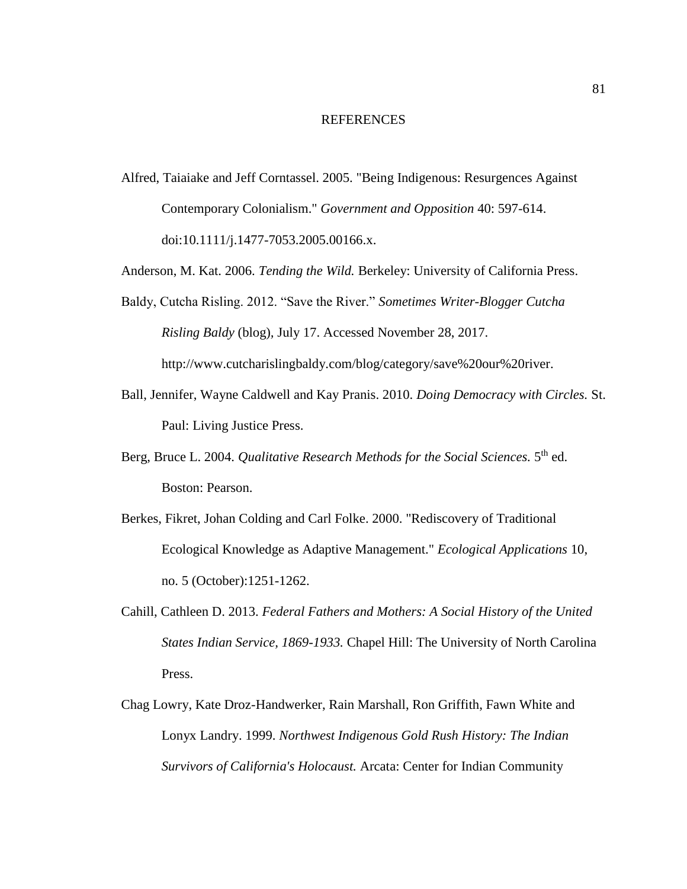## REFERENCES

Alfred, Taiaiake and Jeff Corntassel. 2005. "Being Indigenous: Resurgences Against Contemporary Colonialism." *Government and Opposition* 40: 597-614. doi:10.1111/j.1477-7053.2005.00166.x.

Anderson, M. Kat. 2006. *Tending the Wild.* Berkeley: University of California Press.

- Baldy, Cutcha Risling. 2012. "Save the River." *Sometimes Writer-Blogger Cutcha Risling Baldy* (blog)*,* July 17. Accessed November 28, 2017. [http://www.cutcharislingbaldy.com/blog/category/save%20our%20river.](http://www.cutcharislingbaldy.com/blog/category/save%20our%20river)
- Ball, Jennifer, Wayne Caldwell and Kay Pranis. 2010. *Doing Democracy with Circles.* St. Paul: Living Justice Press.
- Berg, Bruce L. 2004. *Qualitative Research Methods for the Social Sciences*. 5<sup>th</sup> ed. Boston: Pearson.
- Berkes, Fikret, Johan Colding and Carl Folke. 2000. "Rediscovery of Traditional Ecological Knowledge as Adaptive Management." *Ecological Applications* 10, no. 5 (October):1251-1262.
- Cahill, Cathleen D. 2013. *Federal Fathers and Mothers: A Social History of the United States Indian Service, 1869-1933.* Chapel Hill: The University of North Carolina Press.
- Chag Lowry, Kate Droz-Handwerker, Rain Marshall, Ron Griffith, Fawn White and Lonyx Landry. 1999. *Northwest Indigenous Gold Rush History: The Indian Survivors of California's Holocaust.* Arcata: Center for Indian Community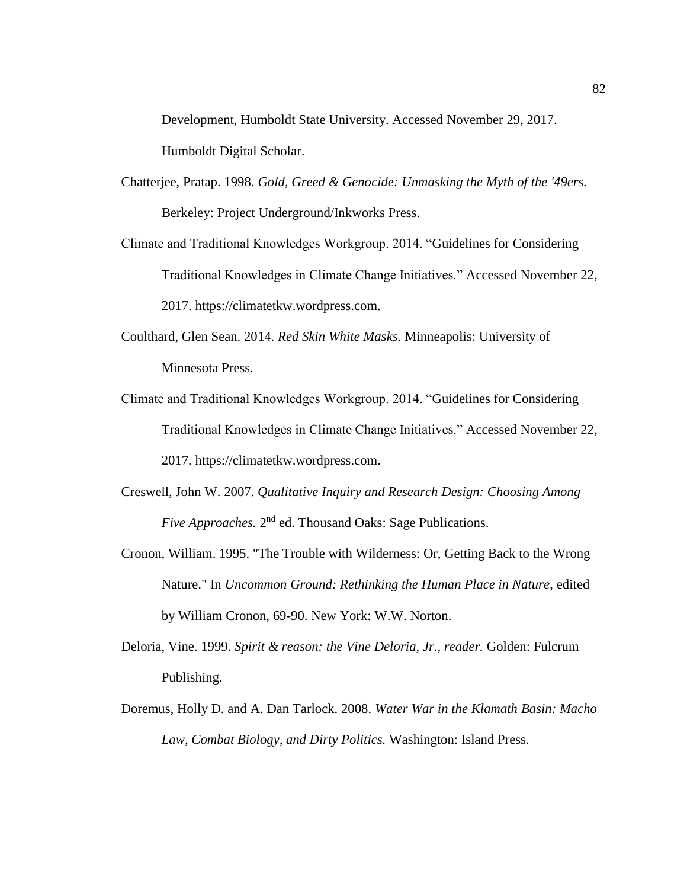Development, Humboldt State University. Accessed November 29, 2017. Humboldt Digital Scholar.

- Chatterjee, Pratap. 1998. *Gold, Greed & Genocide: Unmasking the Myth of the '49ers.* Berkeley: Project Underground/Inkworks Press.
- Climate and Traditional Knowledges Workgroup. 2014. "Guidelines for Considering Traditional Knowledges in Climate Change Initiatives." Accessed November 22, 2017. https://climatetkw.wordpress.com.
- Coulthard, Glen Sean. 2014. *Red Skin White Masks.* Minneapolis: University of Minnesota Press.
- Climate and Traditional Knowledges Workgroup. 2014. "Guidelines for Considering Traditional Knowledges in Climate Change Initiatives." Accessed November 22, 2017. https://climatetkw.wordpress.com.
- Creswell, John W. 2007. *Qualitative Inquiry and Research Design: Choosing Among*  Five Approaches. 2<sup>nd</sup> ed. Thousand Oaks: Sage Publications.
- Cronon, William. 1995. "The Trouble with Wilderness: Or, Getting Back to the Wrong Nature." In *Uncommon Ground: Rethinking the Human Place in Nature*, edited by William Cronon, 69-90. New York: W.W. Norton.
- Deloria, Vine. 1999. *Spirit & reason: the Vine Deloria, Jr., reader.* Golden: Fulcrum Publishing.
- Doremus, Holly D. and A. Dan Tarlock. 2008. *Water War in the Klamath Basin: Macho Law, Combat Biology, and Dirty Politics.* Washington: Island Press.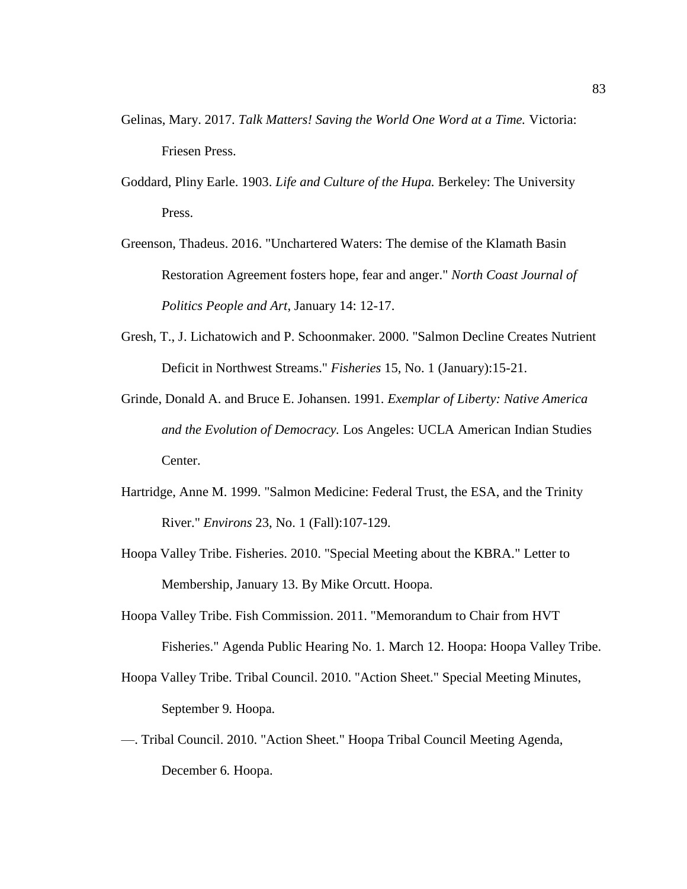- Gelinas, Mary. 2017. *Talk Matters! Saving the World One Word at a Time.* Victoria: Friesen Press.
- Goddard, Pliny Earle. 1903. *Life and Culture of the Hupa.* Berkeley: The University Press.
- Greenson, Thadeus. 2016. "Unchartered Waters: The demise of the Klamath Basin Restoration Agreement fosters hope, fear and anger." *North Coast Journal of Politics People and Art*, January 14: 12-17.
- Gresh, T., J. Lichatowich and P. Schoonmaker. 2000. "Salmon Decline Creates Nutrient Deficit in Northwest Streams." *Fisheries* 15, No. 1 (January):15-21.
- Grinde, Donald A. and Bruce E. Johansen. 1991. *Exemplar of Liberty: Native America and the Evolution of Democracy.* Los Angeles: UCLA American Indian Studies Center.
- Hartridge, Anne M. 1999. "Salmon Medicine: Federal Trust, the ESA, and the Trinity River." *Environs* 23, No. 1 (Fall):107-129.
- Hoopa Valley Tribe. Fisheries. 2010. "Special Meeting about the KBRA." Letter to Membership, January 13. By Mike Orcutt. Hoopa.
- Hoopa Valley Tribe. Fish Commission. 2011. "Memorandum to Chair from HVT Fisheries." Agenda Public Hearing No. 1*.* March 12. Hoopa: Hoopa Valley Tribe.
- Hoopa Valley Tribe. Tribal Council. 2010. "Action Sheet." Special Meeting Minutes, September 9*.* Hoopa.
- —. Tribal Council. 2010. "Action Sheet." Hoopa Tribal Council Meeting Agenda, December 6*.* Hoopa.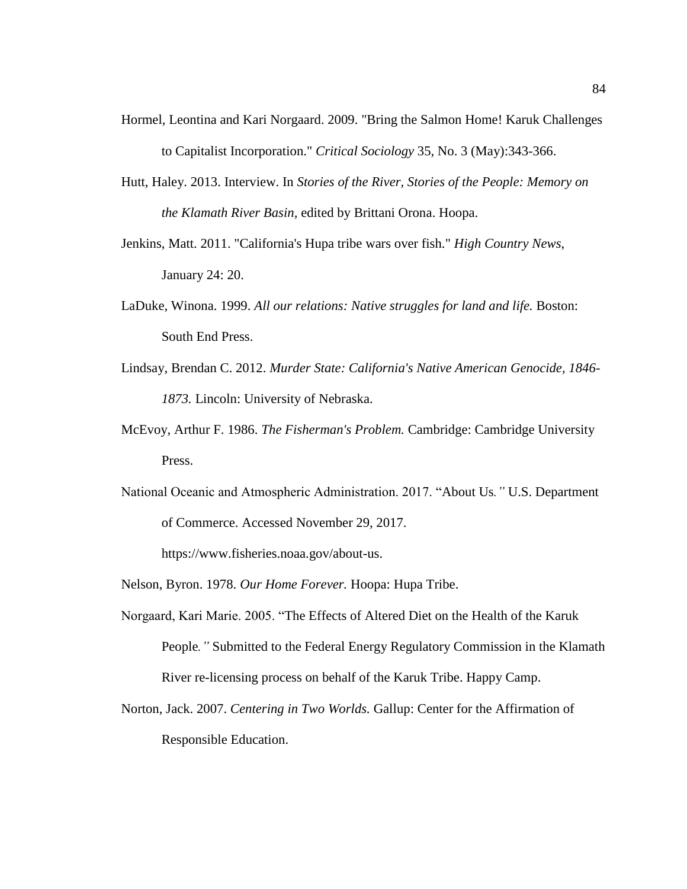- Hormel, Leontina and Kari Norgaard. 2009. "Bring the Salmon Home! Karuk Challenges to Capitalist Incorporation." *Critical Sociology* 35, No. 3 (May):343-366.
- Hutt, Haley. 2013. Interview. In *Stories of the River, Stories of the People: Memory on the Klamath River Basin,* edited by Brittani Orona. Hoopa.
- Jenkins, Matt. 2011. "California's Hupa tribe wars over fish." *High Country News*, January 24: 20.
- LaDuke, Winona. 1999. *All our relations: Native struggles for land and life.* Boston: South End Press.
- Lindsay, Brendan C. 2012. *Murder State: California's Native American Genocide, 1846- 1873.* Lincoln: University of Nebraska.
- McEvoy, Arthur F. 1986. *The Fisherman's Problem.* Cambridge: Cambridge University Press.
- National Oceanic and Atmospheric Administration. 2017. "About Us*."* U.S. Department of Commerce. Accessed November 29, 2017.

https://www.fisheries.noaa.gov/about-us.

- Nelson, Byron. 1978. *Our Home Forever.* Hoopa: Hupa Tribe.
- Norgaard, Kari Marie. 2005. "The Effects of Altered Diet on the Health of the Karuk People*."* Submitted to the Federal Energy Regulatory Commission in the Klamath River re-licensing process on behalf of the Karuk Tribe. Happy Camp.
- Norton, Jack. 2007. *Centering in Two Worlds.* Gallup: Center for the Affirmation of Responsible Education.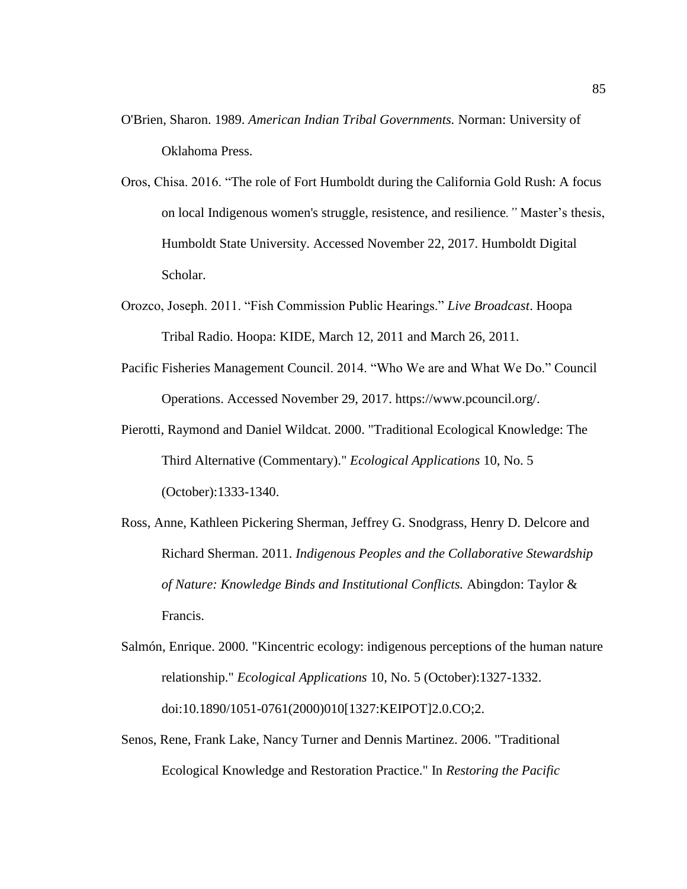- O'Brien, Sharon. 1989. *American Indian Tribal Governments.* Norman: University of Oklahoma Press.
- Oros, Chisa. 2016. "The role of Fort Humboldt during the California Gold Rush: A focus on local Indigenous women's struggle, resistence, and resilience*."* Master's thesis, Humboldt State University. Accessed November 22, 2017. Humboldt Digital Scholar.
- Orozco, Joseph. 2011. "Fish Commission Public Hearings." *Live Broadcast*. Hoopa Tribal Radio. Hoopa: KIDE, March 12, 2011 and March 26, 2011.
- Pacific Fisheries Management Council. 2014. "Who We are and What We Do." Council Operations. Accessed November 29, 2017. https://www.pcouncil.org/.
- Pierotti, Raymond and Daniel Wildcat. 2000. "Traditional Ecological Knowledge: The Third Alternative (Commentary)." *Ecological Applications* 10, No. 5 (October):1333-1340.
- Ross, Anne, Kathleen Pickering Sherman, Jeffrey G. Snodgrass, Henry D. Delcore and Richard Sherman. 2011. *Indigenous Peoples and the Collaborative Stewardship of Nature: Knowledge Binds and Institutional Conflicts.* Abingdon: Taylor & Francis.
- Salmón, Enrique. 2000. "Kincentric ecology: indigenous perceptions of the human nature relationship." *Ecological Applications* 10, No. 5 (October):1327-1332. doi:10.1890/1051-0761(2000)010[1327:KEIPOT]2.0.CO;2.
- Senos, Rene, Frank Lake, Nancy Turner and Dennis Martinez. 2006. "Traditional Ecological Knowledge and Restoration Practice." In *Restoring the Pacific*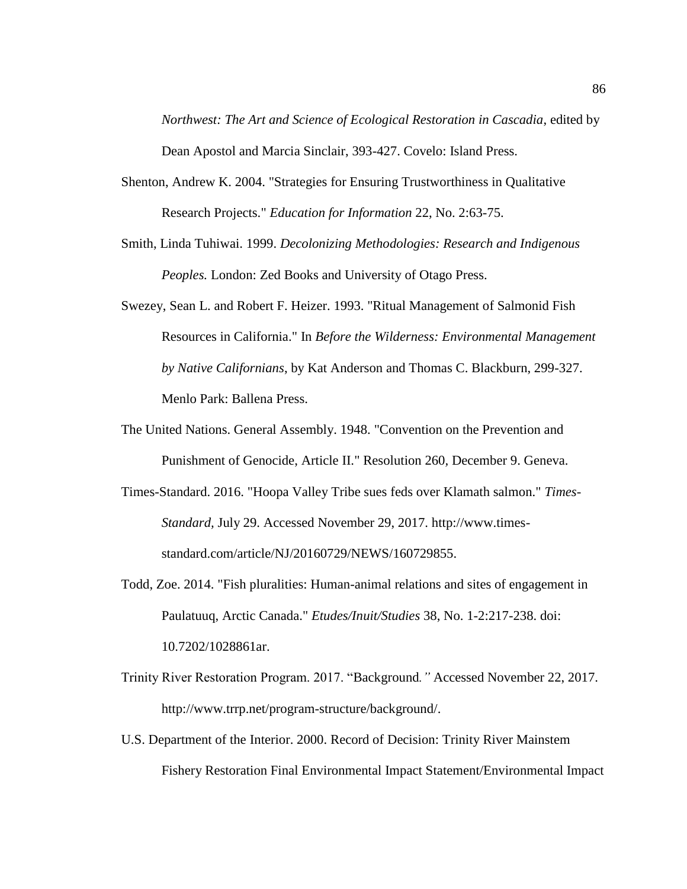*Northwest: The Art and Science of Ecological Restoration in Cascadia*, edited by Dean Apostol and Marcia Sinclair, 393-427. Covelo: Island Press.

- Shenton, Andrew K. 2004. "Strategies for Ensuring Trustworthiness in Qualitative Research Projects." *Education for Information* 22, No. 2:63-75.
- Smith, Linda Tuhiwai. 1999. *Decolonizing Methodologies: Research and Indigenous Peoples.* London: Zed Books and University of Otago Press.
- Swezey, Sean L. and Robert F. Heizer. 1993. "Ritual Management of Salmonid Fish Resources in California." In *Before the Wilderness: Environmental Management by Native Californians*, by Kat Anderson and Thomas C. Blackburn, 299-327. Menlo Park: Ballena Press.
- The United Nations. General Assembly. 1948. "Convention on the Prevention and Punishment of Genocide, Article II." Resolution 260*,* December 9. Geneva.
- Times-Standard. 2016. "Hoopa Valley Tribe sues feds over Klamath salmon." *Times-Standard,* July 29. Accessed November 29, 2017. http://www.timesstandard.com/article/NJ/20160729/NEWS/160729855.
- Todd, Zoe. 2014. "Fish pluralities: Human-animal relations and sites of engagement in Paulatuuq, Arctic Canada." *Etudes/Inuit/Studies* 38, No. 1-2:217-238. doi: 10.7202/1028861ar.
- Trinity River Restoration Program. 2017. "Background*."* Accessed November 22, 2017. [http://www.trrp.net/program-structure/background/.](http://www.trrp.net/program-structure/background/)
- U.S. Department of the Interior. 2000. Record of Decision: Trinity River Mainstem Fishery Restoration Final Environmental Impact Statement/Environmental Impact